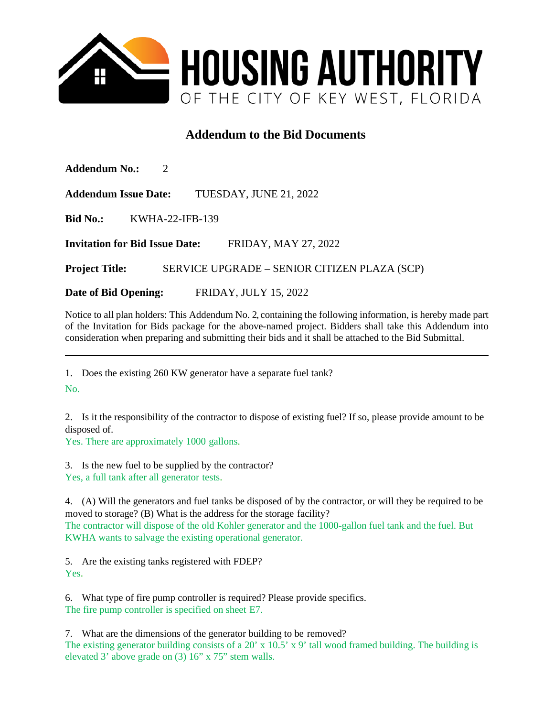

# **Addendum to the Bid Documents**

**Addendum No.:** 2 **Addendum Issue Date:** TUESDAY, JUNE 21, 2022 **Bid No.:** KWHA-22-IFB-139 **Invitation for Bid Issue Date:** FRIDAY, MAY 27, 2022 **Project Title:** SERVICE UPGRADE – SENIOR CITIZEN PLAZA (SCP) **Date of Bid Opening:** FRIDAY, JULY 15, 2022

Notice to all plan holders: This Addendum No. 2, containing the following information, is hereby made part of the Invitation for Bids package for the above-named project. Bidders shall take this Addendum into consideration when preparing and submitting their bids and it shall be attached to the Bid Submittal.

1. Does the existing 260 KW generator have a separate fuel tank?

No.

2. Is it the responsibility of the contractor to dispose of existing fuel? If so, please provide amount to be disposed of.

Yes. There are approximately 1000 gallons.

3. Is the new fuel to be supplied by the contractor? Yes, a full tank after all generator tests.

4. (A) Will the generators and fuel tanks be disposed of by the contractor, or will they be required to be moved to storage? (B) What is the address for the storage facility? The contractor will dispose of the old Kohler generator and the 1000-gallon fuel tank and the fuel. But KWHA wants to salvage the existing operational generator.

5. Are the existing tanks registered with FDEP? Yes.

6. What type of fire pump controller is required? Please provide specifics. The fire pump controller is specified on sheet E7.

7. What are the dimensions of the generator building to be removed? The existing generator building consists of a 20' x 10.5' x 9' tall wood framed building. The building is elevated 3' above grade on (3) 16" x 75" stem walls.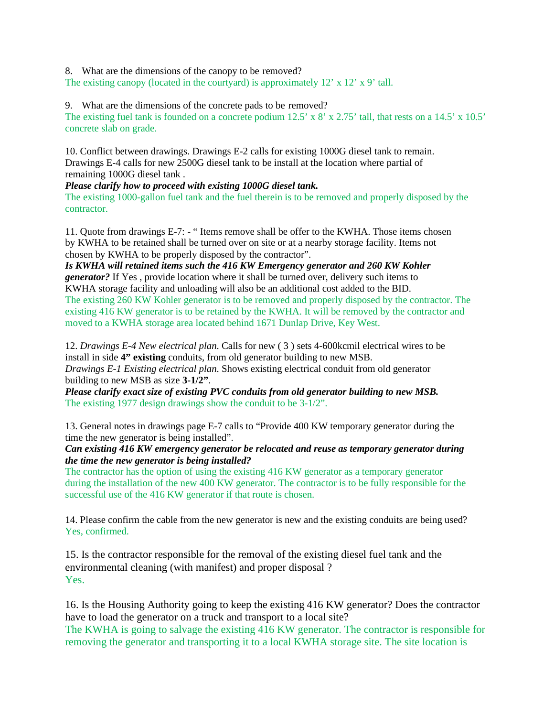8. What are the dimensions of the canopy to be removed? The existing canopy (located in the courtyard) is approximately 12' x 12' x 9' tall.

9. What are the dimensions of the concrete pads to be removed? The existing fuel tank is founded on a concrete podium  $12.5' \times 8' \times 2.75'$  tall, that rests on a  $14.5' \times 10.5'$ concrete slab on grade.

10. Conflict between drawings. Drawings E-2 calls for existing 1000G diesel tank to remain. Drawings E-4 calls for new 2500G diesel tank to be install at the location where partial of remaining 1000G diesel tank .

*Please clarify how to proceed with existing 1000G diesel tank.*

The existing 1000-gallon fuel tank and the fuel therein is to be removed and properly disposed by the contractor.

11. Quote from drawings E-7: - " Items remove shall be offer to the KWHA. Those items chosen by KWHA to be retained shall be turned over on site or at a nearby storage facility. Items not chosen by KWHA to be properly disposed by the contractor".

*Is KWHA will retained items such the 416 KW Emergency generator and 260 KW Kohler generator?* If Yes , provide location where it shall be turned over, delivery such items to KWHA storage facility and unloading will also be an additional cost added to the BID. The existing 260 KW Kohler generator is to be removed and properly disposed by the contractor. The existing 416 KW generator is to be retained by the KWHA. It will be removed by the contractor and moved to a KWHA storage area located behind 1671 Dunlap Drive, Key West.

12. *Drawings E-4 New electrical plan*. Calls for new ( 3 ) sets 4-600kcmil electrical wires to be install in side **4" existing** conduits, from old generator building to new MSB. *Drawings E-1 Existing electrical plan*. Shows existing electrical conduit from old generator building to new MSB as size **3-1/2"**.

*Please clarify exact size of existing PVC conduits from old generator building to new MSB.* The existing 1977 design drawings show the conduit to be 3-1/2".

13. General notes in drawings page E-7 calls to "Provide 400 KW temporary generator during the time the new generator is being installed".

*Can existing 416 KW emergency generator be relocated and reuse as temporary generator during the time the new generator is being installed?*

The contractor has the option of using the existing 416 KW generator as a temporary generator during the installation of the new 400 KW generator. The contractor is to be fully responsible for the successful use of the 416 KW generator if that route is chosen.

14. Please confirm the cable from the new generator is new and the existing conduits are being used? Yes, confirmed.

15. Is the contractor responsible for the removal of the existing diesel fuel tank and the environmental cleaning (with manifest) and proper disposal ? Yes.

16. Is the Housing Authority going to keep the existing 416 KW generator? Does the contractor have to load the generator on a truck and transport to a local site?

The KWHA is going to salvage the existing 416 KW generator. The contractor is responsible for removing the generator and transporting it to a local KWHA storage site. The site location is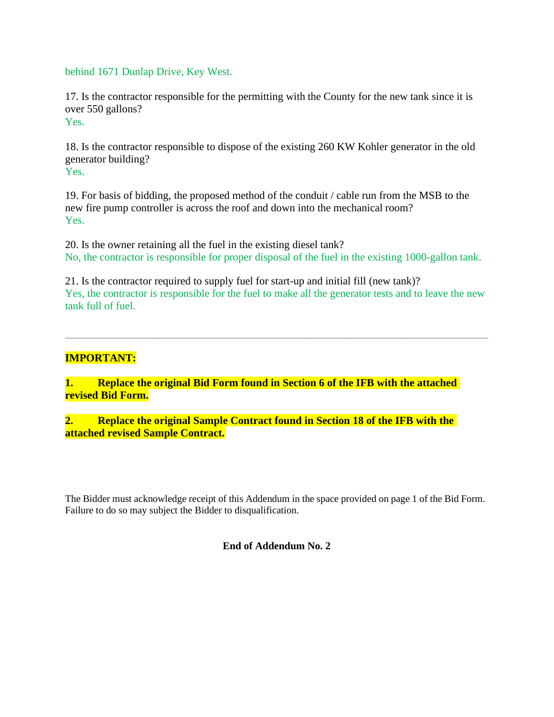behind 1671 Dunlap Drive, Key West.

17. Is the contractor responsible for the permitting with the County for the new tank since it is over 550 gallons? Yes.

18. Is the contractor responsible to dispose of the existing 260 KW Kohler generator in the old generator building? Yes.

19. For basis of bidding, the proposed method of the conduit / cable run from the MSB to the new fire pump controller is across the roof and down into the mechanical room? Yes.

20. Is the owner retaining all the fuel in the existing diesel tank? No, the contractor is responsible for proper disposal of the fuel in the existing 1000-gallon tank.

21. Is the contractor required to supply fuel for start-up and initial fill (new tank)? Yes, the contractor is responsible for the fuel to make all the generator tests and to leave the new tank full of fuel.

\_\_\_\_\_\_\_\_\_\_\_\_\_\_\_\_\_\_\_\_\_\_\_\_\_\_\_\_\_\_\_\_\_\_\_\_\_\_\_\_\_\_\_\_\_\_\_\_\_\_\_\_\_\_\_\_\_\_\_\_\_\_\_\_\_\_\_\_\_\_\_\_\_\_\_\_\_\_\_\_\_\_\_\_\_\_\_\_\_\_\_\_\_\_\_\_\_\_\_\_\_\_\_\_\_\_\_\_\_\_\_\_\_\_\_\_\_\_\_\_\_\_\_\_\_\_\_\_\_\_\_\_\_\_\_\_\_\_\_\_\_\_\_\_

# **IMPORTANT:**

**1. Replace the original Bid Form found in Section 6 of the IFB with the attached revised Bid Form.**

**2. Replace the original Sample Contract found in Section 18 of the IFB with the attached revised Sample Contract.**

The Bidder must acknowledge receipt of this Addendum in the space provided on page 1 of the Bid Form. Failure to do so may subject the Bidder to disqualification.

**End of Addendum No. 2**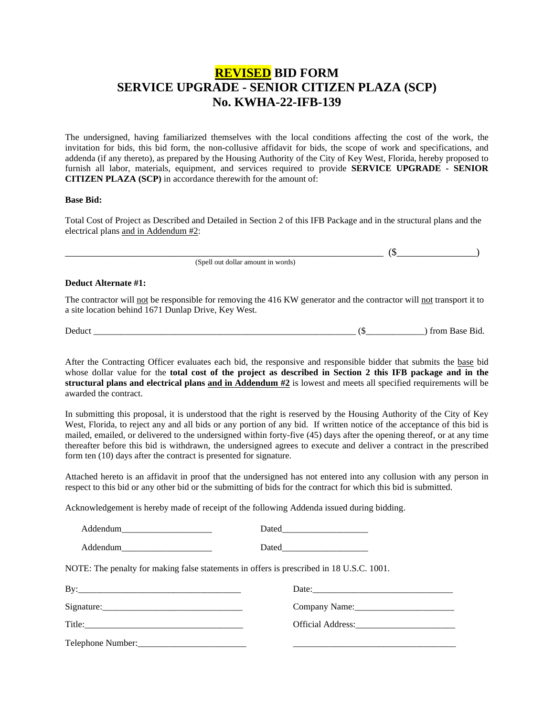# **REVISED BID FORM SERVICE UPGRADE - SENIOR CITIZEN PLAZA (SCP) No. KWHA-22-IFB-139**

The undersigned, having familiarized themselves with the local conditions affecting the cost of the work, the invitation for bids, this bid form, the non-collusive affidavit for bids, the scope of work and specifications, and addenda (if any thereto), as prepared by the Housing Authority of the City of Key West, Florida, hereby proposed to furnish all labor, materials, equipment, and services required to provide **SERVICE UPGRADE - SENIOR CITIZEN PLAZA (SCP)** in accordance therewith for the amount of:

#### **Base Bid:**

Total Cost of Project as Described and Detailed in Section 2 of this IFB Package and in the structural plans and the electrical plans and in Addendum #2:

> $(\$\)$ (Spell out dollar amount in words)

#### **Deduct Alternate #1:**

The contractor will not be responsible for removing the 416 KW generator and the contractor will not transport it to a site location behind 1671 Dunlap Drive, Key West.

Deduct \_\_\_\_\_\_\_\_\_\_\_\_\_\_\_\_\_\_\_\_\_\_\_\_\_\_\_\_\_\_\_\_\_\_\_\_\_\_\_\_\_\_\_\_\_\_\_\_\_\_\_\_\_\_\_\_\_\_ (\$\_\_\_\_\_\_\_\_\_\_\_\_\_) from Base Bid.

After the Contracting Officer evaluates each bid, the responsive and responsible bidder that submits the base bid whose dollar value for the **total cost of the project as described in Section 2 this IFB package and in the structural plans and electrical plans and in Addendum #2** is lowest and meets all specified requirements will be awarded the contract.

In submitting this proposal, it is understood that the right is reserved by the Housing Authority of the City of Key West, Florida, to reject any and all bids or any portion of any bid. If written notice of the acceptance of this bid is mailed, emailed, or delivered to the undersigned within forty-five (45) days after the opening thereof, or at any time thereafter before this bid is withdrawn, the undersigned agrees to execute and deliver a contract in the prescribed form ten (10) days after the contract is presented for signature.

Attached hereto is an affidavit in proof that the undersigned has not entered into any collusion with any person in respect to this bid or any other bid or the submitting of bids for the contract for which this bid is submitted.

Acknowledgement is hereby made of receipt of the following Addenda issued during bidding.

| Addendum______________________                                                           |  |
|------------------------------------------------------------------------------------------|--|
| NOTE: The penalty for making false statements in offers is prescribed in 18 U.S.C. 1001. |  |
|                                                                                          |  |
|                                                                                          |  |
|                                                                                          |  |
|                                                                                          |  |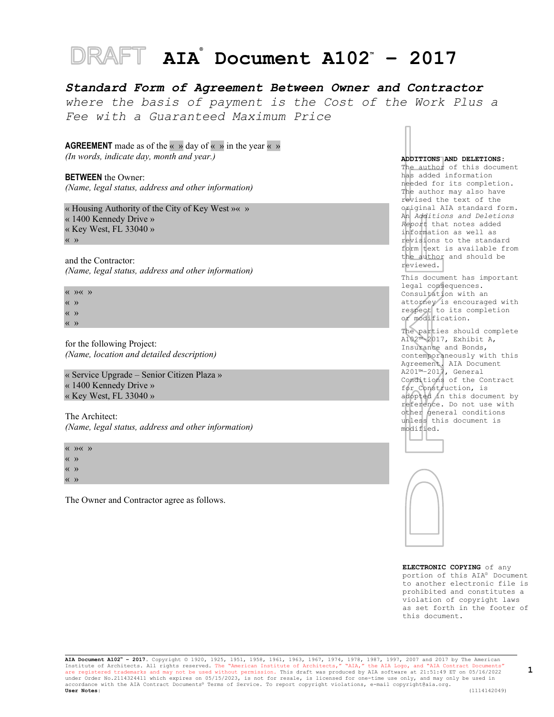# **AIA® Document A102™ – 2017**

## *Standard Form of Agreement Between Owner and Contractor*

*where the basis of payment is the Cost of the Work Plus a Fee with a Guaranteed Maximum Price*

**AGREEMENT** made as of the  $\langle \cdot \rangle$  aday of  $\langle \cdot \rangle$  in the year  $\langle \cdot \rangle$ *(In words, indicate day, month and year.)*

**BETWEEN** the Owner: *(Name, legal status, address and other information)*

« Housing Authority of the City of Key West »« » « 1400 Kennedy Drive » « Key West, FL 33040 » « »

and the Contractor: *(Name, legal status, address and other information)*

« »« » « »

« » « »

for the following Project: *(Name, location and detailed description)*

« Service Upgrade – Senior Citizen Plaza » « 1400 Kennedy Drive » « Key West, FL 33040 »

The Architect: *(Name, legal status, address and other information)*

« »« » « » « »  $\langle \langle \rangle$ 

The Owner and Contractor agree as follows.

#### **ADDITIONS AND DELETIONS:**

The author of this document has added information needed for its completion. The author may also have revised the text of the original AIA standard form. An *Additions and Deletions Report* that notes added information as well as revisions to the standard form text is available from the author and should be reviewed.

This document has important legal consequences. Consultation with an attorney is encouraged with respect to its completion or modification.

The parties should complete A102™–2017, Exhibit A, Insurance and Bonds, contemporaneously with this Agreement. AIA Document A201™–2017, General Conditions of the Contract for Construction, is adopted in this document by reference. Do not use with other general conditions unless this document is modified.



**ELECTRONIC COPYING** of any portion of this AIA® Document to another electronic file is prohibited and constitutes a violation of copyright laws as set forth in the footer of this document.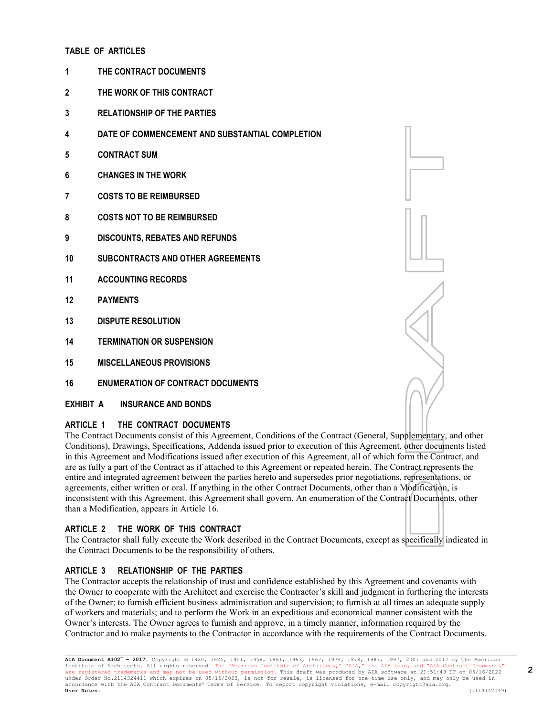#### **TABLE OF ARTICLES**

- **1 THE CONTRACT DOCUMENTS**
- **2 THE WORK OF THIS CONTRACT**
- **3 RELATIONSHIP OF THE PARTIES**
- **4 DATE OF COMMENCEMENT AND SUBSTANTIAL COMPLETION**
- **5 CONTRACT SUM**
- **6 CHANGES IN THE WORK**
- **7 COSTS TO BE REIMBURSED**
- **8 COSTS NOT TO BE REIMBURSED**
- **9 DISCOUNTS, REBATES AND REFUNDS**
- **10 SUBCONTRACTS AND OTHER AGREEMENTS**
- **11 ACCOUNTING RECORDS**
- **12 PAYMENTS**
- **13 DISPUTE RESOLUTION**
- **14 TERMINATION OR SUSPENSION**
- **15 MISCELLANEOUS PROVISIONS**
- **16 ENUMERATION OF CONTRACT DOCUMENTS**
- **EXHIBIT A INSURANCE AND BONDS**

#### **ARTICLE 1 THE CONTRACT DOCUMENTS**

The Contract Documents consist of this Agreement, Conditions of the Contract (General, Supplementary, and other Conditions), Drawings, Specifications, Addenda issued prior to execution of this Agreement, other documents listed in this Agreement and Modifications issued after execution of this Agreement, all of which form the Contract, and are as fully a part of the Contract as if attached to this Agreement or repeated herein. The Contract represents the entire and integrated agreement between the parties hereto and supersedes prior negotiations, representations, or agreements, either written or oral. If anything in the other Contract Documents, other than a Modification, is inconsistent with this Agreement, this Agreement shall govern. An enumeration of the Contract Documents, other than a Modification, appears in Article 16.

#### **ARTICLE 2 THE WORK OF THIS CONTRACT**

The Contractor shall fully execute the Work described in the Contract Documents, except as specifically indicated in the Contract Documents to be the responsibility of others.

#### **ARTICLE 3 RELATIONSHIP OF THE PARTIES**

The Contractor accepts the relationship of trust and confidence established by this Agreement and covenants with the Owner to cooperate with the Architect and exercise the Contractor's skill and judgment in furthering the interests of the Owner; to furnish efficient business administration and supervision; to furnish at all times an adequate supply of workers and materials; and to perform the Work in an expeditious and economical manner consistent with the Owner's interests. The Owner agrees to furnish and approve, in a timely manner, information required by the Contractor and to make payments to the Contractor in accordance with the requirements of the Contract Documents.

**AIA Document A102™ – 2017.** Copyright © 1920, 1925, 1951, 1958, 1961, 1963, 1967, 1974, 1978, 1987, 1997, 2007 and 2017 by The American Institute of Architects. All rights reserved. The "American Institute of Architects," "AIA," the AIA Logo, and "AIA Contract Documents"<br>are registered trademarks and may not be used without permission. This draft was produ under Order No.2114324411 which expires on 05/15/2023, is not for resale, is licensed for one-time use only, and may only be used in<br>accordance with the AIA Contract Documents® Terms of Service. To report copyright violati **User Notes:** (1114142049)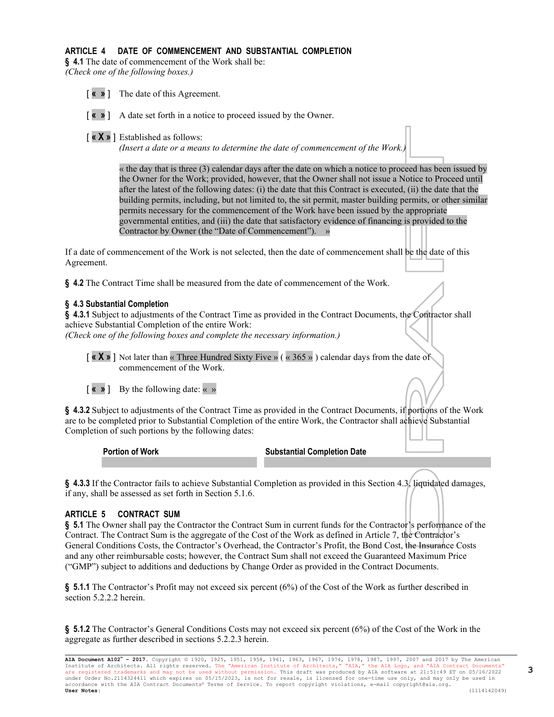#### **ARTICLE 4 DATE OF COMMENCEMENT AND SUBSTANTIAL COMPLETION**

**§ 4.1** The date of commencement of the Work shall be: *(Check one of the following boxes.)*

- [ **« »** ] The date of this Agreement.
- [ **« »** ] A date set forth in a notice to proceed issued by the Owner.
- [ **« X »** ] Established as follows:

*(Insert a date or a means to determine the date of commencement of the Work.)*

« the day that is three (3) calendar days after the date on which a notice to proceed has been issued by the Owner for the Work; provided, however, that the Owner shall not issue a Notice to Proceed until after the latest of the following dates: (i) the date that this Contract is executed, (ii) the date that the building permits, including, but not limited to, the sit permit, master building permits, or other similar permits necessary for the commencement of the Work have been issued by the appropriate governmental entities, and (iii) the date that satisfactory evidence of financing is provided to the Contractor by Owner (the "Date of Commencement"). »

If a date of commencement of the Work is not selected, then the date of commencement shall be the date of this Agreement.

**§ 4.2** The Contract Time shall be measured from the date of commencement of the Work.

#### **§ 4.3 Substantial Completion**

**§ 4.3.1** Subject to adjustments of the Contract Time as provided in the Contract Documents, the Contractor shall achieve Substantial Completion of the entire Work:

*(Check one of the following boxes and complete the necessary information.)*

[ **« X »** ] Not later than « Three Hundred Sixty Five » ( « 365 » ) calendar days from the date of commencement of the Work.

[ **« »** ] By the following date: « »

**§ 4.3.2** Subject to adjustments of the Contract Time as provided in the Contract Documents, if portions of the Work are to be completed prior to Substantial Completion of the entire Work, the Contractor shall achieve Substantial Completion of such portions by the following dates:

**Portion of Work Substantial Completion Date**

**§ 4.3.3** If the Contractor fails to achieve Substantial Completion as provided in this Section 4.3, liquidated damages, if any, shall be assessed as set forth in Section 5.1.6.

#### **ARTICLE 5 CONTRACT SUM**

**§ 5.1** The Owner shall pay the Contractor the Contract Sum in current funds for the Contractor's performance of the Contract. The Contract Sum is the aggregate of the Cost of the Work as defined in Article 7, the Contractor's General Conditions Costs, the Contractor's Overhead, the Contractor's Profit, the Bond Cost, the Insurance Costs and any other reimbursable costs; however, the Contract Sum shall not exceed the Guaranteed Maximum Price ("GMP") subject to additions and deductions by Change Order as provided in the Contract Documents.

**§ 5.1.1** The Contractor's Profit may not exceed six percent (6%) of the Cost of the Work as further described in section 5.2.2.2 herein.

**§ 5.1.2** The Contractor's General Conditions Costs may not exceed six percent (6%) of the Cost of the Work in the aggregate as further described in sections 5.2.2.3 herein.

**AIA Document A102™ – 2017.** Copyright © 1920, 1925, 1951, 1958, 1961, 1963, 1967, 1974, 1978, 1987, 1997, 2007 and 2017 by The American Institute of Architects. All rights reserved. The "American Institute of Architects," "AIA," the AIA Logo, and "AIA Contract Documents"<br>are registered trademarks and may not be used without permission. This draft was produ under Order No.2114324411 which expires on 05/15/2023, is not for resale, is licensed for one-time use only, and may only be used in accordance with the AIA Contract Documents® Terms of Service. To report copyright violations, e-mail copyright@aia.org.<br>User Notes: **User Notes:** (1114142049)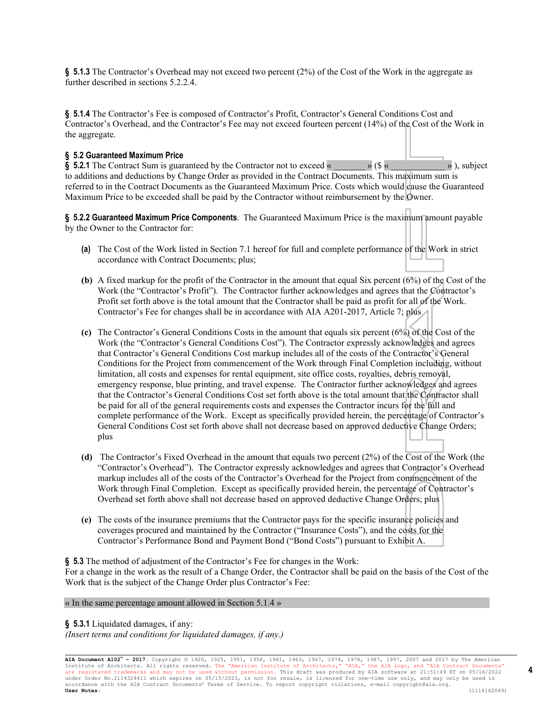**§ 5.1.3** The Contractor's Overhead may not exceed two percent (2%) of the Cost of the Work in the aggregate as further described in sections 5.2.2.4.

**§ 5.1.4** The Contractor's Fee is composed of Contractor's Profit, Contractor's General Conditions Cost and Contractor's Overhead, and the Contractor's Fee may not exceed fourteen percent (14%) of the Cost of the Work in the aggregate.

#### **§ 5.2 Guaranteed Maximum Price**

**§ 5.2.1** The Contract Sum is guaranteed by the Contractor not to exceed «  $\leq$   $\frac{1}{8}$  (\$ «  $\leq$   $\leq$   $\frac{1}{8}$ ), subject to additions and deductions by Change Order as provided in the Contract Documents. This maximum sum is referred to in the Contract Documents as the Guaranteed Maximum Price. Costs which would cause the Guaranteed Maximum Price to be exceeded shall be paid by the Contractor without reimbursement by the Owner.

**§ 5.2.2 Guaranteed Maximum Price Components**. The Guaranteed Maximum Price is the maximum amount payable by the Owner to the Contractor for:

- **(a)** The Cost of the Work listed in Section 7.1 hereof for full and complete performance of the Work in strict accordance with Contract Documents; plus;
- **(b)** A fixed markup for the profit of the Contractor in the amount that equal Six percent (6%) of the Cost of the Work (the "Contractor's Profit"). The Contractor further acknowledges and agrees that the Contractor's Profit set forth above is the total amount that the Contractor shall be paid as profit for all of the Work. Contractor's Fee for changes shall be in accordance with AIA A201-2017, Article 7; plus
- **(c)** The Contractor's General Conditions Costs in the amount that equals six percent (6%) of the Cost of the Work (the "Contractor's General Conditions Cost"). The Contractor expressly acknowledges and agrees that Contractor's General Conditions Cost markup includes all of the costs of the Contractor's General Conditions for the Project from commencement of the Work through Final Completion including, without limitation, all costs and expenses for rental equipment, site office costs, royalties, debris removal, emergency response, blue printing, and travel expense. The Contractor further acknowledges and agrees that the Contractor's General Conditions Cost set forth above is the total amount that the Contractor shall be paid for all of the general requirements costs and expenses the Contractor incurs for the full and complete performance of the Work. Except as specifically provided herein, the percentage of Contractor's General Conditions Cost set forth above shall not decrease based on approved deductive Change Orders; plus
- **(d)** The Contractor's Fixed Overhead in the amount that equals two percent (2%) of the Cost of the Work (the "Contractor's Overhead"). The Contractor expressly acknowledges and agrees that Contractor's Overhead markup includes all of the costs of the Contractor's Overhead for the Project from commencement of the Work through Final Completion. Except as specifically provided herein, the percentage of Contractor's Overhead set forth above shall not decrease based on approved deductive Change Orders; plus
- **(e)** The costs of the insurance premiums that the Contractor pays for the specific insurance policies and coverages procured and maintained by the Contractor ("Insurance Costs"), and the costs for the Contractor's Performance Bond and Payment Bond ("Bond Costs") pursuant to Exhibit A.

**§ 5.3** The method of adjustment of the Contractor's Fee for changes in the Work: For a change in the work as the result of a Change Order, the Contractor shall be paid on the basis of the Cost of the Work that is the subject of the Change Order plus Contractor's Fee:

#### « In the same percentage amount allowed in Section 5.1.4 »

#### **§ 5.3.1** Liquidated damages, if any:

*(Insert terms and conditions for liquidated damages, if any.)*

**AIA Document A102™ – 2017.** Copyright © 1920, 1925, 1951, 1958, 1961, 1963, 1967, 1974, 1978, 1987, 1997, 2007 and 2017 by The American Institute of Architects. All rights reserved. The "American Institute of Architects," "AIA," the AIA Logo, and "AIA Contract Documents"<br>are registered trademarks and may not be used without permission. This draft was produ under Order No.2114324411 which expires on 05/15/2023, is not for resale, is licensed for one-time use only, and may only be used in<br>accordance with the AIA Contract Documents® Terms of Service. To report copyright violati **User Notes:** (1114142049)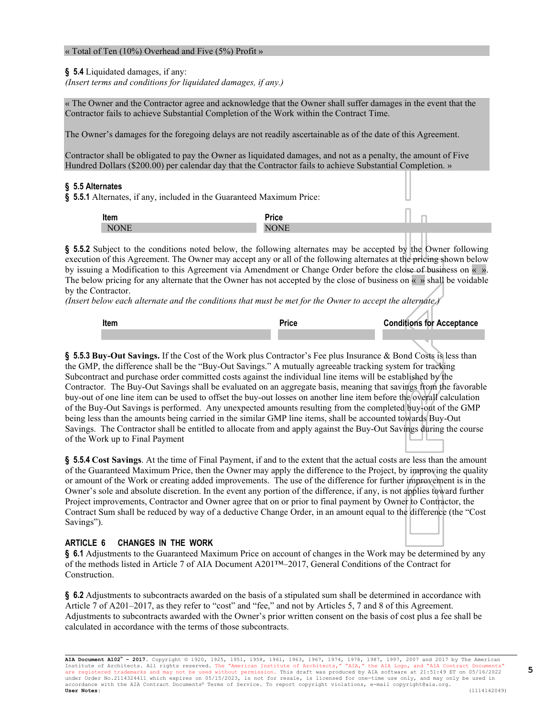#### « Total of Ten (10%) Overhead and Five (5%) Profit »

#### **§ 5.4** Liquidated damages, if any:

*(Insert terms and conditions for liquidated damages, if any.)*

« The Owner and the Contractor agree and acknowledge that the Owner shall suffer damages in the event that the Contractor fails to achieve Substantial Completion of the Work within the Contract Time.

The Owner's damages for the foregoing delays are not readily ascertainable as of the date of this Agreement.

Contractor shall be obligated to pay the Owner as liquidated damages, and not as a penalty, the amount of Five Hundred Dollars (\$200.00) per calendar day that the Contractor fails to achieve Substantial Completion. »

#### **§ 5.5 Alternates**

**§ 5.5.1** Alternates, if any, included in the Guaranteed Maximum Price:

| Item | <sup>o</sup> rice   |  |
|------|---------------------|--|
|      | TГ<br>N<br>١N<br>-- |  |

**§ 5.5.2** Subject to the conditions noted below, the following alternates may be accepted by the Owner following execution of this Agreement. The Owner may accept any or all of the following alternates at the pricing shown below by issuing a Modification to this Agreement via Amendment or Change Order before the close of business on « ». The below pricing for any alternate that the Owner has not accepted by the close of business on  $\alpha$   $\alpha$  shall be voidable by the Contractor.

*(Insert below each alternate and the conditions that must be met for the Owner to accept the alternate.)*

| ltem | Price | <b>Conditions for Acceptance</b> |
|------|-------|----------------------------------|
|      |       |                                  |

**§ 5.5.3 Buy-Out Savings.** If the Cost of the Work plus Contractor's Fee plus Insurance & Bond Costs is less than the GMP, the difference shall be the "Buy-Out Savings." A mutually agreeable tracking system for tracking Subcontract and purchase order committed costs against the individual line items will be established by the Contractor. The Buy-Out Savings shall be evaluated on an aggregate basis, meaning that savings from the favorable buy-out of one line item can be used to offset the buy-out losses on another line item before the overall calculation of the Buy-Out Savings is performed. Any unexpected amounts resulting from the completed buy-out of the GMP being less than the amounts being carried in the similar GMP line items, shall be accounted towards Buy-Out Savings. The Contractor shall be entitled to allocate from and apply against the Buy-Out Savings during the course of the Work up to Final Payment

**§ 5.5.4 Cost Savings**. At the time of Final Payment, if and to the extent that the actual costs are less than the amount of the Guaranteed Maximum Price, then the Owner may apply the difference to the Project, by improving the quality or amount of the Work or creating added improvements. The use of the difference for further improvement is in the Owner's sole and absolute discretion. In the event any portion of the difference, if any, is not applies toward further Project improvements, Contractor and Owner agree that on or prior to final payment by Owner to Contractor, the Contract Sum shall be reduced by way of a deductive Change Order, in an amount equal to the difference (the "Cost Savings").

#### **ARTICLE 6 CHANGES IN THE WORK**

**§ 6.1** Adjustments to the Guaranteed Maximum Price on account of changes in the Work may be determined by any of the methods listed in Article 7 of AIA Document A201™–2017, General Conditions of the Contract for Construction.

**§ 6.2** Adjustments to subcontracts awarded on the basis of a stipulated sum shall be determined in accordance with Article 7 of A201–2017, as they refer to "cost" and "fee," and not by Articles 5, 7 and 8 of this Agreement. Adjustments to subcontracts awarded with the Owner's prior written consent on the basis of cost plus a fee shall be calculated in accordance with the terms of those subcontracts.

**AIA Document A102™ – 2017.** Copyright © 1920, 1925, 1951, 1958, 1961, 1963, 1967, 1974, 1978, 1987, 1997, 2007 and 2017 by The American Institute of Architects. All rights reserved. The "American Institute of Architects," "AIA," the AIA Logo, and "AIA Contract Documents"<br>are registered trademarks and may not be used without permission. This draft was produ under Order No.2114324411 which expires on 05/15/2023, is not for resale, is licensed for one-time use only, and may only be used in accordance with the AIA Contract Documents® Terms of Service. To report copyright violations, e-mail copyright@aia.org.<br>User Notes: **User Notes:** (1114142049)

и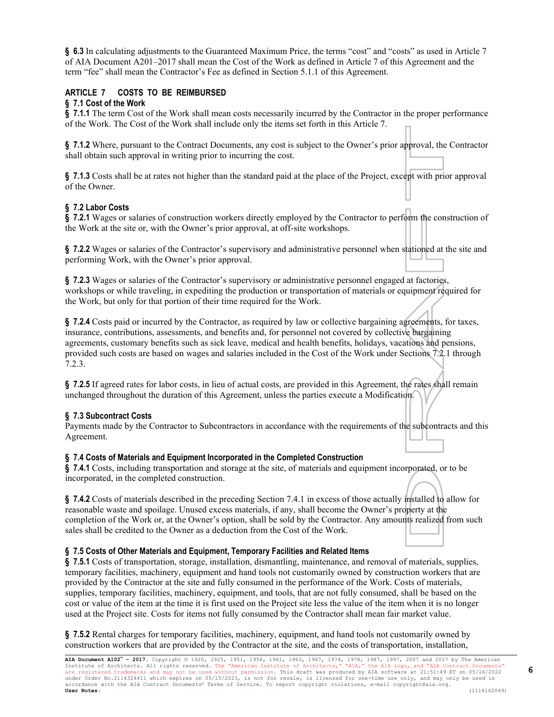**§ 6.3** In calculating adjustments to the Guaranteed Maximum Price, the terms "cost" and "costs" as used in Article 7 of AIA Document A201–2017 shall mean the Cost of the Work as defined in Article 7 of this Agreement and the term "fee" shall mean the Contractor's Fee as defined in Section 5.1.1 of this Agreement.

# **ARTICLE 7 COSTS TO BE REIMBURSED**

#### **§ 7.1 Cost of the Work**

**§ 7.1.1** The term Cost of the Work shall mean costs necessarily incurred by the Contractor in the proper performance of the Work. The Cost of the Work shall include only the items set forth in this Article 7.

**§ 7.1.2** Where, pursuant to the Contract Documents, any cost is subject to the Owner's prior approval, the Contractor shall obtain such approval in writing prior to incurring the cost.

**§ 7.1.3** Costs shall be at rates not higher than the standard paid at the place of the Project, except with prior approval of the Owner.

#### **§ 7.2 Labor Costs**

**§ 7.2.1** Wages or salaries of construction workers directly employed by the Contractor to perform the construction of the Work at the site or, with the Owner's prior approval, at off-site workshops.

**§ 7.2.2** Wages or salaries of the Contractor's supervisory and administrative personnel when stationed at the site and performing Work, with the Owner's prior approval.

**§ 7.2.3** Wages or salaries of the Contractor's supervisory or administrative personnel engaged at factories, workshops or while traveling, in expediting the production or transportation of materials or equipment required for the Work, but only for that portion of their time required for the Work.

**§ 7.2.4** Costs paid or incurred by the Contractor, as required by law or collective bargaining agreements, for taxes, insurance, contributions, assessments, and benefits and, for personnel not covered by collective bargaining agreements, customary benefits such as sick leave, medical and health benefits, holidays, vacations and pensions, provided such costs are based on wages and salaries included in the Cost of the Work under Sections 7.2.1 through 7.2.3.

**§ 7.2.5** If agreed rates for labor costs, in lieu of actual costs, are provided in this Agreement, the rates shall remain unchanged throughout the duration of this Agreement, unless the parties execute a Modification.

#### **§ 7.3 Subcontract Costs**

Payments made by the Contractor to Subcontractors in accordance with the requirements of the subcontracts and this Agreement.

#### **§ 7.4 Costs of Materials and Equipment Incorporated in the Completed Construction**

**§ 7.4.1** Costs, including transportation and storage at the site, of materials and equipment incorporated, or to be incorporated, in the completed construction.

**§ 7.4.2** Costs of materials described in the preceding Section 7.4.1 in excess of those actually installed to allow for reasonable waste and spoilage. Unused excess materials, if any, shall become the Owner's property at the completion of the Work or, at the Owner's option, shall be sold by the Contractor. Any amounts realized from such sales shall be credited to the Owner as a deduction from the Cost of the Work.

#### **§ 7.5 Costs of Other Materials and Equipment, Temporary Facilities and Related Items**

**§ 7.5.1** Costs of transportation, storage, installation, dismantling, maintenance, and removal of materials, supplies, temporary facilities, machinery, equipment and hand tools not customarily owned by construction workers that are provided by the Contractor at the site and fully consumed in the performance of the Work. Costs of materials, supplies, temporary facilities, machinery, equipment, and tools, that are not fully consumed, shall be based on the cost or value of the item at the time it is first used on the Project site less the value of the item when it is no longer used at the Project site. Costs for items not fully consumed by the Contractor shall mean fair market value.

**§ 7.5.2** Rental charges for temporary facilities, machinery, equipment, and hand tools not customarily owned by construction workers that are provided by the Contractor at the site, and the costs of transportation, installation,

**AIA Document A102™ – 2017.** Copyright © 1920, 1925, 1951, 1958, 1961, 1963, 1967, 1974, 1978, 1987, 1997, 2007 and 2017 by The American Institute of Architects. All rights reserved. The "American Institute of Architects," "AIA," the AIA Logo, and "AIA Contract Documents"<br>are registered trademarks and may not be used without permission. This draft was produ under Order No.2114324411 which expires on 05/15/2023, is not for resale, is licensed for one-time use only, and may only be used in<br>accordance with the AIA Contract Documents® Terms of Service. To report copyright violati **User Notes:** (1114142049)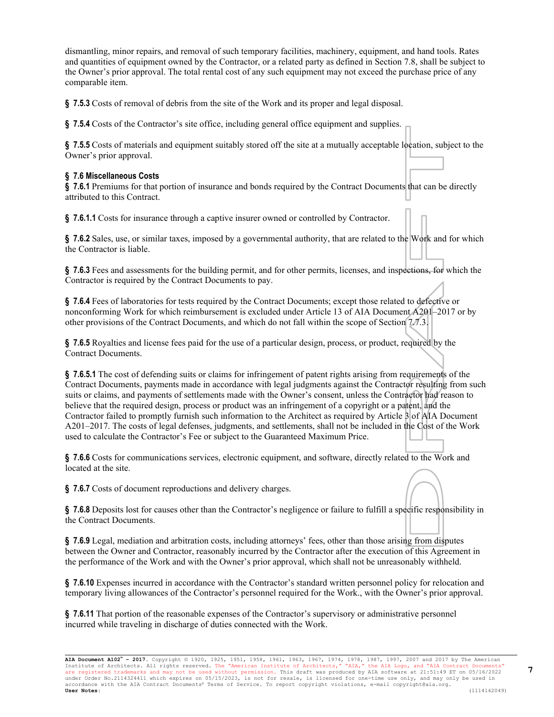dismantling, minor repairs, and removal of such temporary facilities, machinery, equipment, and hand tools. Rates and quantities of equipment owned by the Contractor, or a related party as defined in Section 7.8, shall be subject to the Owner's prior approval. The total rental cost of any such equipment may not exceed the purchase price of any comparable item.

**§ 7.5.3** Costs of removal of debris from the site of the Work and its proper and legal disposal.

**§ 7.5.4** Costs of the Contractor's site office, including general office equipment and supplies.

**§ 7.5.5** Costs of materials and equipment suitably stored off the site at a mutually acceptable location, subject to the Owner's prior approval.

#### **§ 7.6 Miscellaneous Costs**

**§ 7.6.1** Premiums for that portion of insurance and bonds required by the Contract Documents that can be directly attributed to this Contract.

**§ 7.6.1.1** Costs for insurance through a captive insurer owned or controlled by Contractor.

**§ 7.6.2** Sales, use, or similar taxes, imposed by a governmental authority, that are related to the Work and for which the Contractor is liable.

**§ 7.6.3** Fees and assessments for the building permit, and for other permits, licenses, and inspections, for which the Contractor is required by the Contract Documents to pay.

**§ 7.6.4** Fees of laboratories for tests required by the Contract Documents; except those related to defective or nonconforming Work for which reimbursement is excluded under Article 13 of AIA Document A201–2017 or by other provisions of the Contract Documents, and which do not fall within the scope of Section 7.7.3.

**§ 7.6.5** Royalties and license fees paid for the use of a particular design, process, or product, required by the Contract Documents.

**§ 7.6.5.1** The cost of defending suits or claims for infringement of patent rights arising from requirements of the Contract Documents, payments made in accordance with legal judgments against the Contractor resulting from such suits or claims, and payments of settlements made with the Owner's consent, unless the Contractor had reason to believe that the required design, process or product was an infringement of a copyright or a patent, and the Contractor failed to promptly furnish such information to the Architect as required by Article 3 of AIA Document A201–2017. The costs of legal defenses, judgments, and settlements, shall not be included in the Cost of the Work used to calculate the Contractor's Fee or subject to the Guaranteed Maximum Price.

**§ 7.6.6** Costs for communications services, electronic equipment, and software, directly related to the Work and located at the site.

**§ 7.6.7** Costs of document reproductions and delivery charges.

**§ 7.6.8** Deposits lost for causes other than the Contractor's negligence or failure to fulfill a specific responsibility in the Contract Documents.

**§ 7.6.9** Legal, mediation and arbitration costs, including attorneys' fees, other than those arising from disputes between the Owner and Contractor, reasonably incurred by the Contractor after the execution of this Agreement in the performance of the Work and with the Owner's prior approval, which shall not be unreasonably withheld.

**§ 7.6.10** Expenses incurred in accordance with the Contractor's standard written personnel policy for relocation and temporary living allowances of the Contractor's personnel required for the Work., with the Owner's prior approval.

**§ 7.6.11** That portion of the reasonable expenses of the Contractor's supervisory or administrative personnel incurred while traveling in discharge of duties connected with the Work.

**AIA Document A102™ – 2017.** Copyright © 1920, 1925, 1951, 1958, 1961, 1963, 1967, 1974, 1978, 1987, 1997, 2007 and 2017 by The American Institute of Architects. All rights reserved. The "American Institute of Architects," "AIA," the AIA Logo, and "AIA Contract Documents"<br>are registered trademarks and may not be used without permission. This draft was produ under Order No.2114324411 which expires on 05/15/2023, is not for resale, is licensed for one-time use only, and may only be used in<br>accordance with the AIA Contract Documents® Terms of Service. To report copyright violati **User Notes:** (1114142049)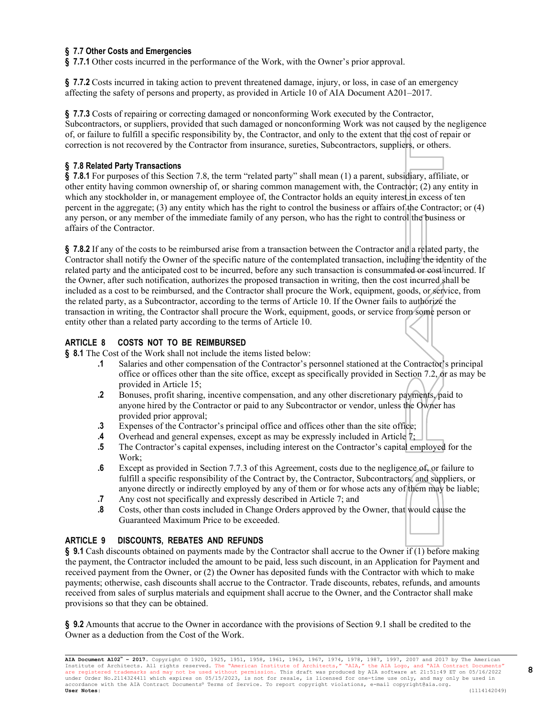#### **§ 7.7 Other Costs and Emergencies**

**§ 7.7.1** Other costs incurred in the performance of the Work, with the Owner's prior approval.

**§ 7.7.2** Costs incurred in taking action to prevent threatened damage, injury, or loss, in case of an emergency affecting the safety of persons and property, as provided in Article 10 of AIA Document A201–2017.

**§ 7.7.3** Costs of repairing or correcting damaged or nonconforming Work executed by the Contractor, Subcontractors, or suppliers, provided that such damaged or nonconforming Work was not caused by the negligence of, or failure to fulfill a specific responsibility by, the Contractor, and only to the extent that the cost of repair or correction is not recovered by the Contractor from insurance, sureties, Subcontractors, suppliers, or others.

#### **§ 7.8 Related Party Transactions**

**§ 7.8.1** For purposes of this Section 7.8, the term "related party" shall mean (1) a parent, subsidiary, affiliate, or other entity having common ownership of, or sharing common management with, the Contractor; (2) any entity in which any stockholder in, or management employee of, the Contractor holds an equity interest in excess of ten percent in the aggregate; (3) any entity which has the right to control the business or affairs of the Contractor; or (4) any person, or any member of the immediate family of any person, who has the right to control the business or affairs of the Contractor.

**§ 7.8.2** If any of the costs to be reimbursed arise from a transaction between the Contractor and a related party, the Contractor shall notify the Owner of the specific nature of the contemplated transaction, including the identity of the related party and the anticipated cost to be incurred, before any such transaction is consummated or cost incurred. If the Owner, after such notification, authorizes the proposed transaction in writing, then the cost incurred shall be included as a cost to be reimbursed, and the Contractor shall procure the Work, equipment, goods, or service, from the related party, as a Subcontractor, according to the terms of Article 10. If the Owner fails to authorize the transaction in writing, the Contractor shall procure the Work, equipment, goods, or service from some person or entity other than a related party according to the terms of Article 10.

#### **ARTICLE 8 COSTS NOT TO BE REIMBURSED**

**§ 8.1** The Cost of the Work shall not include the items listed below:

- **.1** Salaries and other compensation of the Contractor's personnel stationed at the Contractor's principal office or offices other than the site office, except as specifically provided in Section 7.2, or as may be provided in Article 15;
- **.2** Bonuses, profit sharing, incentive compensation, and any other discretionary payments, paid to anyone hired by the Contractor or paid to any Subcontractor or vendor, unless the Owner has provided prior approval;
- **.3** Expenses of the Contractor's principal office and offices other than the site office;
- **.4** Overhead and general expenses, except as may be expressly included in Article 7;
- **.5** The Contractor's capital expenses, including interest on the Contractor's capital employed for the Work;
- **.6** Except as provided in Section 7.7.3 of this Agreement, costs due to the negligence of, or failure to fulfill a specific responsibility of the Contract by, the Contractor, Subcontractors, and suppliers, or anyone directly or indirectly employed by any of them or for whose acts any of them may be liable;
- **.7** Any cost not specifically and expressly described in Article 7; and
- **.8** Costs, other than costs included in Change Orders approved by the Owner, that would cause the Guaranteed Maximum Price to be exceeded.

#### **ARTICLE 9 DISCOUNTS, REBATES AND REFUNDS**

**§ 9.1** Cash discounts obtained on payments made by the Contractor shall accrue to the Owner if (1) before making the payment, the Contractor included the amount to be paid, less such discount, in an Application for Payment and received payment from the Owner, or (2) the Owner has deposited funds with the Contractor with which to make payments; otherwise, cash discounts shall accrue to the Contractor. Trade discounts, rebates, refunds, and amounts received from sales of surplus materials and equipment shall accrue to the Owner, and the Contractor shall make provisions so that they can be obtained.

**§ 9.2** Amounts that accrue to the Owner in accordance with the provisions of Section 9.1 shall be credited to the Owner as a deduction from the Cost of the Work.

**AIA Document A102™ – 2017.** Copyright © 1920, 1925, 1951, 1958, 1961, 1963, 1967, 1974, 1978, 1987, 1997, 2007 and 2017 by The American Institute of Architects. All rights reserved. The "American Institute of Architects," "AIA," the AIA Logo, and "AIA Contract Documents"<br>are registered trademarks and may not be used without permission. This draft was produ under Order No.2114324411 which expires on 05/15/2023, is not for resale, is licensed for one-time use only, and may only be used in<br>accordance with the AIA Contract Documents® Terms of Service. To report copyright violati **User Notes:** (1114142049)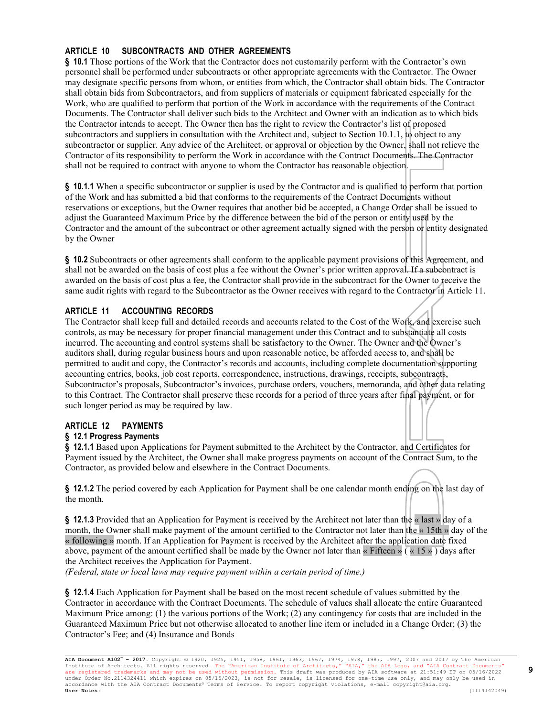#### **ARTICLE 10 SUBCONTRACTS AND OTHER AGREEMENTS**

**§ 10.1** Those portions of the Work that the Contractor does not customarily perform with the Contractor's own personnel shall be performed under subcontracts or other appropriate agreements with the Contractor. The Owner may designate specific persons from whom, or entities from which, the Contractor shall obtain bids. The Contractor shall obtain bids from Subcontractors, and from suppliers of materials or equipment fabricated especially for the Work, who are qualified to perform that portion of the Work in accordance with the requirements of the Contract Documents. The Contractor shall deliver such bids to the Architect and Owner with an indication as to which bids the Contractor intends to accept. The Owner then has the right to review the Contractor's list of proposed subcontractors and suppliers in consultation with the Architect and, subject to Section 10.1.1, to object to any subcontractor or supplier. Any advice of the Architect, or approval or objection by the Owner, shall not relieve the Contractor of its responsibility to perform the Work in accordance with the Contract Documents. The Contractor shall not be required to contract with anyone to whom the Contractor has reasonable objection.

**§ 10.1.1** When a specific subcontractor or supplier is used by the Contractor and is qualified to perform that portion of the Work and has submitted a bid that conforms to the requirements of the Contract Documents without reservations or exceptions, but the Owner requires that another bid be accepted, a Change Order shall be issued to adjust the Guaranteed Maximum Price by the difference between the bid of the person or entity used by the Contractor and the amount of the subcontract or other agreement actually signed with the person or entity designated by the Owner

**§ 10.2** Subcontracts or other agreements shall conform to the applicable payment provisions of this Agreement, and shall not be awarded on the basis of cost plus a fee without the Owner's prior written approval. If a subcontract is awarded on the basis of cost plus a fee, the Contractor shall provide in the subcontract for the Owner to receive the same audit rights with regard to the Subcontractor as the Owner receives with regard to the Contractor in Article 11.

#### **ARTICLE 11 ACCOUNTING RECORDS**

The Contractor shall keep full and detailed records and accounts related to the Cost of the Work, and exercise such controls, as may be necessary for proper financial management under this Contract and to substantiate all costs incurred. The accounting and control systems shall be satisfactory to the Owner. The Owner and the Owner's auditors shall, during regular business hours and upon reasonable notice, be afforded access to, and shall be permitted to audit and copy, the Contractor's records and accounts, including complete documentation supporting accounting entries, books, job cost reports, correspondence, instructions, drawings, receipts, subcontracts, Subcontractor's proposals, Subcontractor's invoices, purchase orders, vouchers, memoranda, and other data relating to this Contract. The Contractor shall preserve these records for a period of three years after final payment, or for such longer period as may be required by law.

#### **ARTICLE 12 PAYMENTS**

#### **§ 12.1 Progress Payments**

**§ 12.1.1** Based upon Applications for Payment submitted to the Architect by the Contractor, and Certificates for Payment issued by the Architect, the Owner shall make progress payments on account of the Contract Sum, to the Contractor, as provided below and elsewhere in the Contract Documents.

**§ 12.1.2** The period covered by each Application for Payment shall be one calendar month ending on the last day of the month.

**§ 12.1.3** Provided that an Application for Payment is received by the Architect not later than the « last » day of a month, the Owner shall make payment of the amount certified to the Contractor not later than the « 15th » day of the « following » month. If an Application for Payment is received by the Architect after the application date fixed above, payment of the amount certified shall be made by the Owner not later than « Fifteen » ( $\kappa$  15 ») days after the Architect receives the Application for Payment.

*(Federal, state or local laws may require payment within a certain period of time.)*

**§ 12.1.4** Each Application for Payment shall be based on the most recent schedule of values submitted by the Contractor in accordance with the Contract Documents. The schedule of values shall allocate the entire Guaranteed Maximum Price among: (1) the various portions of the Work; (2) any contingency for costs that are included in the Guaranteed Maximum Price but not otherwise allocated to another line item or included in a Change Order; (3) the Contractor's Fee; and (4) Insurance and Bonds

**AIA Document A102™ – 2017.** Copyright © 1920, 1925, 1951, 1958, 1961, 1963, 1967, 1974, 1978, 1987, 1997, 2007 and 2017 by The American Institute of Architects. All rights reserved. The "American Institute of Architects," "AIA," the AIA Logo, and "AIA Contract Documents"<br>are registered trademarks and may not be used without permission. This draft was produ under Order No.2114324411 which expires on 05/15/2023, is not for resale, is licensed for one-time use only, and may only be used in<br>accordance with the AIA Contract Documents® Terms of Service. To report copyright violati **User Notes:** (1114142049)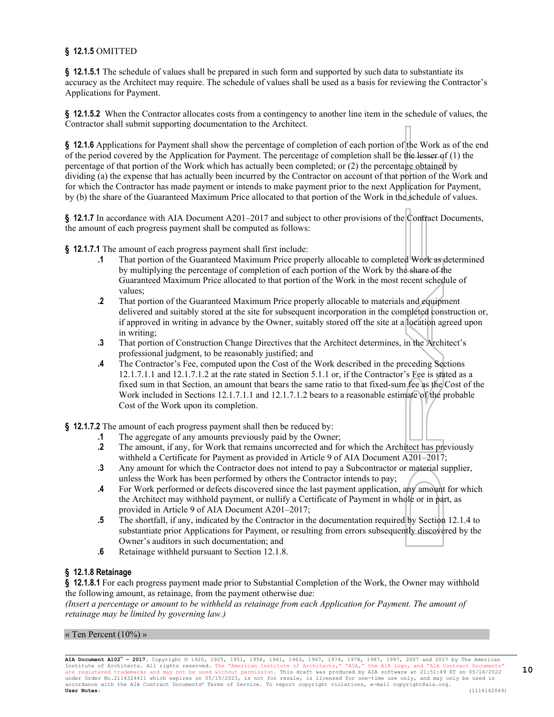#### **§ 12.1.5** OMITTED

**§ 12.1.5.1** The schedule of values shall be prepared in such form and supported by such data to substantiate its accuracy as the Architect may require. The schedule of values shall be used as a basis for reviewing the Contractor's Applications for Payment.

**§ 12.1.5.2** When the Contractor allocates costs from a contingency to another line item in the schedule of values, the Contractor shall submit supporting documentation to the Architect.

**§ 12.1.6** Applications for Payment shall show the percentage of completion of each portion of the Work as of the end of the period covered by the Application for Payment. The percentage of completion shall be the lesser of (1) the percentage of that portion of the Work which has actually been completed; or (2) the percentage obtained by dividing (a) the expense that has actually been incurred by the Contractor on account of that portion of the Work and for which the Contractor has made payment or intends to make payment prior to the next Application for Payment, by (b) the share of the Guaranteed Maximum Price allocated to that portion of the Work in the schedule of values.

**§ 12.1.7** In accordance with AIA Document A201–2017 and subject to other provisions of the Contract Documents, the amount of each progress payment shall be computed as follows:

**§ 12.1.7.1** The amount of each progress payment shall first include:

- **.1** That portion of the Guaranteed Maximum Price properly allocable to completed Work as determined by multiplying the percentage of completion of each portion of the Work by the share of the Guaranteed Maximum Price allocated to that portion of the Work in the most recent schedule of values;
- **.2** That portion of the Guaranteed Maximum Price properly allocable to materials and equipment delivered and suitably stored at the site for subsequent incorporation in the completed construction or, if approved in writing in advance by the Owner, suitably stored off the site at a location agreed upon in writing;
- **.3** That portion of Construction Change Directives that the Architect determines, in the Architect's professional judgment, to be reasonably justified; and
- **.4** The Contractor's Fee, computed upon the Cost of the Work described in the preceding Sections 12.1.7.1.1 and 12.1.7.1.2 at the rate stated in Section 5.1.1 or, if the Contractor's Fee is stated as a fixed sum in that Section, an amount that bears the same ratio to that fixed-sum fee as the Cost of the Work included in Sections 12.1.7.1.1 and 12.1.7.1.2 bears to a reasonable estimate of the probable Cost of the Work upon its completion.

**§ 12.1.7.2** The amount of each progress payment shall then be reduced by:

- **.1** The aggregate of any amounts previously paid by the Owner;
	- **.2** The amount, if any, for Work that remains uncorrected and for which the Architect has previously withheld a Certificate for Payment as provided in Article 9 of AIA Document A201–2017;
	- **.3** Any amount for which the Contractor does not intend to pay a Subcontractor or material supplier, unless the Work has been performed by others the Contractor intends to pay;
	- **.4** For Work performed or defects discovered since the last payment application, any amount for which the Architect may withhold payment, or nullify a Certificate of Payment in whole or in part, as provided in Article 9 of AIA Document A201–2017;
	- **.5** The shortfall, if any, indicated by the Contractor in the documentation required by Section 12.1.4 to substantiate prior Applications for Payment, or resulting from errors subsequently discovered by the Owner's auditors in such documentation; and
	- **.6** Retainage withheld pursuant to Section 12.1.8.

#### **§ 12.1.8 Retainage**

**§ 12.1.8.1** For each progress payment made prior to Substantial Completion of the Work, the Owner may withhold the following amount, as retainage, from the payment otherwise due:

*(Insert a percentage or amount to be withheld as retainage from each Application for Payment. The amount of retainage may be limited by governing law.)*

#### « Ten Percent (10%) »

**AIA Document A102™ – 2017.** Copyright © 1920, 1925, 1951, 1958, 1961, 1963, 1967, 1974, 1978, 1987, 1997, 2007 and 2017 by The American Institute of Architects. All rights reserved. The "American Institute of Architects," "AIA," the AIA Logo, and "AIA Contract Documents"<br>are registered trademarks and may not be used without permission. This draft was produ under Order No.2114324411 which expires on 05/15/2023, is not for resale, is licensed for one-time use only, and may only be used in<br>accordance with the AIA Contract Documents® Terms of Service. To report copyright violati **User Notes:** (1114142049)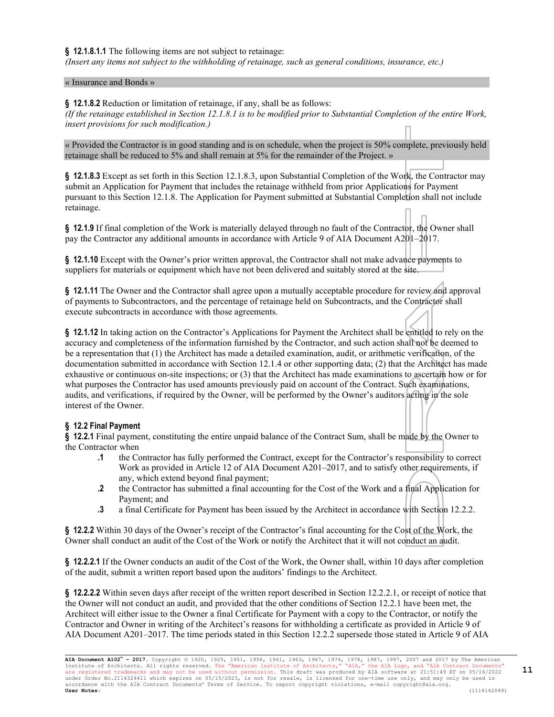**§ 12.1.8.1.1** The following items are not subject to retainage:

*(Insert any items not subject to the withholding of retainage, such as general conditions, insurance, etc.)*

« Insurance and Bonds »

**§ 12.1.8.2** Reduction or limitation of retainage, if any, shall be as follows:

*(If the retainage established in Section 12.1.8.1 is to be modified prior to Substantial Completion of the entire Work, insert provisions for such modification.)*

« Provided the Contractor is in good standing and is on schedule, when the project is 50% complete, previously held retainage shall be reduced to 5% and shall remain at 5% for the remainder of the Project. »

**§ 12.1.8.3** Except as set forth in this Section 12.1.8.3, upon Substantial Completion of the Work, the Contractor may submit an Application for Payment that includes the retainage withheld from prior Applications for Payment pursuant to this Section 12.1.8. The Application for Payment submitted at Substantial Completion shall not include retainage.

**§ 12.1.9** If final completion of the Work is materially delayed through no fault of the Contractor, the Owner shall pay the Contractor any additional amounts in accordance with Article 9 of AIA Document A201–2017.

**§ 12.1.10** Except with the Owner's prior written approval, the Contractor shall not make advance payments to suppliers for materials or equipment which have not been delivered and suitably stored at the site.

**§ 12.1.11** The Owner and the Contractor shall agree upon a mutually acceptable procedure for review and approval of payments to Subcontractors, and the percentage of retainage held on Subcontracts, and the Contractor shall execute subcontracts in accordance with those agreements.

**§ 12.1.12** In taking action on the Contractor's Applications for Payment the Architect shall be entitled to rely on the accuracy and completeness of the information furnished by the Contractor, and such action shall not be deemed to be a representation that (1) the Architect has made a detailed examination, audit, or arithmetic verification, of the documentation submitted in accordance with Section 12.1.4 or other supporting data; (2) that the Architect has made exhaustive or continuous on-site inspections; or (3) that the Architect has made examinations to ascertain how or for what purposes the Contractor has used amounts previously paid on account of the Contract. Such examinations, audits, and verifications, if required by the Owner, will be performed by the Owner's auditors acting in the sole interest of the Owner.

#### **§ 12.2 Final Payment**

**§ 12.2.1** Final payment, constituting the entire unpaid balance of the Contract Sum, shall be made by the Owner to the Contractor when

- **.1** the Contractor has fully performed the Contract, except for the Contractor's responsibility to correct Work as provided in Article 12 of AIA Document A201–2017, and to satisfy other requirements, if any, which extend beyond final payment;
- **.2** the Contractor has submitted a final accounting for the Cost of the Work and a final Application for Payment; and
- **.3** a final Certificate for Payment has been issued by the Architect in accordance with Section 12.2.2.

**§ 12.2.2** Within 30 days of the Owner's receipt of the Contractor's final accounting for the Cost of the Work, the Owner shall conduct an audit of the Cost of the Work or notify the Architect that it will not conduct an audit.

**§ 12.2.2.1** If the Owner conducts an audit of the Cost of the Work, the Owner shall, within 10 days after completion of the audit, submit a written report based upon the auditors' findings to the Architect.

**§ 12.2.2.2** Within seven days after receipt of the written report described in Section 12.2.2.1, or receipt of notice that the Owner will not conduct an audit, and provided that the other conditions of Section 12.2.1 have been met, the Architect will either issue to the Owner a final Certificate for Payment with a copy to the Contractor, or notify the Contractor and Owner in writing of the Architect's reasons for withholding a certificate as provided in Article 9 of AIA Document A201–2017. The time periods stated in this Section 12.2.2 supersede those stated in Article 9 of AIA

**AIA Document A102™ – 2017.** Copyright © 1920, 1925, 1951, 1958, 1961, 1963, 1967, 1974, 1978, 1987, 1997, 2007 and 2017 by The American Institute of Architects. All rights reserved. The "American Institute of Architects," "AIA," the AIA Logo, and "AIA Contract Documents"<br>are registered trademarks and may not be used without permission. This draft was produ under Order No.2114324411 which expires on 05/15/2023, is not for resale, is licensed for one-time use only, and may only be used in<br>accordance with the AIA Contract Documents® Terms of Service. To report copyright violati **User Notes:** (1114142049)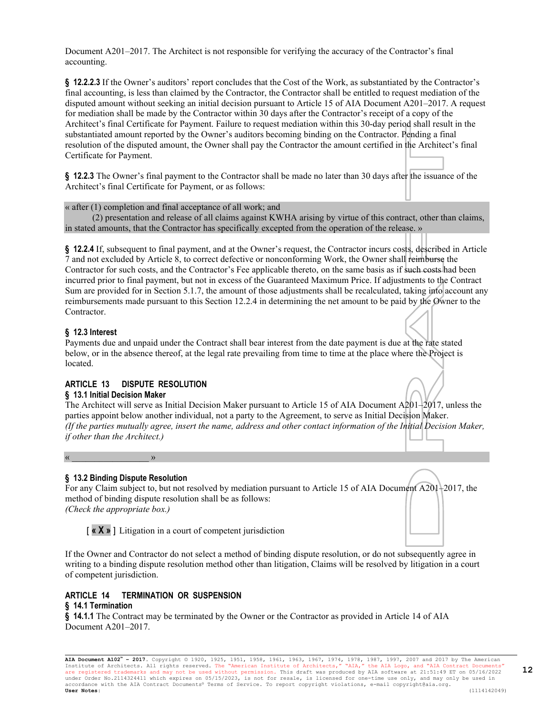Document A201–2017. The Architect is not responsible for verifying the accuracy of the Contractor's final accounting.

**§ 12.2.2.3** If the Owner's auditors' report concludes that the Cost of the Work, as substantiated by the Contractor's final accounting, is less than claimed by the Contractor, the Contractor shall be entitled to request mediation of the disputed amount without seeking an initial decision pursuant to Article 15 of AIA Document A201–2017. A request for mediation shall be made by the Contractor within 30 days after the Contractor's receipt of a copy of the Architect's final Certificate for Payment. Failure to request mediation within this 30-day period shall result in the substantiated amount reported by the Owner's auditors becoming binding on the Contractor. Pending a final resolution of the disputed amount, the Owner shall pay the Contractor the amount certified in the Architect's final Certificate for Payment.

**§ 12.2.3** The Owner's final payment to the Contractor shall be made no later than 30 days after the issuance of the Architect's final Certificate for Payment, or as follows:

« after (1) completion and final acceptance of all work; and

(2) presentation and release of all claims against KWHA arising by virtue of this contract, other than claims, in stated amounts, that the Contractor has specifically excepted from the operation of the release. »

**§ 12.2.4** If, subsequent to final payment, and at the Owner's request, the Contractor incurs costs, described in Article 7 and not excluded by Article 8, to correct defective or nonconforming Work, the Owner shall reimburse the Contractor for such costs, and the Contractor's Fee applicable thereto, on the same basis as if such costs had been incurred prior to final payment, but not in excess of the Guaranteed Maximum Price. If adjustments to the Contract Sum are provided for in Section 5.1.7, the amount of those adjustments shall be recalculated, taking into account any reimbursements made pursuant to this Section 12.2.4 in determining the net amount to be paid by the Owner to the Contractor.

#### **§ 12.3 Interest**

Payments due and unpaid under the Contract shall bear interest from the date payment is due at the rate stated below, or in the absence thereof, at the legal rate prevailing from time to time at the place where the Project is located.

#### **ARTICLE 13 DISPUTE RESOLUTION**

#### **§ 13.1 Initial Decision Maker**

 $\alpha$   $\rightarrow$ 

The Architect will serve as Initial Decision Maker pursuant to Article 15 of AIA Document A201–2017, unless the parties appoint below another individual, not a party to the Agreement, to serve as Initial Decision Maker. *(If the parties mutually agree, insert the name, address and other contact information of the Initial Decision Maker, if other than the Architect.)*

#### **§ 13.2 Binding Dispute Resolution**

For any Claim subject to, but not resolved by mediation pursuant to Article 15 of AIA Document A201–2017, the method of binding dispute resolution shall be as follows: *(Check the appropriate box.)*



If the Owner and Contractor do not select a method of binding dispute resolution, or do not subsequently agree in writing to a binding dispute resolution method other than litigation, Claims will be resolved by litigation in a court of competent jurisdiction.

#### **ARTICLE 14 TERMINATION OR SUSPENSION**

#### **§ 14.1 Termination**

**§ 14.1.1** The Contract may be terminated by the Owner or the Contractor as provided in Article 14 of AIA Document A201–2017.

**AIA Document A102™ – 2017.** Copyright © 1920, 1925, 1951, 1958, 1961, 1963, 1967, 1974, 1978, 1987, 1997, 2007 and 2017 by The American Institute of Architects. All rights reserved. The "American Institute of Architects," "AIA," the AIA Logo, and "AIA Contract Documents"<br>are registered trademarks and may not be used without permission. This draft was produ under Order No.2114324411 which expires on 05/15/2023, is not for resale, is licensed for one-time use only, and may only be used in accordance with the AIA Contract Documents® Terms of Service. To report copyright violations, e-mail copyright@aia.org.<br>User Notes: **User Notes:** (1114142049)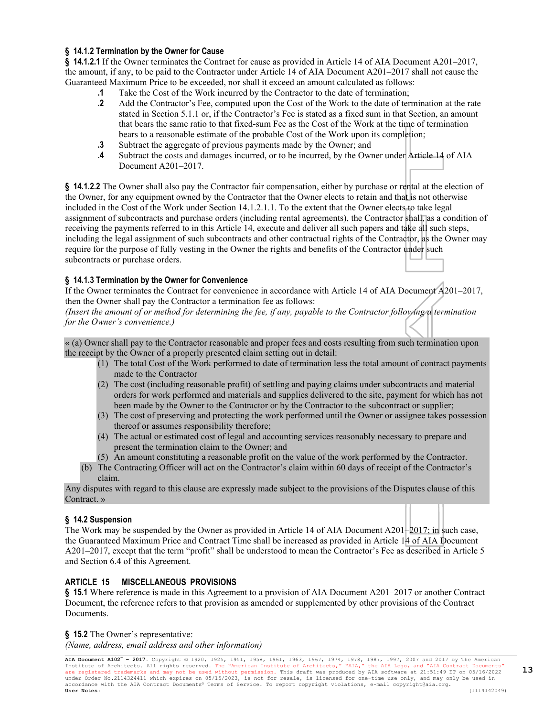#### **§ 14.1.2 Termination by the Owner for Cause**

**§ 14.1.2.1** If the Owner terminates the Contract for cause as provided in Article 14 of AIA Document A201–2017, the amount, if any, to be paid to the Contractor under Article 14 of AIA Document A201–2017 shall not cause the Guaranteed Maximum Price to be exceeded, nor shall it exceed an amount calculated as follows:

- **.1** Take the Cost of the Work incurred by the Contractor to the date of termination;
- **.2** Add the Contractor's Fee, computed upon the Cost of the Work to the date of termination at the rate stated in Section 5.1.1 or, if the Contractor's Fee is stated as a fixed sum in that Section, an amount that bears the same ratio to that fixed-sum Fee as the Cost of the Work at the time of termination bears to a reasonable estimate of the probable Cost of the Work upon its completion;
- **.3** Subtract the aggregate of previous payments made by the Owner; and
- **.4** Subtract the costs and damages incurred, or to be incurred, by the Owner under Article 14 of AIA Document A201–2017.

**§ 14.1.2.2** The Owner shall also pay the Contractor fair compensation, either by purchase or rental at the election of the Owner, for any equipment owned by the Contractor that the Owner elects to retain and that is not otherwise included in the Cost of the Work under Section 14.1.2.1.1. To the extent that the Owner elects to take legal assignment of subcontracts and purchase orders (including rental agreements), the Contractor shall, as a condition of receiving the payments referred to in this Article 14, execute and deliver all such papers and take all such steps, including the legal assignment of such subcontracts and other contractual rights of the Contractor, as the Owner may require for the purpose of fully vesting in the Owner the rights and benefits of the Contractor under such subcontracts or purchase orders.

#### **§ 14.1.3 Termination by the Owner for Convenience**

If the Owner terminates the Contract for convenience in accordance with Article 14 of AIA Document A201–2017, then the Owner shall pay the Contractor a termination fee as follows:

*(Insert the amount of or method for determining the fee, if any, payable to the Contractor following a termination for the Owner's convenience.)*

« (a) Owner shall pay to the Contractor reasonable and proper fees and costs resulting from such termination upon the receipt by the Owner of a properly presented claim setting out in detail:

- (1) The total Cost of the Work performed to date of termination less the total amount of contract payments made to the Contractor
- (2) The cost (including reasonable profit) of settling and paying claims under subcontracts and material orders for work performed and materials and supplies delivered to the site, payment for which has not been made by the Owner to the Contractor or by the Contractor to the subcontract or supplier;
- (3) The cost of preserving and protecting the work performed until the Owner or assignee takes possession thereof or assumes responsibility therefore;
- (4) The actual or estimated cost of legal and accounting services reasonably necessary to prepare and present the termination claim to the Owner; and
- (5) An amount constituting a reasonable profit on the value of the work performed by the Contractor.
- (b) The Contracting Officer will act on the Contractor's claim within 60 days of receipt of the Contractor's claim.

Any disputes with regard to this clause are expressly made subject to the provisions of the Disputes clause of this Contract. »

#### **§ 14.2 Suspension**

The Work may be suspended by the Owner as provided in Article 14 of AIA Document A201–2017; in such case, the Guaranteed Maximum Price and Contract Time shall be increased as provided in Article 14 of AIA Document A201–2017, except that the term "profit" shall be understood to mean the Contractor's Fee as described in Article 5 and Section 6.4 of this Agreement.

#### **ARTICLE 15 MISCELLANEOUS PROVISIONS**

**§ 15.1** Where reference is made in this Agreement to a provision of AIA Document A201–2017 or another Contract Document, the reference refers to that provision as amended or supplemented by other provisions of the Contract Documents.

#### **§ 15.2** The Owner's representative:

*(Name, address, email address and other information)*

**AIA Document A102™ – 2017.** Copyright © 1920, 1925, 1951, 1958, 1961, 1963, 1967, 1974, 1978, 1987, 1997, 2007 and 2017 by The American Institute of Architects. All rights reserved. The "American Institute of Architects," "AIA," the AIA Logo, and "AIA Contract Documents"<br>are registered trademarks and may not be used without permission. This draft was produ under Order No.2114324411 which expires on 05/15/2023, is not for resale, is licensed for one-time use only, and may only be used in<br>accordance with the AIA Contract Documents® Terms of Service. To report copyright violati **User Notes:** (1114142049)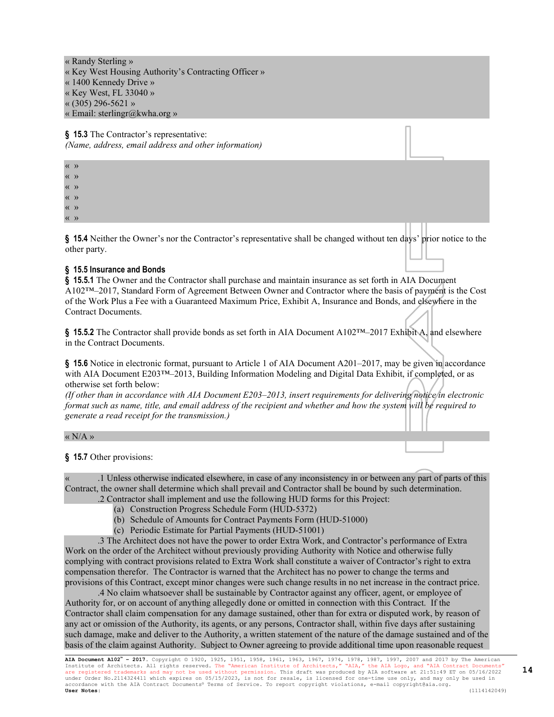« Randy Sterling » « Key West Housing Authority's Contracting Officer » « 1400 Kennedy Drive » « Key West, FL 33040 » « (305) 296-5621 » « Email: sterlingr@kwha.org »

**§ 15.3** The Contractor's representative: *(Name, address, email address and other information)*

« » « » « » « » « » « »

**§ 15.4** Neither the Owner's nor the Contractor's representative shall be changed without ten days' prior notice to the other party.

#### **§ 15.5 Insurance and Bonds**

**§ 15.5.1** The Owner and the Contractor shall purchase and maintain insurance as set forth in AIA Document A102™–2017, Standard Form of Agreement Between Owner and Contractor where the basis of payment is the Cost of the Work Plus a Fee with a Guaranteed Maximum Price, Exhibit A, Insurance and Bonds, and elsewhere in the Contract Documents.

**§ 15.5.2** The Contractor shall provide bonds as set forth in AIA Document A102™–2017 Exhibit A, and elsewhere in the Contract Documents.

**§ 15.6** Notice in electronic format, pursuant to Article 1 of AIA Document A201–2017, may be given in accordance with AIA Document E203™–2013, Building Information Modeling and Digital Data Exhibit, if completed, or as otherwise set forth below:

*(If other than in accordance with AIA Document E203–2013, insert requirements for delivering notice in electronic format such as name, title, and email address of the recipient and whether and how the system will be required to generate a read receipt for the transmission.)*

#### $\langle \langle N/A \rangle \rangle$

**§ 15.7** Other provisions:

.1 Unless otherwise indicated elsewhere, in case of any inconsistency in or between any part of parts of this Contract, the owner shall determine which shall prevail and Contractor shall be bound by such determination. .2 Contractor shall implement and use the following HUD forms for this Project:

- (a) Construction Progress Schedule Form (HUD-5372)
- (b) Schedule of Amounts for Contract Payments Form (HUD-51000)
- (c) Periodic Estimate for Partial Payments (HUD-51001)

.3 The Architect does not have the power to order Extra Work, and Contractor's performance of Extra Work on the order of the Architect without previously providing Authority with Notice and otherwise fully complying with contract provisions related to Extra Work shall constitute a waiver of Contractor's right to extra compensation therefor. The Contractor is warned that the Architect has no power to change the terms and provisions of this Contract, except minor changes were such change results in no net increase in the contract price.

.4 No claim whatsoever shall be sustainable by Contractor against any officer, agent, or employee of Authority for, or on account of anything allegedly done or omitted in connection with this Contract. If the Contractor shall claim compensation for any damage sustained, other than for extra or disputed work, by reason of any act or omission of the Authority, its agents, or any persons, Contractor shall, within five days after sustaining such damage, make and deliver to the Authority, a written statement of the nature of the damage sustained and of the basis of the claim against Authority. Subject to Owner agreeing to provide additional time upon reasonable request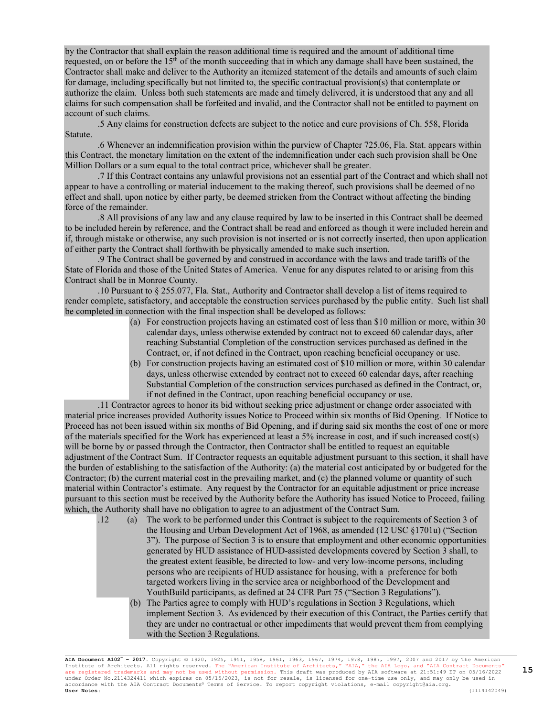by the Contractor that shall explain the reason additional time is required and the amount of additional time requested, on or before the  $15<sup>th</sup>$  of the month succeeding that in which any damage shall have been sustained, the Contractor shall make and deliver to the Authority an itemized statement of the details and amounts of such claim for damage, including specifically but not limited to, the specific contractual provision(s) that contemplate or authorize the claim. Unless both such statements are made and timely delivered, it is understood that any and all claims for such compensation shall be forfeited and invalid, and the Contractor shall not be entitled to payment on account of such claims.

.5 Any claims for construction defects are subject to the notice and cure provisions of Ch. 558, Florida Statute.

.6 Whenever an indemnification provision within the purview of Chapter 725.06, Fla. Stat. appears within this Contract, the monetary limitation on the extent of the indemnification under each such provision shall be One Million Dollars or a sum equal to the total contract price, whichever shall be greater.

.7 If this Contract contains any unlawful provisions not an essential part of the Contract and which shall not appear to have a controlling or material inducement to the making thereof, such provisions shall be deemed of no effect and shall, upon notice by either party, be deemed stricken from the Contract without affecting the binding force of the remainder.

.8 All provisions of any law and any clause required by law to be inserted in this Contract shall be deemed to be included herein by reference, and the Contract shall be read and enforced as though it were included herein and if, through mistake or otherwise, any such provision is not inserted or is not correctly inserted, then upon application of either party the Contract shall forthwith be physically amended to make such insertion.

.9 The Contract shall be governed by and construed in accordance with the laws and trade tariffs of the State of Florida and those of the United States of America. Venue for any disputes related to or arising from this Contract shall be in Monroe County.

.10 Pursuant to § 255.077, Fla. Stat., Authority and Contractor shall develop a list of items required to render complete, satisfactory, and acceptable the construction services purchased by the public entity. Such list shall be completed in connection with the final inspection shall be developed as follows:

- (a) For construction projects having an estimated cost of less than \$10 million or more, within 30 calendar days, unless otherwise extended by contract not to exceed 60 calendar days, after reaching Substantial Completion of the construction services purchased as defined in the Contract, or, if not defined in the Contract, upon reaching beneficial occupancy or use.
- (b) For construction projects having an estimated cost of \$10 million or more, within 30 calendar days, unless otherwise extended by contract not to exceed 60 calendar days, after reaching Substantial Completion of the construction services purchased as defined in the Contract, or, if not defined in the Contract, upon reaching beneficial occupancy or use.

.11 Contractor agrees to honor its bid without seeking price adjustment or change order associated with material price increases provided Authority issues Notice to Proceed within six months of Bid Opening. If Notice to Proceed has not been issued within six months of Bid Opening, and if during said six months the cost of one or more of the materials specified for the Work has experienced at least a 5% increase in cost, and if such increased cost(s) will be borne by or passed through the Contractor, then Contractor shall be entitled to request an equitable adjustment of the Contract Sum. If Contractor requests an equitable adjustment pursuant to this section, it shall have the burden of establishing to the satisfaction of the Authority: (a) the material cost anticipated by or budgeted for the Contractor; (b) the current material cost in the prevailing market, and (c) the planned volume or quantity of such material within Contractor's estimate. Any request by the Contractor for an equitable adjustment or price increase pursuant to this section must be received by the Authority before the Authority has issued Notice to Proceed, failing which, the Authority shall have no obligation to agree to an adjustment of the Contract Sum.

- .12 (a) The work to be performed under this Contract is subject to the requirements of Section 3 of the Housing and Urban Development Act of 1968, as amended (12 USC §1701u) ("Section 3"). The purpose of Section 3 is to ensure that employment and other economic opportunities generated by HUD assistance of HUD-assisted developments covered by Section 3 shall, to the greatest extent feasible, be directed to low- and very low-income persons, including persons who are recipients of HUD assistance for housing, with a preference for both targeted workers living in the service area or neighborhood of the Development and YouthBuild participants, as defined at 24 CFR Part 75 ("Section 3 Regulations").
	- (b) The Parties agree to comply with HUD's regulations in Section 3 Regulations, which implement Section 3. As evidenced by their execution of this Contract, the Parties certify that they are under no contractual or other impediments that would prevent them from complying with the Section 3 Regulations.

**AIA Document A102™ – 2017.** Copyright © 1920, 1925, 1951, 1958, 1961, 1963, 1967, 1974, 1978, 1987, 1997, 2007 and 2017 by The American Institute of Architects. All rights reserved. The "American Institute of Architects," "AIA," the AIA Logo, and "AIA Contract Documents"<br>are registered trademarks and may not be used without permission. This draft was produ under Order No.2114324411 which expires on 05/15/2023, is not for resale, is licensed for one-time use only, and may only be used in<br>accordance with the AIA Contract Documents® Terms of Service. To report copyright violati **User Notes:** (1114142049)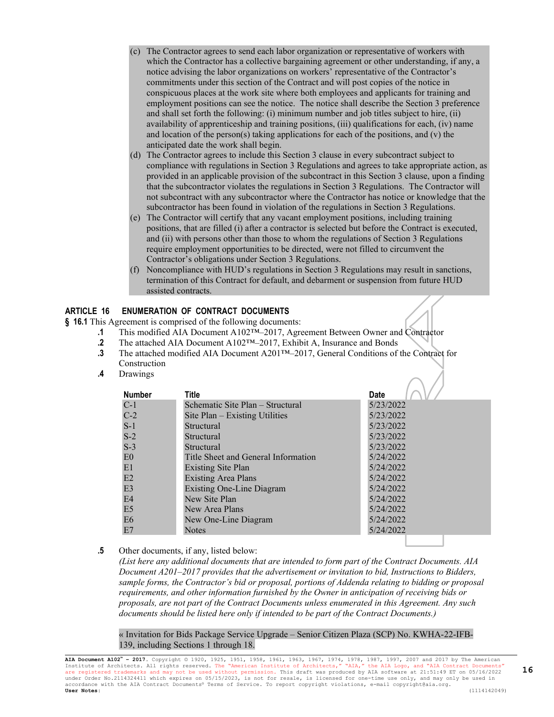- (c) The Contractor agrees to send each labor organization or representative of workers with which the Contractor has a collective bargaining agreement or other understanding, if any, a notice advising the labor organizations on workers' representative of the Contractor's commitments under this section of the Contract and will post copies of the notice in conspicuous places at the work site where both employees and applicants for training and employment positions can see the notice. The notice shall describe the Section 3 preference and shall set forth the following: (i) minimum number and job titles subject to hire, (ii) availability of apprenticeship and training positions, (iii) qualifications for each, (iv) name and location of the person(s) taking applications for each of the positions, and  $(v)$  the anticipated date the work shall begin.
- (d) The Contractor agrees to include this Section 3 clause in every subcontract subject to compliance with regulations in Section 3 Regulations and agrees to take appropriate action, as provided in an applicable provision of the subcontract in this Section 3 clause, upon a finding that the subcontractor violates the regulations in Section 3 Regulations. The Contractor will not subcontract with any subcontractor where the Contractor has notice or knowledge that the subcontractor has been found in violation of the regulations in Section 3 Regulations.
- (e) The Contractor will certify that any vacant employment positions, including training positions, that are filled (i) after a contractor is selected but before the Contract is executed, and (ii) with persons other than those to whom the regulations of Section 3 Regulations require employment opportunities to be directed, were not filled to circumvent the Contractor's obligations under Section 3 Regulations.
- (f) Noncompliance with HUD's regulations in Section 3 Regulations may result in sanctions, termination of this Contract for default, and debarment or suspension from future HUD assisted contracts.

#### **ARTICLE 16 ENUMERATION OF CONTRACT DOCUMENTS**

**§ 16.1** This Agreement is comprised of the following documents:

- **.1** This modified AIA Document A102™–2017, Agreement Between Owner and Contractor
- **.2** The attached AIA Document A102™–2017, Exhibit A, Insurance and Bonds
- **.3** The attached modified AIA Document A201™–2017, General Conditions of the Contract for Construction
- **.4** Drawings

| <b>Number</b>  | <b>Title</b>                        | <b>Date</b> |  |
|----------------|-------------------------------------|-------------|--|
| $C-1$          | Schematic Site Plan – Structural    | 5/23/2022   |  |
| $C-2$          | Site Plan – Existing Utilities      | 5/23/2022   |  |
| $S-1$          | Structural                          | 5/23/2022   |  |
| $S-2$          | Structural                          | 5/23/2022   |  |
| $S-3$          | Structural                          | 5/23/2022   |  |
| E <sub>0</sub> | Title Sheet and General Information | 5/24/2022   |  |
| E1             | <b>Existing Site Plan</b>           | 5/24/2022   |  |
| E2             | Existing Area Plans                 | 5/24/2022   |  |
| E <sub>3</sub> | <b>Existing One-Line Diagram</b>    | 5/24/2022   |  |
| E4             | New Site Plan                       | 5/24/2022   |  |
| E <sub>5</sub> | New Area Plans                      | 5/24/2022   |  |
| E <sub>6</sub> | New One-Line Diagram                | 5/24/2022   |  |
| E7             | <b>Notes</b>                        | 5/24/2022   |  |

**.5** Other documents, if any, listed below:

*(List here any additional documents that are intended to form part of the Contract Documents. AIA Document A201–2017 provides that the advertisement or invitation to bid, Instructions to Bidders, sample forms, the Contractor's bid or proposal, portions of Addenda relating to bidding or proposal requirements, and other information furnished by the Owner in anticipation of receiving bids or proposals, are not part of the Contract Documents unless enumerated in this Agreement. Any such documents should be listed here only if intended to be part of the Contract Documents.)*

« Invitation for Bids Package Service Upgrade – Senior Citizen Plaza (SCP) No. KWHA-22-IFB-139, including Sections 1 through 18.

**AIA Document A102™ – 2017.** Copyright © 1920, 1925, 1951, 1958, 1961, 1963, 1967, 1974, 1978, 1987, 1997, 2007 and 2017 by The American Institute of Architects. All rights reserved. The "American Institute of Architects," "AIA," the AIA Logo, and "AIA Contract Documents"<br>are registered trademarks and may not be used without permission. This draft was produ under Order No.2114324411 which expires on 05/15/2023, is not for resale, is licensed for one-time use only, and may only be used in<br>accordance with the AIA Contract Documents® Terms of Service. To report copyright violati **User Notes:** (1114142049)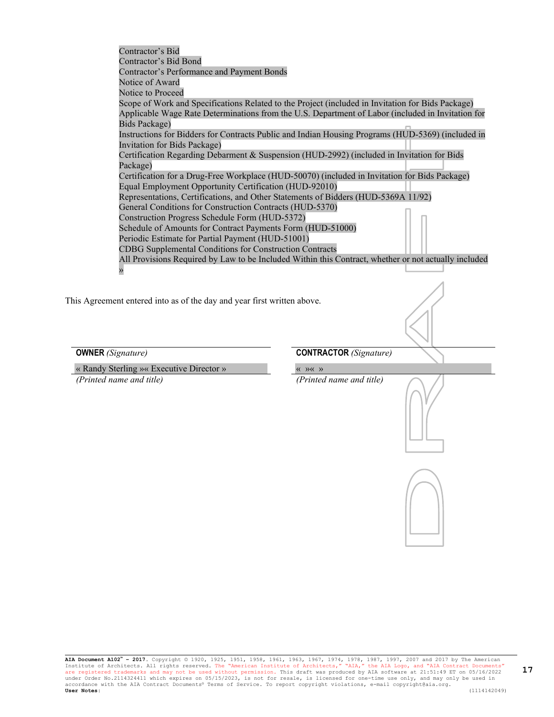Contractor's Bid Contractor's Bid Bond Contractor's Performance and Payment Bonds Notice of Award Notice to Proceed Scope of Work and Specifications Related to the Project (included in Invitation for Bids Package) Applicable Wage Rate Determinations from the U.S. Department of Labor (included in Invitation for Bids Package) Instructions for Bidders for Contracts Public and Indian Housing Programs (HUD-5369) (included in Invitation for Bids Package) Certification Regarding Debarment & Suspension (HUD-2992) (included in Invitation for Bids Package) Certification for a Drug-Free Workplace (HUD-50070) (included in Invitation for Bids Package) Equal Employment Opportunity Certification (HUD-92010) Representations, Certifications, and Other Statements of Bidders (HUD-5369A 11/92) General Conditions for Construction Contracts (HUD-5370) Construction Progress Schedule Form (HUD-5372) Schedule of Amounts for Contract Payments Form (HUD-51000) Periodic Estimate for Partial Payment (HUD-51001) CDBG Supplemental Conditions for Construction Contracts All Provisions Required by Law to be Included Within this Contract, whether or not actually included »

This Agreement entered into as of the day and year first written above.

« Randy Sterling »« Executive Director » « »« »

**OWNER** *(Signature)* **CONTRACTOR** *(Signature)* 

*(Printed name and title) (Printed name and title)*

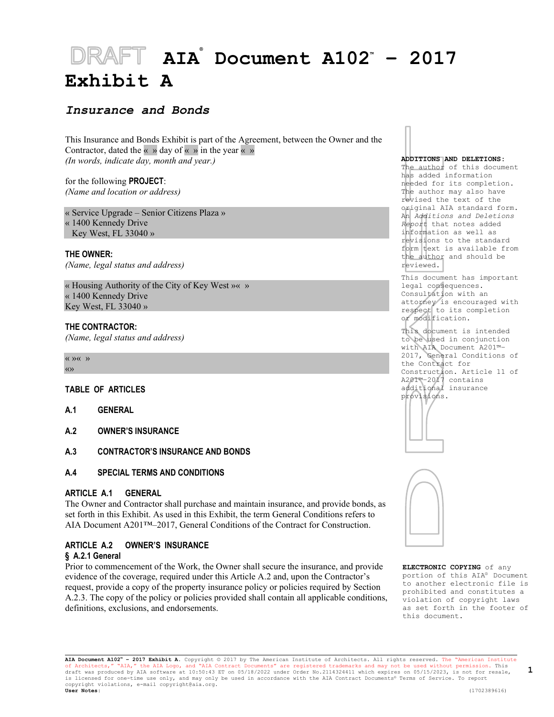# **AIA® Document A102™ – 2017 Exhibit A**

# *Insurance and Bonds*

This Insurance and Bonds Exhibit is part of the Agreement, between the Owner and the Contractor, dated the «  $\rightarrow$  day of «  $\rightarrow$  in the year «  $\rightarrow$ *(In words, indicate day, month and year.)*

for the following **PROJECT**: *(Name and location or address)*

« Service Upgrade – Senior Citizens Plaza » « 1400 Kennedy Drive Key West, FL 33040 »

#### **THE OWNER:**

*(Name, legal status and address)*

« Housing Authority of the City of Key West »« » « 1400 Kennedy Drive Key West, FL 33040 »

#### **THE CONTRACTOR:**

*(Name, legal status and address)*

« »« » «»

#### **TABLE OF ARTICLES**

- **A.1 GENERAL**
- **A.2 OWNER'S INSURANCE**
- **A.3 CONTRACTOR'S INSURANCE AND BONDS**

#### **A.4 SPECIAL TERMS AND CONDITIONS**

#### **ARTICLE A.1 GENERAL**

The Owner and Contractor shall purchase and maintain insurance, and provide bonds, as set forth in this Exhibit. As used in this Exhibit, the term General Conditions refers to AIA Document A201™–2017, General Conditions of the Contract for Construction.

### **ARTICLE A.2 OWNER'S INSURANCE**

#### **§ A.2.1 General**

Prior to commencement of the Work, the Owner shall secure the insurance, and provide evidence of the coverage, required under this Article A.2 and, upon the Contractor's request, provide a copy of the property insurance policy or policies required by Section A.2.3. The copy of the policy or policies provided shall contain all applicable conditions, definitions, exclusions, and endorsements.

#### **ADDITIONS AND DELETIONS:**

The author of this document has added information needed for its completion. The author may also have revised the text of the original AIA standard form. An *Additions and Deletions Report* that notes added information as well as revisions to the standard form text is available from the author and should be reviewed.

This document has important legal consequences. Consultation with an attorney is encouraged with respect to its completion or modification.

This document is intended to be used in conjunction with AIA Document A201™– 2017, General Conditions of the Contract for Construction. Article 11 of A201™–2017 contains additional insurance provisions.





**ELECTRONIC COPYING** of any portion of this AIA® Document to another electronic file is prohibited and constitutes a violation of copyright laws as set forth in the footer of this document.

**AIA Document A102™ – 2017 Exhibit A.** Copyright © 2017 by The American Institute of Architects. All rights reserved. The "American Institute of Architects," "AIA," the AIA Logo, and "AIA Contract Documents" are registered trademarks and may not be used without permission. This<br>draft was produced by AIA software at 10:50:43 ET on 05/18/2022 under Order No.211432 is licensed for one-time use only, and may only be used in accordance with the AIA Contract Documents® Terms of Service. To report copyright violations, e-mail copyright@aia.org.<br>User Notes: **User Notes:** (1702389616)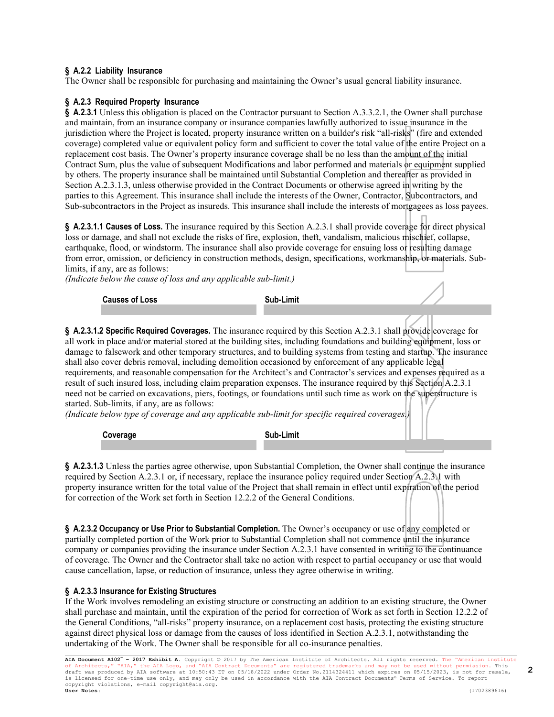#### **§ A.2.2 Liability Insurance**

The Owner shall be responsible for purchasing and maintaining the Owner's usual general liability insurance.

#### **§ A.2.3 Required Property Insurance**

**§ A.2.3.1** Unless this obligation is placed on the Contractor pursuant to Section A.3.3.2.1, the Owner shall purchase and maintain, from an insurance company or insurance companies lawfully authorized to issue insurance in the jurisdiction where the Project is located, property insurance written on a builder's risk "all-risks" (fire and extended coverage) completed value or equivalent policy form and sufficient to cover the total value of the entire Project on a replacement cost basis. The Owner's property insurance coverage shall be no less than the amount of the initial Contract Sum, plus the value of subsequent Modifications and labor performed and materials or equipment supplied by others. The property insurance shall be maintained until Substantial Completion and thereafter as provided in Section A.2.3.1.3, unless otherwise provided in the Contract Documents or otherwise agreed in writing by the parties to this Agreement. This insurance shall include the interests of the Owner, Contractor, Subcontractors, and Sub-subcontractors in the Project as insureds. This insurance shall include the interests of mortgagees as loss payees.

**§ A.2.3.1.1 Causes of Loss.** The insurance required by this Section A.2.3.1 shall provide coverage for direct physical loss or damage, and shall not exclude the risks of fire, explosion, theft, vandalism, malicious mischief, collapse, earthquake, flood, or windstorm. The insurance shall also provide coverage for ensuing loss or resulting damage from error, omission, or deficiency in construction methods, design, specifications, workmanship, or materials. Sublimits, if any, are as follows:

*(Indicate below the cause of loss and any applicable sub-limit.)*

**Causes of Loss Sub-Limit**

**§ A.2.3.1.2 Specific Required Coverages.** The insurance required by this Section A.2.3.1 shall provide coverage for all work in place and/or material stored at the building sites, including foundations and building equipment, loss or damage to falsework and other temporary structures, and to building systems from testing and startup. The insurance shall also cover debris removal, including demolition occasioned by enforcement of any applicable legal requirements, and reasonable compensation for the Architect's and Contractor's services and expenses required as a result of such insured loss, including claim preparation expenses. The insurance required by this Section A.2.3.1 need not be carried on excavations, piers, footings, or foundations until such time as work on the superstructure is started. Sub-limits, if any, are as follows:

*(Indicate below type of coverage and any applicable sub-limit for specific required coverages.)*

| Coverage | Sub-Limit |  |
|----------|-----------|--|
|          |           |  |

**§ A.2.3.1.3** Unless the parties agree otherwise, upon Substantial Completion, the Owner shall continue the insurance required by Section A.2.3.1 or, if necessary, replace the insurance policy required under Section A.2.3.1 with property insurance written for the total value of the Project that shall remain in effect until expiration of the period for correction of the Work set forth in Section 12.2.2 of the General Conditions.

**§ A.2.3.2 Occupancy or Use Prior to Substantial Completion.** The Owner's occupancy or use of any completed or partially completed portion of the Work prior to Substantial Completion shall not commence until the insurance company or companies providing the insurance under Section A.2.3.1 have consented in writing to the continuance of coverage. The Owner and the Contractor shall take no action with respect to partial occupancy or use that would cause cancellation, lapse, or reduction of insurance, unless they agree otherwise in writing.

#### **§ A.2.3.3 Insurance for Existing Structures**

If the Work involves remodeling an existing structure or constructing an addition to an existing structure, the Owner shall purchase and maintain, until the expiration of the period for correction of Work as set forth in Section 12.2.2 of the General Conditions, "all-risks" property insurance, on a replacement cost basis, protecting the existing structure against direct physical loss or damage from the causes of loss identified in Section A.2.3.1, notwithstanding the undertaking of the Work. The Owner shall be responsible for all co-insurance penalties.

**AIA Document A102™ – 2017 Exhibit A.** Copyright © 2017 by The American Institute of Architects. All rights reserved. The "American Institute of Architects," "AIA," the AIA Logo, and "AIA Contract Documents" are registered trademarks and may not be used without permission. This<br>draft was produced by AIA software at 10:50:43 ET on 05/18/2022 under Order No.211432 is licensed for one-time use only, and may only be used in accordance with the AIA Contract Documents® Terms of Service. To report copyright violations, e-mail copyright@aia.org. **User Notes:** (1702389616)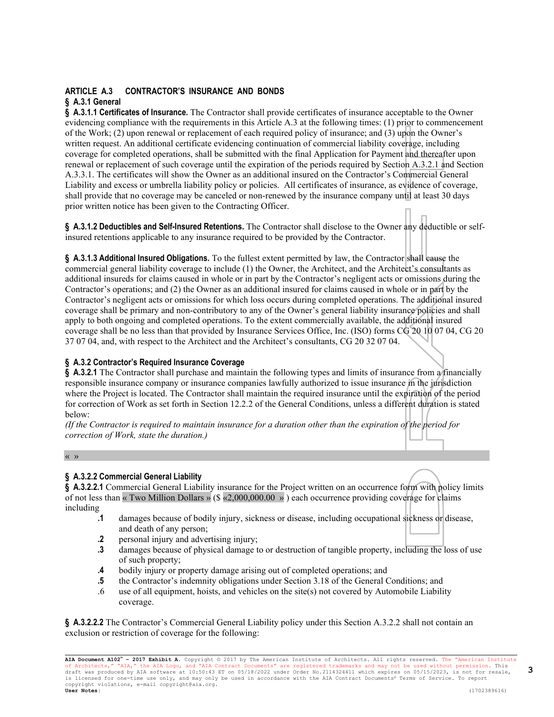#### **ARTICLE A.3 CONTRACTOR'S INSURANCE AND BONDS § A.3.1 General**

**§ A.3.1.1 Certificates of Insurance.** The Contractor shall provide certificates of insurance acceptable to the Owner evidencing compliance with the requirements in this Article A.3 at the following times: (1) prior to commencement of the Work; (2) upon renewal or replacement of each required policy of insurance; and (3) upon the Owner's written request. An additional certificate evidencing continuation of commercial liability coverage, including coverage for completed operations, shall be submitted with the final Application for Payment and thereafter upon renewal or replacement of such coverage until the expiration of the periods required by Section A.3.2.1 and Section A.3.3.1. The certificates will show the Owner as an additional insured on the Contractor's Commercial General Liability and excess or umbrella liability policy or policies. All certificates of insurance, as evidence of coverage, shall provide that no coverage may be canceled or non-renewed by the insurance company until at least 30 days prior written notice has been given to the Contracting Officer.

**§ A.3.1.2 Deductibles and Self-Insured Retentions.** The Contractor shall disclose to the Owner any deductible or selfinsured retentions applicable to any insurance required to be provided by the Contractor.

**§ A.3.1.3 Additional Insured Obligations.** To the fullest extent permitted by law, the Contractor shall cause the commercial general liability coverage to include (1) the Owner, the Architect, and the Architect's consultants as additional insureds for claims caused in whole or in part by the Contractor's negligent acts or omissions during the Contractor's operations; and (2) the Owner as an additional insured for claims caused in whole or in part by the Contractor's negligent acts or omissions for which loss occurs during completed operations. The additional insured coverage shall be primary and non-contributory to any of the Owner's general liability insurance policies and shall apply to both ongoing and completed operations. To the extent commercially available, the additional insured coverage shall be no less than that provided by Insurance Services Office, Inc. (ISO) forms CG 20 10 07 04, CG 20 37 07 04, and, with respect to the Architect and the Architect's consultants, CG 20 32 07 04.

#### **§ A.3.2 Contractor's Required Insurance Coverage**

**§ A.3.2.1** The Contractor shall purchase and maintain the following types and limits of insurance from a financially responsible insurance company or insurance companies lawfully authorized to issue insurance in the jurisdiction where the Project is located. The Contractor shall maintain the required insurance until the expiration of the period for correction of Work as set forth in Section 12.2.2 of the General Conditions, unless a different duration is stated below:

*(If the Contractor is required to maintain insurance for a duration other than the expiration of the period for correction of Work, state the duration.)*

#### « »

#### **§ A.3.2.2 Commercial General Liability**

**§ A.3.2.2.1** Commercial General Liability insurance for the Project written on an occurrence form with policy limits of not less than « Two Million Dollars » (\$ «2,000,000.00 » ) each occurrence providing coverage for claims including

- **.1** damages because of bodily injury, sickness or disease, including occupational sickness or disease, and death of any person;
- **.2** personal injury and advertising injury;
- **.3** damages because of physical damage to or destruction of tangible property, including the loss of use of such property;
- **.4** bodily injury or property damage arising out of completed operations; and
- **.5** the Contractor's indemnity obligations under Section 3.18 of the General Conditions; and
- .6 use of all equipment, hoists, and vehicles on the site(s) not covered by Automobile Liability coverage.

**§ A.3.2.2.2** The Contractor's Commercial General Liability policy under this Section A.3.2.2 shall not contain an exclusion or restriction of coverage for the following: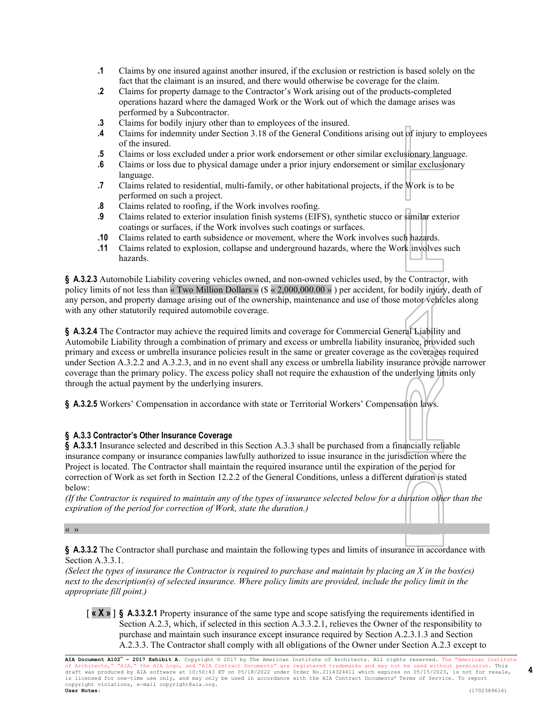- **.1** Claims by one insured against another insured, if the exclusion or restriction is based solely on the fact that the claimant is an insured, and there would otherwise be coverage for the claim.
- **.2** Claims for property damage to the Contractor's Work arising out of the products-completed operations hazard where the damaged Work or the Work out of which the damage arises was performed by a Subcontractor.
- **.3** Claims for bodily injury other than to employees of the insured.
- **.4** Claims for indemnity under Section 3.18 of the General Conditions arising out of injury to employees of the insured.
- **.5** Claims or loss excluded under a prior work endorsement or other similar exclusionary language.
- **.6** Claims or loss due to physical damage under a prior injury endorsement or similar exclusionary language.
- **.7** Claims related to residential, multi-family, or other habitational projects, if the Work is to be performed on such a project.
- **.8** Claims related to roofing, if the Work involves roofing.
- **.9** Claims related to exterior insulation finish systems (EIFS), synthetic stucco or similar exterior coatings or surfaces, if the Work involves such coatings or surfaces.
- **.10** Claims related to earth subsidence or movement, where the Work involves such hazards.
- **.11** Claims related to explosion, collapse and underground hazards, where the Work involves such hazards.

**§ A.3.2.3** Automobile Liability covering vehicles owned, and non-owned vehicles used, by the Contractor, with policy limits of not less than « Two Million Dollars » (\$ « 2,000,000.00 » ) per accident, for bodily injury, death of any person, and property damage arising out of the ownership, maintenance and use of those motor vehicles along with any other statutorily required automobile coverage.

**§ A.3.2.4** The Contractor may achieve the required limits and coverage for Commercial General Liability and Automobile Liability through a combination of primary and excess or umbrella liability insurance, provided such primary and excess or umbrella insurance policies result in the same or greater coverage as the coverages required under Section A.3.2.2 and A.3.2.3, and in no event shall any excess or umbrella liability insurance provide narrower coverage than the primary policy. The excess policy shall not require the exhaustion of the underlying limits only through the actual payment by the underlying insurers.

**§ A.3.2.5** Workers' Compensation in accordance with state or Territorial Workers' Compensation laws.

#### **§ A.3.3 Contractor's Other Insurance Coverage**

**§ A.3.3.1** Insurance selected and described in this Section A.3.3 shall be purchased from a financially reliable insurance company or insurance companies lawfully authorized to issue insurance in the jurisdiction where the Project is located. The Contractor shall maintain the required insurance until the expiration of the period for correction of Work as set forth in Section 12.2.2 of the General Conditions, unless a different duration is stated below:

*(If the Contractor is required to maintain any of the types of insurance selected below for a duration other than the expiration of the period for correction of Work, state the duration.)*

#### « »

**§ A.3.3.2** The Contractor shall purchase and maintain the following types and limits of insurance in accordance with Section A.3.3.1.

*(Select the types of insurance the Contractor is required to purchase and maintain by placing an X in the box(es) next to the description(s) of selected insurance. Where policy limits are provided, include the policy limit in the appropriate fill point.)*

[ **« X »** ] **§ A.3.3.2.1** Property insurance of the same type and scope satisfying the requirements identified in Section A.2.3, which, if selected in this section A.3.3.2.1, relieves the Owner of the responsibility to purchase and maintain such insurance except insurance required by Section A.2.3.1.3 and Section A.2.3.3. The Contractor shall comply with all obligations of the Owner under Section A.2.3 except to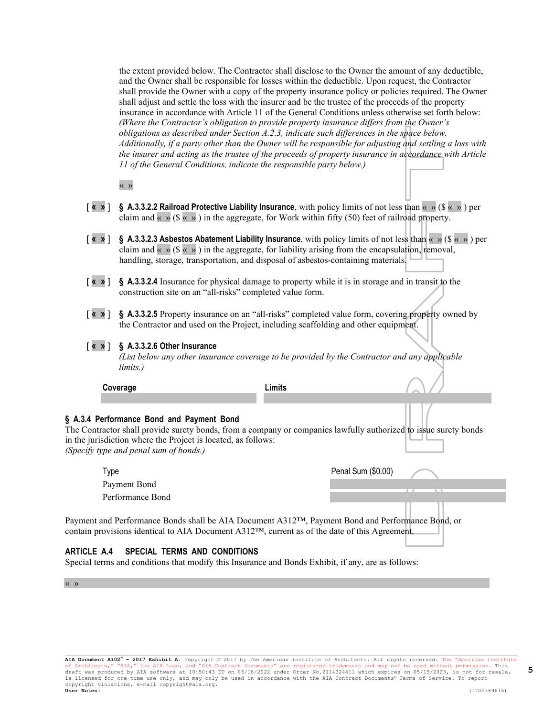the extent provided below. The Contractor shall disclose to the Owner the amount of any deductible, and the Owner shall be responsible for losses within the deductible. Upon request, the Contractor shall provide the Owner with a copy of the property insurance policy or policies required. The Owner shall adjust and settle the loss with the insurer and be the trustee of the proceeds of the property insurance in accordance with Article 11 of the General Conditions unless otherwise set forth below: *(Where the Contractor's obligation to provide property insurance differs from the Owner's obligations as described under Section A.2.3, indicate such differences in the space below. Additionally, if a party other than the Owner will be responsible for adjusting and settling a loss with the insurer and acting as the trustee of the proceeds of property insurance in accordance with Article 11 of the General Conditions, indicate the responsible party below.)*

« »

- [ **« »** ] **§ A.3.3.2.2 Railroad Protective Liability Insurance**, with policy limits of not less than « » (\$ « » ) per claim and «  $\rightarrow$  (\$ «  $\rightarrow$  ) in the aggregate, for Work within fifty (50) feet of railroad property.
- [ **« »** ] **§ A.3.3.2.3 Asbestos Abatement Liability Insurance**, with policy limits of not less than « » (\$ « » ) per claim and « »  $(\frac{\pi}{3} \times \mathfrak{p})$  in the aggregate, for liability arising from the encapsulation, removal, handling, storage, transportation, and disposal of asbestos-containing materials.
- [ **« »** ] **§ A.3.3.2.4** Insurance for physical damage to property while it is in storage and in transit to the construction site on an "all-risks" completed value form.
- [ **« »** ] **§ A.3.3.2.5** Property insurance on an "all-risks" completed value form, covering property owned by the Contractor and used on the Project, including scaffolding and other equipment.

#### [ **« »** ] **§ A.3.3.2.6 Other Insurance**

*(List below any other insurance coverage to be provided by the Contractor and any applicable limits.)*

| Coverage                                                                                                                                                                                                                                                                 | Limits             |  |
|--------------------------------------------------------------------------------------------------------------------------------------------------------------------------------------------------------------------------------------------------------------------------|--------------------|--|
| § A.3.4 Performance Bond and Payment Bond<br>The Contractor shall provide surety bonds, from a company or companies lawfully authorized to issue surety bonds<br>in the jurisdiction where the Project is located, as follows:<br>(Specify type and penal sum of bonds.) |                    |  |
| Type                                                                                                                                                                                                                                                                     | Penal Sum (\$0.00) |  |
| Payment Bond                                                                                                                                                                                                                                                             |                    |  |
| Performance Bond                                                                                                                                                                                                                                                         |                    |  |
| Payment and Performance Bonds shall be AIA Document A312 <sup>TM</sup> , Payment Bond and Performance Bond, or<br>contain provisions identical to AIA Document $A312^{TM}$ , current as of the date of this Agreement.                                                   |                    |  |

#### **ARTICLE A.4 SPECIAL TERMS AND CONDITIONS**

Special terms and conditions that modify this Insurance and Bonds Exhibit, if any, are as follows:

« »

**AIA Document A102™ – 2017 Exhibit A.** Copyright © 2017 by The American Institute of Architects. All rights reserved. The "American Institute of Architects," "AIA," the AIA Logo, and "AIA Contract Documents" are registered trademarks and may not be used without permission. This<br>draft was produced by AIA software at 10:50:43 ET on 05/18/2022 under Order No.211432 is licensed for one-time use only, and may only be used in accordance with the AIA Contract Documents® Terms of Service. To report copyright violations, e-mail copyright@aia.org. **User Notes:** (1702389616)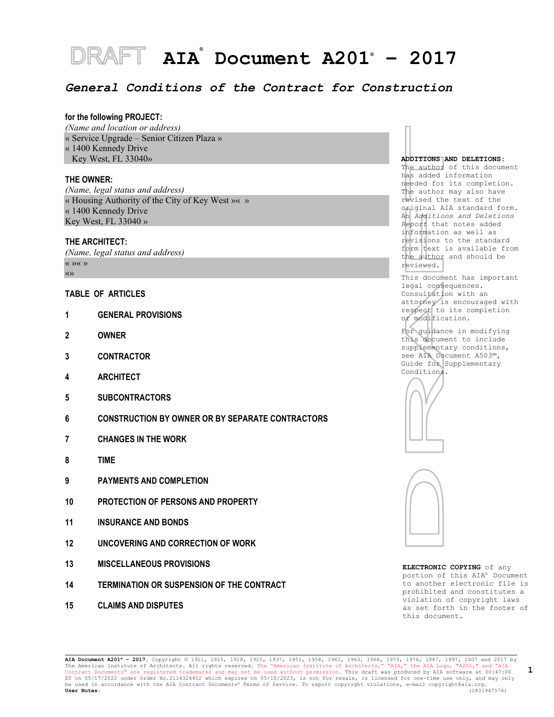# **AIA® Document A201® – 2017**

# *General Conditions of the Contract for Construction*

#### **for the following PROJECT:**

*(Name and location or address)* « Service Upgrade – Senior Citizen Plaza » « 1400 Kennedy Drive Key West, FL 33040»

#### **THE OWNER:**

*(Name, legal status and address)* « Housing Authority of the City of Key West »« » « 1400 Kennedy Drive Key West, FL 33040 »

#### **THE ARCHITECT:**

*(Name, legal status and address)*  $\langle \langle \rangle \rangle \langle \langle \rangle \rangle$ «»

#### **TABLE OF ARTICLES**

- **1 GENERAL PROVISIONS**
- **2 OWNER**
- **3 CONTRACTOR**
- **4 ARCHITECT**
- **5 SUBCONTRACTORS**
- **6 CONSTRUCTION BY OWNER OR BY SEPARATE CONTRACTORS**
- **7 CHANGES IN THE WORK**
- **8 TIME**
- **9 PAYMENTS AND COMPLETION**
- **10 PROTECTION OF PERSONS AND PROPERTY**
- **11 INSURANCE AND BONDS**
- **12 UNCOVERING AND CORRECTION OF WORK**
- **13 MISCELLANEOUS PROVISIONS**
- **14 TERMINATION OR SUSPENSION OF THE CONTRACT**
- **15 CLAIMS AND DISPUTES**

#### **ADDITIONS AND DELETIONS:**

The author of this document has added information needed for its completion. The author may also have revised the text of the original AIA standard form. An *Additions and Deletions Report* that notes added information as well as revisions to the standard form text is available from the author and should be reviewed.

This document has important legal consequences. Consultation with an attorney is encouraged with respect to its completion or modification.

For guidance in modifying this document to include supplementary conditions, see AIA Document A503™, Guide for Supplementary Conditions.





**ELECTRONIC COPYING** of any portion of this AIA® Document to another electronic file is prohibited and constitutes a violation of copyright laws as set forth in the footer of this document.

**AIA Document A201® – 2017.** Copyright © 1911, 1915, 1918, 1925, 1937, 1951, 1958, 1961, 1963, 1966, 1970, 1976, 1987, 1997, 2007 and 2017 by The American Institute of Architects. All rights reserved. The "American Institute of Architects," "AIA," the AIA Logo, "A201," and "AIA<br>Contract Documents" are registered trademarks and may not be used without permission. ET on 05/17/2022 under Order No.2114324412 which expires on 05/15/2023, is not for resale, is licensed for one-time use only, and may only be used in accordance with the AIA Contract Documents® Terms of Service. To report copyright violations, e-mail copyright@aia.org.<br> **User Notes:** (1831947576) **User Notes:** (1831947576) **1**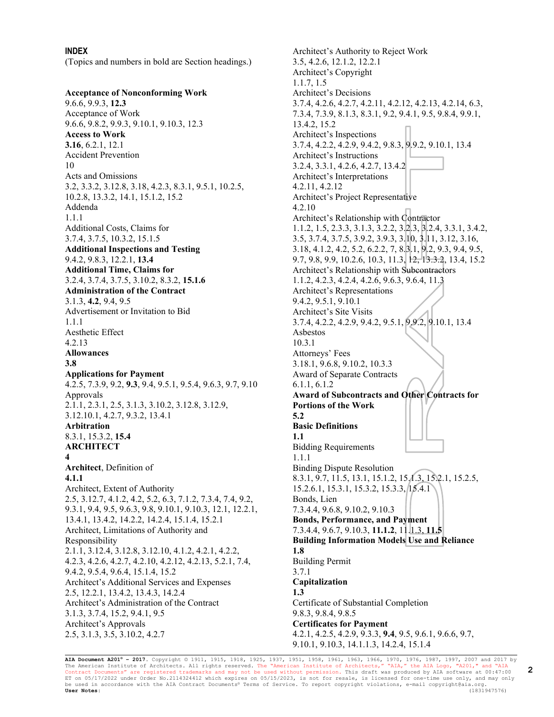#### **INDEX** (Topics and numbers in bold are Section headings.) **Acceptance of Nonconforming Work** 9.6.6, 9.9.3, **12.3** Acceptance of Work 9.6.6, 9.8.2, 9.9.3, 9.10.1, 9.10.3, 12.3 **Access to Work 3.16**, 6.2.1, 12.1 Accident Prevention 10 Acts and Omissions 3.2, 3.3.2, 3.12.8, 3.18, 4.2.3, 8.3.1, 9.5.1, 10.2.5, 10.2.8, 13.3.2, 14.1, 15.1.2, 15.2 Addenda 1.1.1 Additional Costs, Claims for 3.7.4, 3.7.5, 10.3.2, 15.1.5 **Additional Inspections and Testing** 9.4.2, 9.8.3, 12.2.1, **13.4 Additional Time, Claims for** 3.2.4, 3.7.4, 3.7.5, 3.10.2, 8.3.2, **15.1.6 Administration of the Contract** 3.1.3, **4.2**, 9.4, 9.5 Advertisement or Invitation to Bid 1.1.1 Aesthetic Effect 4.2.13 **Allowances 3.8 Applications for Payment** 4.2.5, 7.3.9, 9.2, **9.3**, 9.4, 9.5.1, 9.5.4, 9.6.3, 9.7, 9.10 Approvals 2.1.1, 2.3.1, 2.5, 3.1.3, 3.10.2, 3.12.8, 3.12.9, 3.12.10.1, 4.2.7, 9.3.2, 13.4.1 **Arbitration** 8.3.1, 15.3.2, **15.4 ARCHITECT 4 Architect**, Definition of **4.1.1** Architect, Extent of Authority 2.5, 3.12.7, 4.1.2, 4.2, 5.2, 6.3, 7.1.2, 7.3.4, 7.4, 9.2, 9.3.1, 9.4, 9.5, 9.6.3, 9.8, 9.10.1, 9.10.3, 12.1, 12.2.1, 13.4.1, 13.4.2, 14.2.2, 14.2.4, 15.1.4, 15.2.1 Architect, Limitations of Authority and Responsibility 2.1.1, 3.12.4, 3.12.8, 3.12.10, 4.1.2, 4.2.1, 4.2.2, 4.2.3, 4.2.6, 4.2.7, 4.2.10, 4.2.12, 4.2.13, 5.2.1, 7.4, 9.4.2, 9.5.4, 9.6.4, 15.1.4, 15.2 Architect's Additional Services and Expenses 2.5, 12.2.1, 13.4.2, 13.4.3, 14.2.4 Architect's Administration of the Contract 3.1.3, 3.7.4, 15.2, 9.4.1, 9.5 Architect's Approvals 2.5, 3.1.3, 3.5, 3.10.2, 4.2.7

Architect's Authority to Reject Work 3.5, 4.2.6, 12.1.2, 12.2.1 Architect's Copyright 1.1.7, 1.5 Architect's Decisions 3.7.4, 4.2.6, 4.2.7, 4.2.11, 4.2.12, 4.2.13, 4.2.14, 6.3, 7.3.4, 7.3.9, 8.1.3, 8.3.1, 9.2, 9.4.1, 9.5, 9.8.4, 9.9.1, 13.4.2, 15.2 Architect's Inspections 3.7.4, 4.2.2, 4.2.9, 9.4.2, 9.8.3, 9.9.2, 9.10.1, 13.4 Architect's Instructions 3.2.4, 3.3.1, 4.2.6, 4.2.7, 13.4.2 Architect's Interpretations 4.2.11, 4.2.12 Architect's Project Representative 4.2.10 Architect's Relationship with Contractor 1.1.2, 1.5, 2.3.3, 3.1.3, 3.2.2, 3.2.3, 3.2.4, 3.3.1, 3.4.2, 3.5, 3.7.4, 3.7.5, 3.9.2, 3.9.3, 3.10, 3.11, 3.12, 3.16, 3.18, 4.1.2, 4.2, 5.2, 6.2.2, 7, 8.3.1, 9.2, 9.3, 9.4, 9.5, 9.7, 9.8, 9.9, 10.2.6, 10.3, 11.3, 12, 13.3.2, 13.4, 15.2 Architect's Relationship with Subcontractors 1.1.2, 4.2.3, 4.2.4, 4.2.6, 9.6.3, 9.6.4, 11.3 Architect's Representations 9.4.2, 9.5.1, 9.10.1 Architect's Site Visits 3.7.4, 4.2.2, 4.2.9, 9.4.2, 9.5.1, 9.9.2, 9.10.1, 13.4 Asbestos 10.3.1 Attorneys' Fees 3.18.1, 9.6.8, 9.10.2, 10.3.3 Award of Separate Contracts 6.1.1, 6.1.2 **Award of Subcontracts and Other Contracts for Portions of the Work 5.2 Basic Definitions 1.1** Bidding Requirements 1.1.1 Binding Dispute Resolution 8.3.1, 9.7, 11.5, 13.1, 15.1.2, 15.1.3, 15.2.1, 15.2.5, 15.2.6.1, 15.3.1, 15.3.2, 15.3.3, 15.4.1 Bonds, Lien 7.3.4.4, 9.6.8, 9.10.2, 9.10.3 **Bonds, Performance, and Payment** 7.3.4.4, 9.6.7, 9.10.3, **11.1.2**, 11.1.3, **11.5 Building Information Models Use and Reliance 1.8** Building Permit 3.7.1 **Capitalization 1.3** Certificate of Substantial Completion 9.8.3, 9.8.4, 9.8.5 **Certificates for Payment** 4.2.1, 4.2.5, 4.2.9, 9.3.3, **9.4**, 9.5, 9.6.1, 9.6.6, 9.7, 9.10.1, 9.10.3, 14.1.1.3, 14.2.4, 15.1.4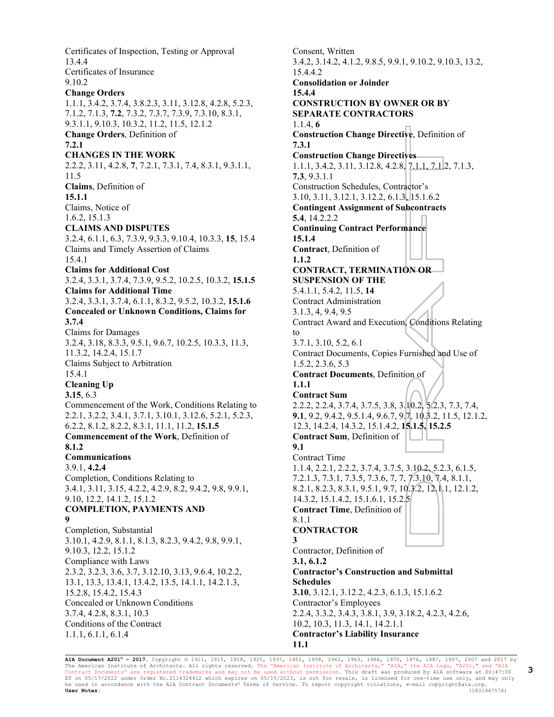Certificates of Inspection, Testing or Approval 13.4.4 Certificates of Insurance 9.10.2 **Change Orders** 1.1.1, 3.4.2, 3.7.4, 3.8.2.3, 3.11, 3.12.8, 4.2.8, 5.2.3, 7.1.2, 7.1.3, **7.2**, 7.3.2, 7.3.7, 7.3.9, 7.3.10, 8.3.1, 9.3.1.1, 9.10.3, 10.3.2, 11.2, 11.5, 12.1.2 **Change Orders**, Definition of **7.2.1 CHANGES IN THE WORK** 2.2.2, 3.11, 4.2.8, **7**, 7.2.1, 7.3.1, 7.4, 8.3.1, 9.3.1.1, 11.5 **Claims**, Definition of **15.1.1** Claims, Notice of 1.6.2, 15.1.3 **CLAIMS AND DISPUTES** 3.2.4, 6.1.1, 6.3, 7.3.9, 9.3.3, 9.10.4, 10.3.3, **15**, 15.4 Claims and Timely Assertion of Claims 15.4.1 **Claims for Additional Cost** 3.2.4, 3.3.1, 3.7.4, 7.3.9, 9.5.2, 10.2.5, 10.3.2, **15.1.5 Claims for Additional Time** 3.2.4, 3.3.1, 3.7.4, 6.1.1, 8.3.2, 9.5.2, 10.3.2, **15.1.6 Concealed or Unknown Conditions, Claims for 3.7.4** Claims for Damages 3.2.4, 3.18, 8.3.3, 9.5.1, 9.6.7, 10.2.5, 10.3.3, 11.3, 11.3.2, 14.2.4, 15.1.7 Claims Subject to Arbitration 15.4.1 **Cleaning Up 3.15**, 6.3 Commencement of the Work, Conditions Relating to 2.2.1, 3.2.2, 3.4.1, 3.7.1, 3.10.1, 3.12.6, 5.2.1, 5.2.3, 6.2.2, 8.1.2, 8.2.2, 8.3.1, 11.1, 11.2, **15.1.5 Commencement of the Work**, Definition of **8.1.2 Communications** 3.9.1, **4.2.4** Completion, Conditions Relating to 3.4.1, 3.11, 3.15, 4.2.2, 4.2.9, 8.2, 9.4.2, 9.8, 9.9.1, 9.10, 12.2, 14.1.2, 15.1.2 **COMPLETION, PAYMENTS AND 9** Completion, Substantial 3.10.1, 4.2.9, 8.1.1, 8.1.3, 8.2.3, 9.4.2, 9.8, 9.9.1, 9.10.3, 12.2, 15.1.2 Compliance with Laws 2.3.2, 3.2.3, 3.6, 3.7, 3.12.10, 3.13, 9.6.4, 10.2.2, 13.1, 13.3, 13.4.1, 13.4.2, 13.5, 14.1.1, 14.2.1.3, 15.2.8, 15.4.2, 15.4.3 Concealed or Unknown Conditions 3.7.4, 4.2.8, 8.3.1, 10.3 Conditions of the Contract 1.1.1, 6.1.1, 6.1.4

Consent, Written 3.4.2, 3.14.2, 4.1.2, 9.8.5, 9.9.1, 9.10.2, 9.10.3, 13.2, 15.4.4.2 **Consolidation or Joinder 15.4.4 CONSTRUCTION BY OWNER OR BY SEPARATE CONTRACTORS** 1.1.4, **6 Construction Change Directive**, Definition of **7.3.1 Construction Change Directives** 1.1.1, 3.4.2, 3.11, 3.12.8, 4.2.8, 7.1.1, 7.1.2, 7.1.3, **7.3**, 9.3.1.1 Construction Schedules, Contractor's 3.10, 3.11, 3.12.1, 3.12.2, 6.1.3, 15.1.6.2 **Contingent Assignment of Subcontracts 5.4**, 14.2.2.2 **Continuing Contract Performance 15.1.4 Contract**, Definition of **1.1.2 CONTRACT, TERMINATION OR SUSPENSION OF THE** 5.4.1.1, 5.4.2, 11.5, **14** Contract Administration 3.1.3, 4, 9.4, 9.5 Contract Award and Execution, Conditions Relating to 3.7.1, 3.10, 5.2, 6.1 Contract Documents, Copies Furnished and Use of 1.5.2, 2.3.6, 5.3 **Contract Documents**, Definition of **1.1.1 Contract Sum** 2.2.2, 2.2.4, 3.7.4, 3.7.5, 3.8, 3.10.2, 5.2.3, 7.3, 7.4, **9.1**, 9.2, 9.4.2, 9.5.1.4, 9.6.7, 9.7, 10.3.2, 11.5, 12.1.2, 12.3, 14.2.4, 14.3.2, 15.1.4.2, **15.1.5, 15.2.5 Contract Sum**, Definition of **9.1** Contract Time 1.1.4, 2.2.1, 2.2.2, 3.7.4, 3.7.5, 3.10.2, 5.2.3, 6.1.5, 7.2.1.3, 7.3.1, 7.3.5, 7.3.6, 7, 7, 7.3.10, 7.4, 8.1.1, 8.2.1, 8.2.3, 8.3.1, 9.5.1, 9.7, 10.3.2, 12.1.1, 12.1.2, 14.3.2, 15.1.4.2, 15.1.6.1, 15.2.5 **Contract Time**, Definition of 8.1.1 **CONTRACTOR 3** Contractor, Definition of **3.1, 6.1.2 Contractor's Construction and Submittal Schedules 3.10**, 3.12.1, 3.12.2, 4.2.3, 6.1.3, 15.1.6.2 Contractor's Employees 2.2.4, 3.3.2, 3.4.3, 3.8.1, 3.9, 3.18.2, 4.2.3, 4.2.6, 10.2, 10.3, 11.3, 14.1, 14.2.1.1 **Contractor's Liability Insurance 11.1**

**3**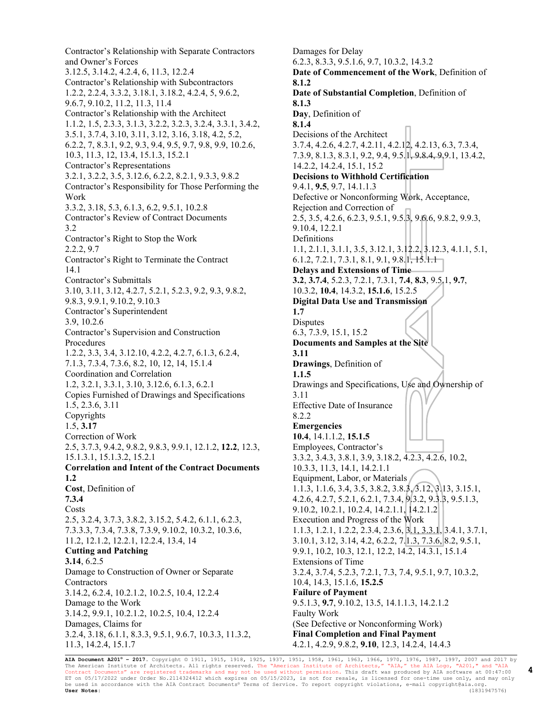Contractor's Relationship with Separate Contractors and Owner's Forces 3.12.5, 3.14.2, 4.2.4, 6, 11.3, 12.2.4 Contractor's Relationship with Subcontractors 1.2.2, 2.2.4, 3.3.2, 3.18.1, 3.18.2, 4.2.4, 5, 9.6.2, 9.6.7, 9.10.2, 11.2, 11.3, 11.4 Contractor's Relationship with the Architect 1.1.2, 1.5, 2.3.3, 3.1.3, 3.2.2, 3.2.3, 3.2.4, 3.3.1, 3.4.2, 3.5.1, 3.7.4, 3.10, 3.11, 3.12, 3.16, 3.18, 4.2, 5.2, 6.2.2, 7, 8.3.1, 9.2, 9.3, 9.4, 9.5, 9.7, 9.8, 9.9, 10.2.6, 10.3, 11.3, 12, 13.4, 15.1.3, 15.2.1 Contractor's Representations 3.2.1, 3.2.2, 3.5, 3.12.6, 6.2.2, 8.2.1, 9.3.3, 9.8.2 Contractor's Responsibility for Those Performing the Work 3.3.2, 3.18, 5.3, 6.1.3, 6.2, 9.5.1, 10.2.8 Contractor's Review of Contract Documents 3.2 Contractor's Right to Stop the Work 2.2.2, 9.7 Contractor's Right to Terminate the Contract 14.1 Contractor's Submittals 3.10, 3.11, 3.12, 4.2.7, 5.2.1, 5.2.3, 9.2, 9.3, 9.8.2, 9.8.3, 9.9.1, 9.10.2, 9.10.3 Contractor's Superintendent 3.9, 10.2.6 Contractor's Supervision and Construction Procedures 1.2.2, 3.3, 3.4, 3.12.10, 4.2.2, 4.2.7, 6.1.3, 6.2.4, 7.1.3, 7.3.4, 7.3.6, 8.2, 10, 12, 14, 15.1.4 Coordination and Correlation 1.2, 3.2.1, 3.3.1, 3.10, 3.12.6, 6.1.3, 6.2.1 Copies Furnished of Drawings and Specifications 1.5, 2.3.6, 3.11 Copyrights 1.5, **3.17** Correction of Work 2.5, 3.7.3, 9.4.2, 9.8.2, 9.8.3, 9.9.1, 12.1.2, **12.2**, 12.3, 15.1.3.1, 15.1.3.2, 15.2.1 **Correlation and Intent of the Contract Documents 1.2 Cost**, Definition of **7.3.4** Costs 2.5, 3.2.4, 3.7.3, 3.8.2, 3.15.2, 5.4.2, 6.1.1, 6.2.3, 7.3.3.3, 7.3.4, 7.3.8, 7.3.9, 9.10.2, 10.3.2, 10.3.6, 11.2, 12.1.2, 12.2.1, 12.2.4, 13.4, 14 **Cutting and Patching 3.14**, 6.2.5 Damage to Construction of Owner or Separate **Contractors** 3.14.2, 6.2.4, 10.2.1.2, 10.2.5, 10.4, 12.2.4 Damage to the Work 3.14.2, 9.9.1, 10.2.1.2, 10.2.5, 10.4, 12.2.4 Damages, Claims for 3.2.4, 3.18, 6.1.1, 8.3.3, 9.5.1, 9.6.7, 10.3.3, 11.3.2, 11.3, 14.2.4, 15.1.7

Damages for Delay 6.2.3, 8.3.3, 9.5.1.6, 9.7, 10.3.2, 14.3.2 **Date of Commencement of the Work**, Definition of **8.1.2 Date of Substantial Completion**, Definition of **8.1.3 Day**, Definition of **8.1.4** Decisions of the Architect 3.7.4, 4.2.6, 4.2.7, 4.2.11, 4.2.12, 4.2.13, 6.3, 7.3.4, 7.3.9, 8.1.3, 8.3.1, 9.2, 9.4, 9.5.1, 9.8.4, 9.9.1, 13.4.2, 14.2.2, 14.2.4, 15.1, 15.2 **Decisions to Withhold Certification** 9.4.1, **9.5**, 9.7, 14.1.1.3 Defective or Nonconforming Work, Acceptance, Rejection and Correction of 2.5, 3.5, 4.2.6, 6.2.3, 9.5.1, 9.5.3, 9.6.6, 9.8.2, 9.9.3, 9.10.4, 12.2.1 Definitions 1.1, 2.1.1, 3.1.1, 3.5, 3.12.1, 3.12.2, 3.12.3, 4.1.1, 5.1,  $6.1.2, 7.2.1, 7.3.1, 8.1, 9.1, 9.8.1, 1.5.1.1$ **Delays and Extensions of Time 3.2**, **3.7.4**, 5.2.3, 7.2.1, 7.3.1, **7.4**, **8.3**, 9.5.1, **9.7**, 10.3.2, **10.4**, 14.3.2, **15.1.6**, 15.2.5 **Digital Data Use and Transmission 1.7** Disputes 6.3, 7.3.9, 15.1, 15.2 **Documents and Samples at the Site 3.11 Drawings**, Definition of **1.1.5** Drawings and Specifications, Use and Ownership of 3.11 Effective Date of Insurance 8.2.2 **Emergencies 10.4**, 14.1.1.2, **15.1.5** Employees, Contractor's 3.3.2, 3.4.3, 3.8.1, 3.9, 3.18.2, 4.2.3, 4.2.6, 10.2, 10.3.3, 11.3, 14.1, 14.2.1.1 Equipment, Labor, or Materials 1.1.3, 1.1.6, 3.4, 3.5, 3.8.2, 3.8.3, 3.12, 3.13, 3.15.1, 4.2.6, 4.2.7, 5.2.1, 6.2.1, 7.3.4, 9.3.2, 9.3.3, 9.5.1.3, 9.10.2, 10.2.1, 10.2.4, 14.2.1.1, 14.2.1.2 Execution and Progress of the Work 1.1.3, 1.2.1, 1.2.2, 2.3.4, 2.3.6, 3.1, 3.3.1, 3.4.1, 3.7.1, 3.10.1, 3.12, 3.14, 4.2, 6.2.2, 7.1.3, 7.3.6, 8.2, 9.5.1, 9.9.1, 10.2, 10.3, 12.1, 12.2, 14.2, 14.3.1, 15.1.4 Extensions of Time 3.2.4, 3.7.4, 5.2.3, 7.2.1, 7.3, 7.4, 9.5.1, 9.7, 10.3.2, 10.4, 14.3, 15.1.6, **15.2.5 Failure of Payment** 9.5.1.3, **9.7**, 9.10.2, 13.5, 14.1.1.3, 14.2.1.2 Faulty Work (See Defective or Nonconforming Work) **Final Completion and Final Payment** 4.2.1, 4.2.9, 9.8.2, **9.10**, 12.3, 14.2.4, 14.4.3

**4**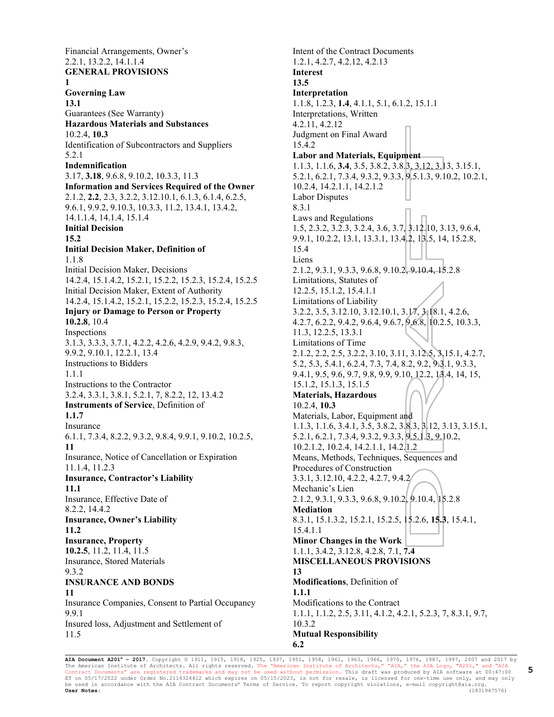Financial Arrangements, Owner's 2.2.1, 13.2.2, 14.1.1.4 **GENERAL PROVISIONS 1 Governing Law 13.1** Guarantees (See Warranty) **Hazardous Materials and Substances** 10.2.4, **10.3** Identification of Subcontractors and Suppliers 5.2.1 **Indemnification** 3.17, **3.18**, 9.6.8, 9.10.2, 10.3.3, 11.3 **Information and Services Required of the Owner** 2.1.2, **2.2**, 2.3, 3.2.2, 3.12.10.1, 6.1.3, 6.1.4, 6.2.5, 9.6.1, 9.9.2, 9.10.3, 10.3.3, 11.2, 13.4.1, 13.4.2, 14.1.1.4, 14.1.4, 15.1.4 **Initial Decision 15.2 Initial Decision Maker, Definition of** 1.1.8 Initial Decision Maker, Decisions 14.2.4, 15.1.4.2, 15.2.1, 15.2.2, 15.2.3, 15.2.4, 15.2.5 Initial Decision Maker, Extent of Authority 14.2.4, 15.1.4.2, 15.2.1, 15.2.2, 15.2.3, 15.2.4, 15.2.5 **Injury or Damage to Person or Property 10.2.8**, 10.4 Inspections 3.1.3, 3.3.3, 3.7.1, 4.2.2, 4.2.6, 4.2.9, 9.4.2, 9.8.3, 9.9.2, 9.10.1, 12.2.1, 13.4 Instructions to Bidders 1.1.1 Instructions to the Contractor 3.2.4, 3.3.1, 3.8.1, 5.2.1, 7, 8.2.2, 12, 13.4.2 **Instruments of Service**, Definition of **1.1.7** Insurance 6.1.1, 7.3.4, 8.2.2, 9.3.2, 9.8.4, 9.9.1, 9.10.2, 10.2.5, **11** Insurance, Notice of Cancellation or Expiration 11.1.4, 11.2.3 **Insurance, Contractor's Liability 11.1** Insurance, Effective Date of 8.2.2, 14.4.2 **Insurance, Owner's Liability 11.2 Insurance, Property 10.2.5**, 11.2, 11.4, 11.5 Insurance, Stored Materials 9.3.2 **INSURANCE AND BONDS 11** Insurance Companies, Consent to Partial Occupancy 9.9.1 Insured loss, Adjustment and Settlement of 11.5

Intent of the Contract Documents 1.2.1, 4.2.7, 4.2.12, 4.2.13 **Interest 13.5 Interpretation** 1.1.8, 1.2.3, **1.4**, 4.1.1, 5.1, 6.1.2, 15.1.1 Interpretations, Written 4.2.11, 4.2.12 Judgment on Final Award 15.4.2 **Labor and Materials, Equipment** 1.1.3, 1.1.6, **3.4**, 3.5, 3.8.2, 3.8.3, 3.12, 3.13, 3.15.1, 5.2.1, 6.2.1, 7.3.4, 9.3.2, 9.3.3, 9.5.1.3, 9.10.2, 10.2.1, 10.2.4, 14.2.1.1, 14.2.1.2 Labor Disputes 8.3.1 Laws and Regulations 1.5, 2.3.2, 3.2.3, 3.2.4, 3.6, 3.7, 3.12.10, 3.13, 9.6.4, 9.9.1, 10.2.2, 13.1, 13.3.1, 13.4.2, 13.5, 14, 15.2.8, 15.4 Liens 2.1.2, 9.3.1, 9.3.3, 9.6.8, 9.10.2, 9.10.4, 15.2.8 Limitations, Statutes of 12.2.5, 15.1.2, 15.4.1.1 Limitations of Liability 3.2.2, 3.5, 3.12.10, 3.12.10.1, 3.17, 3.18.1, 4.2.6, 4.2.7, 6.2.2, 9.4.2, 9.6.4, 9.6.7, 9.6.8, 10.2.5, 10.3.3, 11.3, 12.2.5, 13.3.1 Limitations of Time 2.1.2, 2.2, 2.5, 3.2.2, 3.10, 3.11, 3.12.5, 3.15.1, 4.2.7, 5.2, 5.3, 5.4.1, 6.2.4, 7.3, 7.4, 8.2, 9.2, 9.3.1, 9.3.3, 9.4.1, 9.5, 9.6, 9.7, 9.8, 9.9, 9.10, 12.2, 13.4, 14, 15, 15.1.2, 15.1.3, 15.1.5 **Materials, Hazardous** 10.2.4, **10.3** Materials, Labor, Equipment and 1.1.3, 1.1.6, 3.4.1, 3.5, 3.8.2, 3.8.3, 3.12, 3.13, 3.15.1, 5.2.1, 6.2.1, 7.3.4, 9.3.2, 9.3.3, 9.5.1.3, 9.10.2, 10.2.1.2, 10.2.4, 14.2.1.1, 14.2.1.2 Means, Methods, Techniques, Sequences and Procedures of Construction 3.3.1, 3.12.10, 4.2.2, 4.2.7, 9.4.2 Mechanic's Lien 2.1.2, 9.3.1, 9.3.3, 9.6.8, 9.10.2, 9.10.4, 15.2.8 **Mediation** 8.3.1, 15.1.3.2, 15.2.1, 15.2.5, 15.2.6, **15.3**, 15.4.1, 15.4.1.1 **Minor Changes in the Work** 1.1.1, 3.4.2, 3.12.8, 4.2.8, 7.1, **7.4 MISCELLANEOUS PROVISIONS 13 Modifications**, Definition of **1.1.1** Modifications to the Contract 1.1.1, 1.1.2, 2.5, 3.11, 4.1.2, 4.2.1, 5.2.3, 7, 8.3.1, 9.7, 10.3.2 **Mutual Responsibility 6.2**

**5**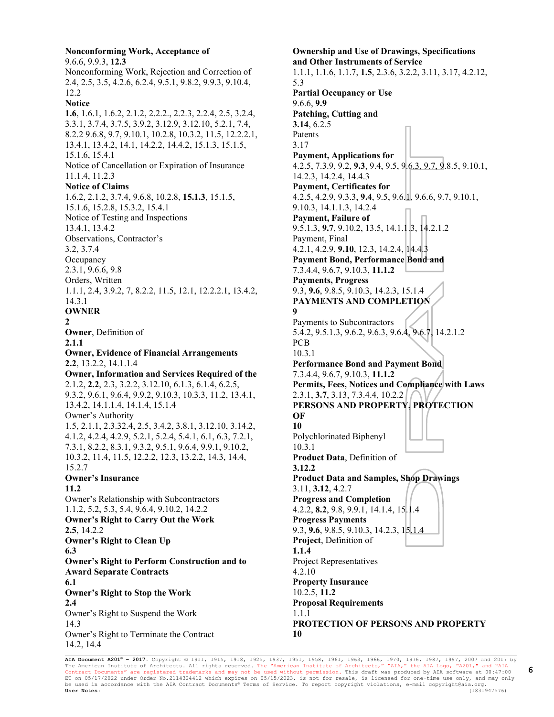**Nonconforming Work, Acceptance of** 9.6.6, 9.9.3, **12.3** Nonconforming Work, Rejection and Correction of 2.4, 2.5, 3.5, 4.2.6, 6.2.4, 9.5.1, 9.8.2, 9.9.3, 9.10.4, 12.2 **Notice 1.6**, 1.6.1, 1.6.2, 2.1.2, 2.2.2., 2.2.3, 2.2.4, 2.5, 3.2.4, 3.3.1, 3.7.4, 3.7.5, 3.9.2, 3.12.9, 3.12.10, 5.2.1, 7.4, 8.2.2 9.6.8, 9.7, 9.10.1, 10.2.8, 10.3.2, 11.5, 12.2.2.1, 13.4.1, 13.4.2, 14.1, 14.2.2, 14.4.2, 15.1.3, 15.1.5, 15.1.6, 15.4.1 Notice of Cancellation or Expiration of Insurance 11.1.4, 11.2.3 **Notice of Claims** 1.6.2, 2.1.2, 3.7.4, 9.6.8, 10.2.8, **15.1.3**, 15.1.5, 15.1.6, 15.2.8, 15.3.2, 15.4.1 Notice of Testing and Inspections 13.4.1, 13.4.2 Observations, Contractor's 3.2, 3.7.4 **Occupancy** 2.3.1, 9.6.6, 9.8 Orders, Written 1.1.1, 2.4, 3.9.2, 7, 8.2.2, 11.5, 12.1, 12.2.2.1, 13.4.2, 14.3.1 **OWNER 2 Owner**, Definition of **2.1.1 Owner, Evidence of Financial Arrangements 2.2**, 13.2.2, 14.1.1.4 **Owner, Information and Services Required of the** 2.1.2, **2.2**, 2.3, 3.2.2, 3.12.10, 6.1.3, 6.1.4, 6.2.5, 9.3.2, 9.6.1, 9.6.4, 9.9.2, 9.10.3, 10.3.3, 11.2, 13.4.1, 13.4.2, 14.1.1.4, 14.1.4, 15.1.4 Owner's Authority 1.5, 2.1.1, 2.3.32.4, 2.5, 3.4.2, 3.8.1, 3.12.10, 3.14.2, 4.1.2, 4.2.4, 4.2.9, 5.2.1, 5.2.4, 5.4.1, 6.1, 6.3, 7.2.1, 7.3.1, 8.2.2, 8.3.1, 9.3.2, 9.5.1, 9.6.4, 9.9.1, 9.10.2, 10.3.2, 11.4, 11.5, 12.2.2, 12.3, 13.2.2, 14.3, 14.4, 15.2.7 **Owner's Insurance 11.2** Owner's Relationship with Subcontractors 1.1.2, 5.2, 5.3, 5.4, 9.6.4, 9.10.2, 14.2.2 **Owner's Right to Carry Out the Work 2.5**, 14.2.2 **Owner's Right to Clean Up 6.3 Owner's Right to Perform Construction and to Award Separate Contracts 6.1 Owner's Right to Stop the Work 2.4** Owner's Right to Suspend the Work 14.3 Owner's Right to Terminate the Contract 14.2, 14.4

**Ownership and Use of Drawings, Specifications and Other Instruments of Service** 1.1.1, 1.1.6, 1.1.7, **1.5**, 2.3.6, 3.2.2, 3.11, 3.17, 4.2.12, 5.3 **Partial Occupancy or Use** 9.6.6, **9.9 Patching, Cutting and 3.14**, 6.2.5 Patents 3.17 **Payment, Applications for** 4.2.5, 7.3.9, 9.2, **9.3**, 9.4, 9.5, 9.6.3, 9.7, 9.8.5, 9.10.1, 14.2.3, 14.2.4, 14.4.3 **Payment, Certificates for** 4.2.5, 4.2.9, 9.3.3, **9.4**, 9.5, 9.6.1, 9.6.6, 9.7, 9.10.1, 9.10.3, 14.1.1.3, 14.2.4 **Payment, Failure of** 9.5.1.3, **9.7**, 9.10.2, 13.5, 14.1.1.3, 14.2.1.2 Payment, Final 4.2.1, 4.2.9, **9.10**, 12.3, 14.2.4, 14.4.3 **Payment Bond, Performance Bond and** 7.3.4.4, 9.6.7, 9.10.3, **11.1.2 Payments, Progress** 9.3, **9.6**, 9.8.5, 9.10.3, 14.2.3, 15.1.4 **PAYMENTS AND COMPLETION 9** Payments to Subcontractors 5.4.2, 9.5.1.3, 9.6.2, 9.6.3, 9.6.4, 9.6.7, 14.2.1.2 PCB 10.3.1 **Performance Bond and Payment Bond** 7.3.4.4, 9.6.7, 9.10.3, **11.1.2 Permits, Fees, Notices and Compliance with Laws** 2.3.1, **3.7**, 3.13, 7.3.4.4, 10.2.2 **PERSONS AND PROPERTY, PROTECTION OF 10** Polychlorinated Biphenyl 10.3.1 **Product Data**, Definition of **3.12.2 Product Data and Samples, Shop Drawings** 3.11, **3.12**, 4.2.7 **Progress and Completion** 4.2.2, **8.2**, 9.8, 9.9.1, 14.1.4, 15.1.4 **Progress Payments** 9.3, **9.6**, 9.8.5, 9.10.3, 14.2.3, 15.1.4 **Project**, Definition of **1.1.4** Project Representatives 4.2.10 **Property Insurance** 10.2.5, **11.2 Proposal Requirements** 1.1.1 **PROTECTION OF PERSONS AND PROPERTY**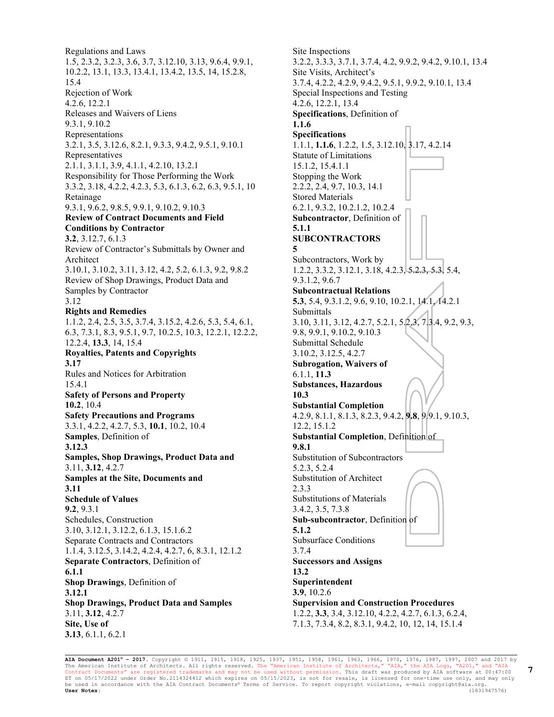Regulations and Laws 1.5, 2.3.2, 3.2.3, 3.6, 3.7, 3.12.10, 3.13, 9.6.4, 9.9.1, 10.2.2, 13.1, 13.3, 13.4.1, 13.4.2, 13.5, 14, 15.2.8, 15.4 Rejection of Work 4.2.6, 12.2.1 Releases and Waivers of Liens 9.3.1, 9.10.2 Representations 3.2.1, 3.5, 3.12.6, 8.2.1, 9.3.3, 9.4.2, 9.5.1, 9.10.1 Representatives 2.1.1, 3.1.1, 3.9, 4.1.1, 4.2.10, 13.2.1 Responsibility for Those Performing the Work 3.3.2, 3.18, 4.2.2, 4.2.3, 5.3, 6.1.3, 6.2, 6.3, 9.5.1, 10 Retainage 9.3.1, 9.6.2, 9.8.5, 9.9.1, 9.10.2, 9.10.3 **Review of Contract Documents and Field Conditions by Contractor 3.2**, 3.12.7, 6.1.3 Review of Contractor's Submittals by Owner and Architect 3.10.1, 3.10.2, 3.11, 3.12, 4.2, 5.2, 6.1.3, 9.2, 9.8.2 Review of Shop Drawings, Product Data and Samples by Contractor 3.12 **Rights and Remedies** 1.1.2, 2.4, 2.5, 3.5, 3.7.4, 3.15.2, 4.2.6, 5.3, 5.4, 6.1, 6.3, 7.3.1, 8.3, 9.5.1, 9.7, 10.2.5, 10.3, 12.2.1, 12.2.2, 12.2.4, **13.3**, 14, 15.4 **Royalties, Patents and Copyrights 3.17** Rules and Notices for Arbitration 15.4.1 **Safety of Persons and Property 10.2**, 10.4 **Safety Precautions and Programs** 3.3.1, 4.2.2, 4.2.7, 5.3, **10.1**, 10.2, 10.4 **Samples**, Definition of **3.12.3 Samples, Shop Drawings, Product Data and** 3.11, **3.12**, 4.2.7 **Samples at the Site, Documents and 3.11 Schedule of Values 9.2**, 9.3.1 Schedules, Construction 3.10, 3.12.1, 3.12.2, 6.1.3, 15.1.6.2 Separate Contracts and Contractors 1.1.4, 3.12.5, 3.14.2, 4.2.4, 4.2.7, 6, 8.3.1, 12.1.2 **Separate Contractors**, Definition of **6.1.1 Shop Drawings**, Definition of **3.12.1 Shop Drawings, Product Data and Samples** 3.11, **3.12**, 4.2.7 **Site, Use of 3.13**, 6.1.1, 6.2.1

Site Inspections 3.2.2, 3.3.3, 3.7.1, 3.7.4, 4.2, 9.9.2, 9.4.2, 9.10.1, 13.4 Site Visits, Architect's 3.7.4, 4.2.2, 4.2.9, 9.4.2, 9.5.1, 9.9.2, 9.10.1, 13.4 Special Inspections and Testing 4.2.6, 12.2.1, 13.4 **Specifications**, Definition of **1.1.6 Specifications** 1.1.1, **1.1.6**, 1.2.2, 1.5, 3.12.10, 3.17, 4.2.14 Statute of Limitations 15.1.2, 15.4.1.1 Stopping the Work 2.2.2, 2.4, 9.7, 10.3, 14.1 Stored Materials 6.2.1, 9.3.2, 10.2.1.2, 10.2.4 **Subcontractor**, Definition of **5.1.1 SUBCONTRACTORS 5** Subcontractors, Work by 1.2.2, 3.3.2, 3.12.1, 3.18, 4.2.3, 5.2.3, 5.3, 5.4, 9.3.1.2, 9.6.7 **Subcontractual Relations 5.3**, 5.4, 9.3.1.2, 9.6, 9.10, 10.2.1, 14.1, 14.2.1 Submittals 3.10, 3.11, 3.12, 4.2.7, 5.2.1, 5.2.3, 7.3.4, 9.2, 9.3, 9.8, 9.9.1, 9.10.2, 9.10.3 Submittal Schedule 3.10.2, 3.12.5, 4.2.7 **Subrogation, Waivers of** 6.1.1, **11.3 Substances, Hazardous 10.3 Substantial Completion** 4.2.9, 8.1.1, 8.1.3, 8.2.3, 9.4.2, **9.8**, 9.9.1, 9.10.3, 12.2, 15.1.2 **Substantial Completion**, Definition of **9.8.1** Substitution of Subcontractors 5.2.3, 5.2.4 Substitution of Architect 2.3.3 Substitutions of Materials 3.4.2, 3.5, 7.3.8 **Sub-subcontractor**, Definition of **5.1.2** Subsurface Conditions 3.7.4 **Successors and Assigns 13.2 Superintendent 3.9**, 10.2.6 **Supervision and Construction Procedures** 1.2.2, **3.3**, 3.4, 3.12.10, 4.2.2, 4.2.7, 6.1.3, 6.2.4, 7.1.3, 7.3.4, 8.2, 8.3.1, 9.4.2, 10, 12, 14, 15.1.4

**7**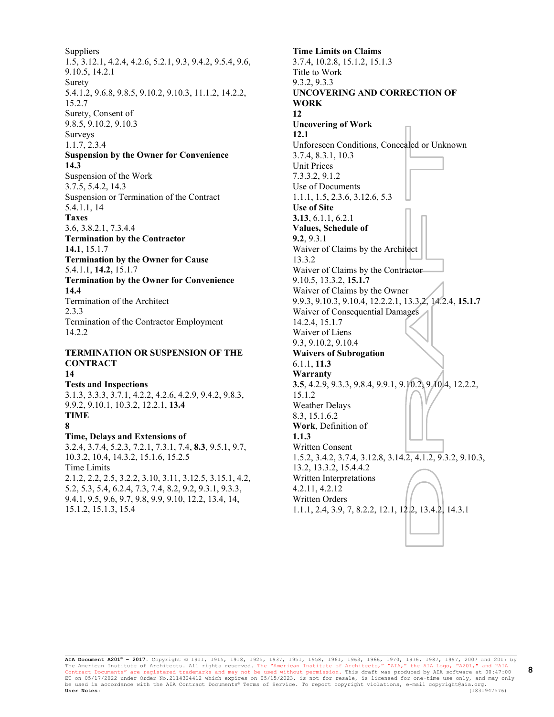Suppliers 1.5, 3.12.1, 4.2.4, 4.2.6, 5.2.1, 9.3, 9.4.2, 9.5.4, 9.6, 9.10.5, 14.2.1 Surety 5.4.1.2, 9.6.8, 9.8.5, 9.10.2, 9.10.3, 11.1.2, 14.2.2, 15.2.7 Surety, Consent of 9.8.5, 9.10.2, 9.10.3 Surveys 1.1.7, 2.3.4 **Suspension by the Owner for Convenience 14.3** Suspension of the Work 3.7.5, 5.4.2, 14.3 Suspension or Termination of the Contract 5.4.1.1, 14 **Taxes** 3.6, 3.8.2.1, 7.3.4.4 **Termination by the Contractor 14.1**, 15.1.7 **Termination by the Owner for Cause** 5.4.1.1, **14.2,** 15.1.7 **Termination by the Owner for Convenience 14.4** Termination of the Architect 2.3.3 Termination of the Contractor Employment 14.2.2

#### **TERMINATION OR SUSPENSION OF THE CONTRACT 14**

**Tests and Inspections** 3.1.3, 3.3.3, 3.7.1, 4.2.2, 4.2.6, 4.2.9, 9.4.2, 9.8.3, 9.9.2, 9.10.1, 10.3.2, 12.2.1, **13.4 TIME 8**

# **Time, Delays and Extensions of**

3.2.4, 3.7.4, 5.2.3, 7.2.1, 7.3.1, 7.4, **8.3**, 9.5.1, 9.7, 10.3.2, 10.4, 14.3.2, 15.1.6, 15.2.5 Time Limits 2.1.2, 2.2, 2.5, 3.2.2, 3.10, 3.11, 3.12.5, 3.15.1, 4.2, 5.2, 5.3, 5.4, 6.2.4, 7.3, 7.4, 8.2, 9.2, 9.3.1, 9.3.3, 9.4.1, 9.5, 9.6, 9.7, 9.8, 9.9, 9.10, 12.2, 13.4, 14, 15.1.2, 15.1.3, 15.4

**Time Limits on Claims** 3.7.4, 10.2.8, 15.1.2, 15.1.3 Title to Work 9.3.2, 9.3.3 **UNCOVERING AND CORRECTION OF WORK 12 Uncovering of Work 12.1** Unforeseen Conditions, Concealed or Unknown 3.7.4, 8.3.1, 10.3 Unit Prices 7.3.3.2, 9.1.2 Use of Documents 1.1.1, 1.5, 2.3.6, 3.12.6, 5.3 **Use of Site 3.13**, 6.1.1, 6.2.1 **Values, Schedule of 9.2**, 9.3.1 Waiver of Claims by the Architect 13.3.2 Waiver of Claims by the Contractor 9.10.5, 13.3.2, **15.1.7** Waiver of Claims by the Owner 9.9.3, 9.10.3, 9.10.4, 12.2.2.1, 13.3.2, 14.2.4, **15.1.7** Waiver of Consequential Damages 14.2.4, 15.1.7 Waiver of Liens 9.3, 9.10.2, 9.10.4 **Waivers of Subrogation** 6.1.1, **11.3 Warranty 3.5**, 4.2.9, 9.3.3, 9.8.4, 9.9.1, 9.10.2, 9.10.4, 12.2.2, 15.1.2 Weather Delays 8.3, 15.1.6.2 **Work**, Definition of **1.1.3** Written Consent 1.5.2, 3.4.2, 3.7.4, 3.12.8, 3.14.2, 4.1.2, 9.3.2, 9.10.3, 13.2, 13.3.2, 15.4.4.2 Written Interpretations 4.2.11, 4.2.12 Written Orders 1.1.1, 2.4, 3.9, 7, 8.2.2, 12.1, 12.2, 13.4.2, 14.3.1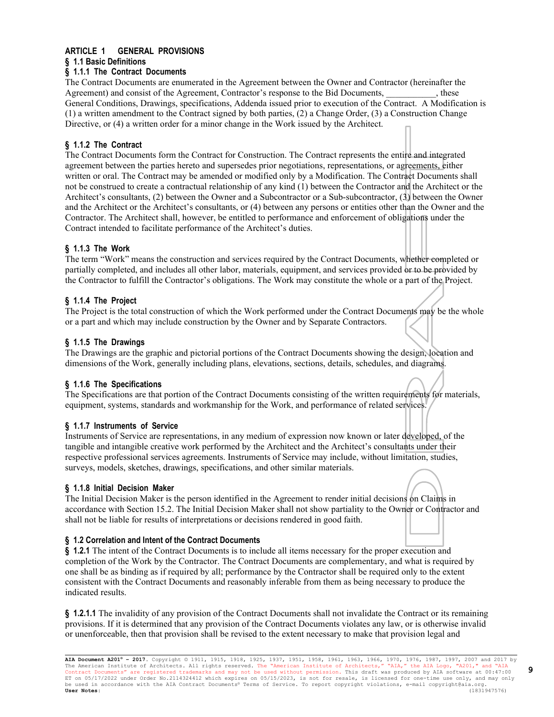#### **ARTICLE 1 GENERAL PROVISIONS**

#### **§ 1.1 Basic Definitions**

#### **§ 1.1.1 The Contract Documents**

The Contract Documents are enumerated in the Agreement between the Owner and Contractor (hereinafter the Agreement) and consist of the Agreement, Contractor's response to the Bid Documents, these General Conditions, Drawings, specifications, Addenda issued prior to execution of the Contract. A Modification is (1) a written amendment to the Contract signed by both parties, (2) a Change Order, (3) a Construction Change Directive, or (4) a written order for a minor change in the Work issued by the Architect.

#### **§ 1.1.2 The Contract**

The Contract Documents form the Contract for Construction. The Contract represents the entire and integrated agreement between the parties hereto and supersedes prior negotiations, representations, or agreements, either written or oral. The Contract may be amended or modified only by a Modification. The Contract Documents shall not be construed to create a contractual relationship of any kind (1) between the Contractor and the Architect or the Architect's consultants, (2) between the Owner and a Subcontractor or a Sub-subcontractor, (3) between the Owner and the Architect or the Architect's consultants, or (4) between any persons or entities other than the Owner and the Contractor. The Architect shall, however, be entitled to performance and enforcement of obligations under the Contract intended to facilitate performance of the Architect's duties.

#### **§ 1.1.3 The Work**

The term "Work" means the construction and services required by the Contract Documents, whether completed or partially completed, and includes all other labor, materials, equipment, and services provided or to be provided by the Contractor to fulfill the Contractor's obligations. The Work may constitute the whole or a part of the Project.

#### **§ 1.1.4 The Project**

The Project is the total construction of which the Work performed under the Contract Documents may be the whole or a part and which may include construction by the Owner and by Separate Contractors.

#### **§ 1.1.5 The Drawings**

The Drawings are the graphic and pictorial portions of the Contract Documents showing the design, location and dimensions of the Work, generally including plans, elevations, sections, details, schedules, and diagrams.

#### **§ 1.1.6 The Specifications**

The Specifications are that portion of the Contract Documents consisting of the written requirements for materials, equipment, systems, standards and workmanship for the Work, and performance of related services.

#### **§ 1.1.7 Instruments of Service**

Instruments of Service are representations, in any medium of expression now known or later developed, of the tangible and intangible creative work performed by the Architect and the Architect's consultants under their respective professional services agreements. Instruments of Service may include, without limitation, studies, surveys, models, sketches, drawings, specifications, and other similar materials.

#### **§ 1.1.8 Initial Decision Maker**

The Initial Decision Maker is the person identified in the Agreement to render initial decisions on Claims in accordance with Section 15.2. The Initial Decision Maker shall not show partiality to the Owner or Contractor and shall not be liable for results of interpretations or decisions rendered in good faith.

#### **§ 1.2 Correlation and Intent of the Contract Documents**

**§ 1.2.1** The intent of the Contract Documents is to include all items necessary for the proper execution and completion of the Work by the Contractor. The Contract Documents are complementary, and what is required by one shall be as binding as if required by all; performance by the Contractor shall be required only to the extent consistent with the Contract Documents and reasonably inferable from them as being necessary to produce the indicated results.

**§ 1.2.1.1** The invalidity of any provision of the Contract Documents shall not invalidate the Contract or its remaining provisions. If it is determined that any provision of the Contract Documents violates any law, or is otherwise invalid or unenforceable, then that provision shall be revised to the extent necessary to make that provision legal and

**AIA Document A201® – 2017.** Copyright © 1911, 1915, 1918, 1925, 1937, 1951, 1958, 1961, 1963, 1966, 1970, 1976, 1987, 1997, 2007 and 2017 by The American Institute of Architects. All rights reserved. The "American Institute of Architects," "AIA," the AIA Logo, "A201," and "AIA<br>Contract Documents" are registered trademarks and may not be used without permission. ET on 05/17/2022 under Order No.2114324412 which expires on 05/15/2023, is not for resale, is licensed for one-time use only, and may only<br>be used in accordance with the AIA Contract Documents® Terms of Service. To report **User Notes:** (1831947576)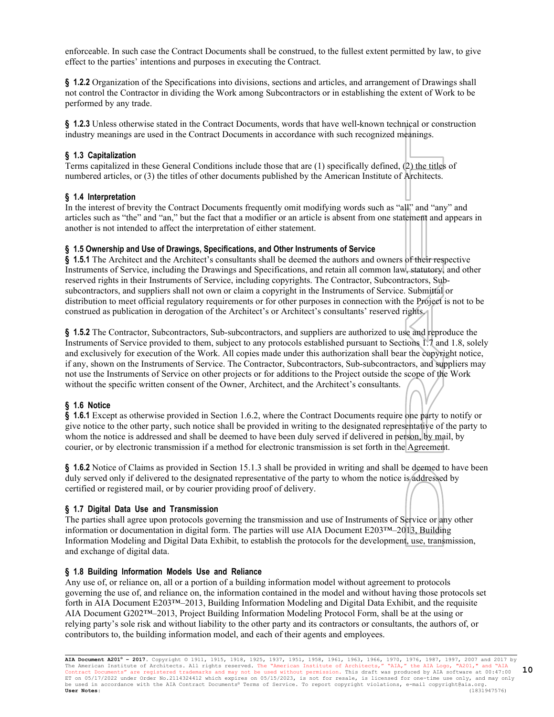enforceable. In such case the Contract Documents shall be construed, to the fullest extent permitted by law, to give effect to the parties' intentions and purposes in executing the Contract.

**§ 1.2.2** Organization of the Specifications into divisions, sections and articles, and arrangement of Drawings shall not control the Contractor in dividing the Work among Subcontractors or in establishing the extent of Work to be performed by any trade.

**§ 1.2.3** Unless otherwise stated in the Contract Documents, words that have well-known technical or construction industry meanings are used in the Contract Documents in accordance with such recognized meanings.

#### **§ 1.3 Capitalization**

Terms capitalized in these General Conditions include those that are (1) specifically defined, (2) the titles of numbered articles, or (3) the titles of other documents published by the American Institute of Architects.

#### **§ 1.4 Interpretation**

In the interest of brevity the Contract Documents frequently omit modifying words such as "all" and "any" and articles such as "the" and "an," but the fact that a modifier or an article is absent from one statement and appears in another is not intended to affect the interpretation of either statement.

#### **§ 1.5 Ownership and Use of Drawings, Specifications, and Other Instruments of Service**

**§ 1.5.1** The Architect and the Architect's consultants shall be deemed the authors and owners of their respective Instruments of Service, including the Drawings and Specifications, and retain all common law, statutory, and other reserved rights in their Instruments of Service, including copyrights. The Contractor, Subcontractors, Subsubcontractors, and suppliers shall not own or claim a copyright in the Instruments of Service. Submittal or distribution to meet official regulatory requirements or for other purposes in connection with the Project is not to be construed as publication in derogation of the Architect's or Architect's consultants' reserved rights.

**§ 1.5.2** The Contractor, Subcontractors, Sub-subcontractors, and suppliers are authorized to use and reproduce the Instruments of Service provided to them, subject to any protocols established pursuant to Sections 1.7 and 1.8, solely and exclusively for execution of the Work. All copies made under this authorization shall bear the copyright notice, if any, shown on the Instruments of Service. The Contractor, Subcontractors, Sub-subcontractors, and suppliers may not use the Instruments of Service on other projects or for additions to the Project outside the scope of the Work without the specific written consent of the Owner, Architect, and the Architect's consultants.

#### **§ 1.6 Notice**

**§ 1.6.1** Except as otherwise provided in Section 1.6.2, where the Contract Documents require one party to notify or give notice to the other party, such notice shall be provided in writing to the designated representative of the party to whom the notice is addressed and shall be deemed to have been duly served if delivered in person, by mail, by courier, or by electronic transmission if a method for electronic transmission is set forth in the Agreement.

**§ 1.6.2** Notice of Claims as provided in Section 15.1.3 shall be provided in writing and shall be deemed to have been duly served only if delivered to the designated representative of the party to whom the notice is addressed by certified or registered mail, or by courier providing proof of delivery.

#### **§ 1.7 Digital Data Use and Transmission**

The parties shall agree upon protocols governing the transmission and use of Instruments of Service or any other information or documentation in digital form. The parties will use AIA Document E203™–2013, Building Information Modeling and Digital Data Exhibit, to establish the protocols for the development, use, transmission, and exchange of digital data.

#### **§ 1.8 Building Information Models Use and Reliance**

Any use of, or reliance on, all or a portion of a building information model without agreement to protocols governing the use of, and reliance on, the information contained in the model and without having those protocols set forth in AIA Document E203™–2013, Building Information Modeling and Digital Data Exhibit, and the requisite AIA Document G202™–2013, Project Building Information Modeling Protocol Form, shall be at the using or relying party's sole risk and without liability to the other party and its contractors or consultants, the authors of, or contributors to, the building information model, and each of their agents and employees.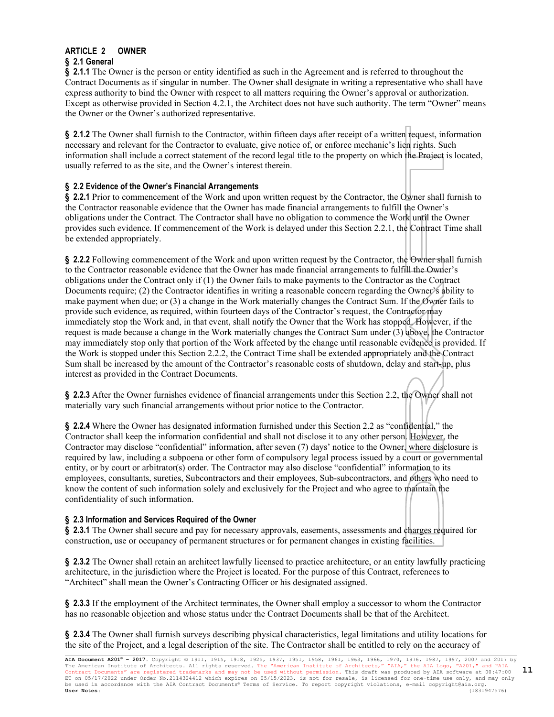# **ARTICLE 2 OWNER**

**§ 2.1 General**

**§ 2.1.1** The Owner is the person or entity identified as such in the Agreement and is referred to throughout the Contract Documents as if singular in number. The Owner shall designate in writing a representative who shall have express authority to bind the Owner with respect to all matters requiring the Owner's approval or authorization. Except as otherwise provided in Section 4.2.1, the Architect does not have such authority. The term "Owner" means the Owner or the Owner's authorized representative.

**§ 2.1.2** The Owner shall furnish to the Contractor, within fifteen days after receipt of a written request, information necessary and relevant for the Contractor to evaluate, give notice of, or enforce mechanic's lien rights. Such information shall include a correct statement of the record legal title to the property on which the Project is located, usually referred to as the site, and the Owner's interest therein.

#### **§ 2.2 Evidence of the Owner's Financial Arrangements**

**§ 2.2.1** Prior to commencement of the Work and upon written request by the Contractor, the Owner shall furnish to the Contractor reasonable evidence that the Owner has made financial arrangements to fulfill the Owner's obligations under the Contract. The Contractor shall have no obligation to commence the Work until the Owner provides such evidence. If commencement of the Work is delayed under this Section 2.2.1, the Contract Time shall be extended appropriately.

**§ 2.2.2** Following commencement of the Work and upon written request by the Contractor, the Owner shall furnish to the Contractor reasonable evidence that the Owner has made financial arrangements to fulfill the Owner's obligations under the Contract only if (1) the Owner fails to make payments to the Contractor as the Contract Documents require; (2) the Contractor identifies in writing a reasonable concern regarding the Owner's ability to make payment when due; or (3) a change in the Work materially changes the Contract Sum. If the Owner fails to provide such evidence, as required, within fourteen days of the Contractor's request, the Contractor may immediately stop the Work and, in that event, shall notify the Owner that the Work has stopped. However, if the request is made because a change in the Work materially changes the Contract Sum under (3) above, the Contractor may immediately stop only that portion of the Work affected by the change until reasonable evidence is provided. If the Work is stopped under this Section 2.2.2, the Contract Time shall be extended appropriately and the Contract Sum shall be increased by the amount of the Contractor's reasonable costs of shutdown, delay and start-up, plus interest as provided in the Contract Documents.

**§ 2.2.3** After the Owner furnishes evidence of financial arrangements under this Section 2.2, the Owner shall not materially vary such financial arrangements without prior notice to the Contractor.

**§ 2.2.4** Where the Owner has designated information furnished under this Section 2.2 as "confidential," the Contractor shall keep the information confidential and shall not disclose it to any other person. However, the Contractor may disclose "confidential" information, after seven (7) days' notice to the Owner, where disclosure is required by law, including a subpoena or other form of compulsory legal process issued by a court or governmental entity, or by court or arbitrator(s) order. The Contractor may also disclose "confidential" information to its employees, consultants, sureties, Subcontractors and their employees, Sub-subcontractors, and others who need to know the content of such information solely and exclusively for the Project and who agree to maintain the confidentiality of such information.

#### **§ 2.3 Information and Services Required of the Owner**

**§ 2.3.1** The Owner shall secure and pay for necessary approvals, easements, assessments and charges required for construction, use or occupancy of permanent structures or for permanent changes in existing facilities.

**§ 2.3.2** The Owner shall retain an architect lawfully licensed to practice architecture, or an entity lawfully practicing architecture, in the jurisdiction where the Project is located. For the purpose of this Contract, references to "Architect" shall mean the Owner's Contracting Officer or his designated assigned.

**§ 2.3.3** If the employment of the Architect terminates, the Owner shall employ a successor to whom the Contractor has no reasonable objection and whose status under the Contract Documents shall be that of the Architect.

**§ 2.3.4** The Owner shall furnish surveys describing physical characteristics, legal limitations and utility locations for the site of the Project, and a legal description of the site. The Contractor shall be entitled to rely on the accuracy of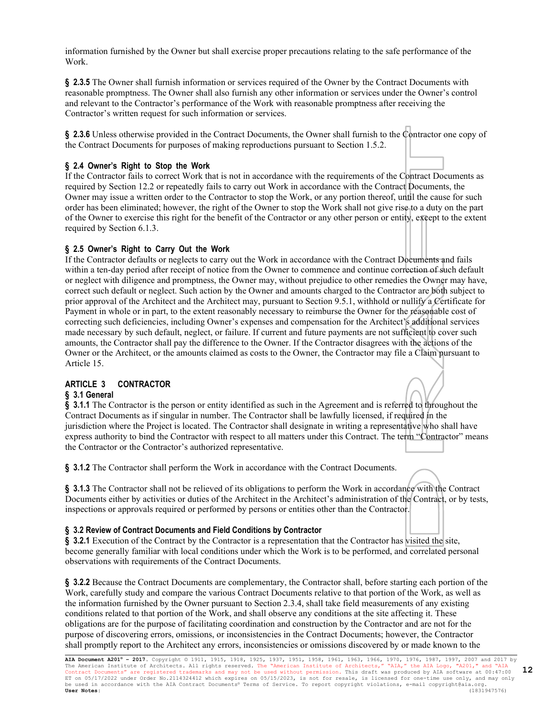information furnished by the Owner but shall exercise proper precautions relating to the safe performance of the Work.

**§ 2.3.5** The Owner shall furnish information or services required of the Owner by the Contract Documents with reasonable promptness. The Owner shall also furnish any other information or services under the Owner's control and relevant to the Contractor's performance of the Work with reasonable promptness after receiving the Contractor's written request for such information or services.

**§ 2.3.6** Unless otherwise provided in the Contract Documents, the Owner shall furnish to the Contractor one copy of the Contract Documents for purposes of making reproductions pursuant to Section 1.5.2.

#### **§ 2.4 Owner's Right to Stop the Work**

If the Contractor fails to correct Work that is not in accordance with the requirements of the Contract Documents as required by Section 12.2 or repeatedly fails to carry out Work in accordance with the Contract Documents, the Owner may issue a written order to the Contractor to stop the Work, or any portion thereof, until the cause for such order has been eliminated; however, the right of the Owner to stop the Work shall not give rise to a duty on the part of the Owner to exercise this right for the benefit of the Contractor or any other person or entity, except to the extent required by Section 6.1.3.

#### **§ 2.5 Owner's Right to Carry Out the Work**

If the Contractor defaults or neglects to carry out the Work in accordance with the Contract Documents and fails within a ten-day period after receipt of notice from the Owner to commence and continue correction of such default or neglect with diligence and promptness, the Owner may, without prejudice to other remedies the Owner may have, correct such default or neglect. Such action by the Owner and amounts charged to the Contractor are both subject to prior approval of the Architect and the Architect may, pursuant to Section 9.5.1, withhold or nullify a Certificate for Payment in whole or in part, to the extent reasonably necessary to reimburse the Owner for the reasonable cost of correcting such deficiencies, including Owner's expenses and compensation for the Architect's additional services made necessary by such default, neglect, or failure. If current and future payments are not sufficient to cover such amounts, the Contractor shall pay the difference to the Owner. If the Contractor disagrees with the actions of the Owner or the Architect, or the amounts claimed as costs to the Owner, the Contractor may file a Claim pursuant to Article 15.

#### **ARTICLE 3 CONTRACTOR**

#### **§ 3.1 General**

**§ 3.1.1** The Contractor is the person or entity identified as such in the Agreement and is referred to throughout the Contract Documents as if singular in number. The Contractor shall be lawfully licensed, if required in the jurisdiction where the Project is located. The Contractor shall designate in writing a representative who shall have express authority to bind the Contractor with respect to all matters under this Contract. The term "Contractor" means the Contractor or the Contractor's authorized representative.

**§ 3.1.2** The Contractor shall perform the Work in accordance with the Contract Documents.

**§ 3.1.3** The Contractor shall not be relieved of its obligations to perform the Work in accordance with the Contract Documents either by activities or duties of the Architect in the Architect's administration of the Contract, or by tests, inspections or approvals required or performed by persons or entities other than the Contractor.

#### **§ 3.2 Review of Contract Documents and Field Conditions by Contractor**

**§ 3.2.1** Execution of the Contract by the Contractor is a representation that the Contractor has visited the site, become generally familiar with local conditions under which the Work is to be performed, and correlated personal observations with requirements of the Contract Documents.

**§ 3.2.2** Because the Contract Documents are complementary, the Contractor shall, before starting each portion of the Work, carefully study and compare the various Contract Documents relative to that portion of the Work, as well as the information furnished by the Owner pursuant to Section 2.3.4, shall take field measurements of any existing conditions related to that portion of the Work, and shall observe any conditions at the site affecting it. These obligations are for the purpose of facilitating coordination and construction by the Contractor and are not for the purpose of discovering errors, omissions, or inconsistencies in the Contract Documents; however, the Contractor shall promptly report to the Architect any errors, inconsistencies or omissions discovered by or made known to the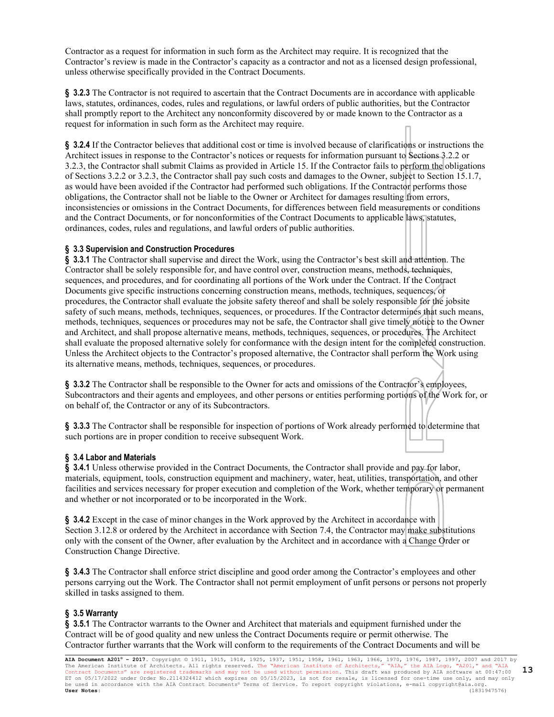Contractor as a request for information in such form as the Architect may require. It is recognized that the Contractor's review is made in the Contractor's capacity as a contractor and not as a licensed design professional, unless otherwise specifically provided in the Contract Documents.

**§ 3.2.3** The Contractor is not required to ascertain that the Contract Documents are in accordance with applicable laws, statutes, ordinances, codes, rules and regulations, or lawful orders of public authorities, but the Contractor shall promptly report to the Architect any nonconformity discovered by or made known to the Contractor as a request for information in such form as the Architect may require.

**§ 3.2.4** If the Contractor believes that additional cost or time is involved because of clarifications or instructions the Architect issues in response to the Contractor's notices or requests for information pursuant to Sections 3.2.2 or 3.2.3, the Contractor shall submit Claims as provided in Article 15. If the Contractor fails to perform the obligations of Sections 3.2.2 or 3.2.3, the Contractor shall pay such costs and damages to the Owner, subject to Section 15.1.7, as would have been avoided if the Contractor had performed such obligations. If the Contractor performs those obligations, the Contractor shall not be liable to the Owner or Architect for damages resulting from errors, inconsistencies or omissions in the Contract Documents, for differences between field measurements or conditions and the Contract Documents, or for nonconformities of the Contract Documents to applicable laws, statutes, ordinances, codes, rules and regulations, and lawful orders of public authorities.

#### **§ 3.3 Supervision and Construction Procedures**

**§ 3.3.1** The Contractor shall supervise and direct the Work, using the Contractor's best skill and attention. The Contractor shall be solely responsible for, and have control over, construction means, methods, techniques, sequences, and procedures, and for coordinating all portions of the Work under the Contract. If the Contract Documents give specific instructions concerning construction means, methods, techniques, sequences, or procedures, the Contractor shall evaluate the jobsite safety thereof and shall be solely responsible for the jobsite safety of such means, methods, techniques, sequences, or procedures. If the Contractor determines that such means, methods, techniques, sequences or procedures may not be safe, the Contractor shall give timely notice to the Owner and Architect, and shall propose alternative means, methods, techniques, sequences, or procedures. The Architect shall evaluate the proposed alternative solely for conformance with the design intent for the completed construction. Unless the Architect objects to the Contractor's proposed alternative, the Contractor shall perform the Work using its alternative means, methods, techniques, sequences, or procedures.

**§ 3.3.2** The Contractor shall be responsible to the Owner for acts and omissions of the Contractor's employees, Subcontractors and their agents and employees, and other persons or entities performing portions of the Work for, or on behalf of, the Contractor or any of its Subcontractors.

**§ 3.3.3** The Contractor shall be responsible for inspection of portions of Work already performed to determine that such portions are in proper condition to receive subsequent Work.

#### **§ 3.4 Labor and Materials**

**§ 3.4.1** Unless otherwise provided in the Contract Documents, the Contractor shall provide and pay for labor, materials, equipment, tools, construction equipment and machinery, water, heat, utilities, transportation, and other facilities and services necessary for proper execution and completion of the Work, whether temporary or permanent and whether or not incorporated or to be incorporated in the Work.

**§ 3.4.2** Except in the case of minor changes in the Work approved by the Architect in accordance with Section 3.12.8 or ordered by the Architect in accordance with Section 7.4, the Contractor may make substitutions only with the consent of the Owner, after evaluation by the Architect and in accordance with a Change Order or Construction Change Directive.

**§ 3.4.3** The Contractor shall enforce strict discipline and good order among the Contractor's employees and other persons carrying out the Work. The Contractor shall not permit employment of unfit persons or persons not properly skilled in tasks assigned to them.

#### **§ 3.5 Warranty**

**§ 3.5.1** The Contractor warrants to the Owner and Architect that materials and equipment furnished under the Contract will be of good quality and new unless the Contract Documents require or permit otherwise. The Contractor further warrants that the Work will conform to the requirements of the Contract Documents and will be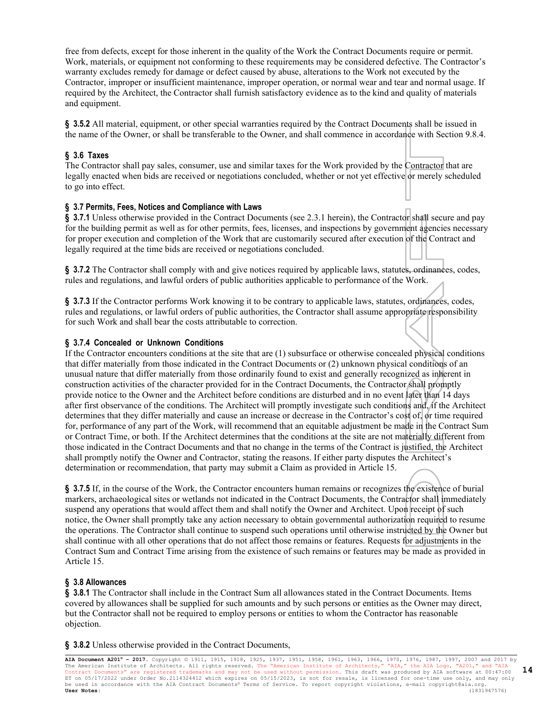free from defects, except for those inherent in the quality of the Work the Contract Documents require or permit. Work, materials, or equipment not conforming to these requirements may be considered defective. The Contractor's warranty excludes remedy for damage or defect caused by abuse, alterations to the Work not executed by the Contractor, improper or insufficient maintenance, improper operation, or normal wear and tear and normal usage. If required by the Architect, the Contractor shall furnish satisfactory evidence as to the kind and quality of materials and equipment.

**§ 3.5.2** All material, equipment, or other special warranties required by the Contract Documents shall be issued in the name of the Owner, or shall be transferable to the Owner, and shall commence in accordance with Section 9.8.4.

#### **§ 3.6 Taxes**

The Contractor shall pay sales, consumer, use and similar taxes for the Work provided by the Contractor that are legally enacted when bids are received or negotiations concluded, whether or not yet effective or merely scheduled to go into effect.

#### **§ 3.7 Permits, Fees, Notices and Compliance with Laws**

**§ 3.7.1** Unless otherwise provided in the Contract Documents (see 2.3.1 herein), the Contractor shall secure and pay for the building permit as well as for other permits, fees, licenses, and inspections by government agencies necessary for proper execution and completion of the Work that are customarily secured after execution of the Contract and legally required at the time bids are received or negotiations concluded.

**§ 3.7.2** The Contractor shall comply with and give notices required by applicable laws, statutes, ordinances, codes, rules and regulations, and lawful orders of public authorities applicable to performance of the Work.

**§ 3.7.3** If the Contractor performs Work knowing it to be contrary to applicable laws, statutes, ordinances, codes, rules and regulations, or lawful orders of public authorities, the Contractor shall assume appropriate responsibility for such Work and shall bear the costs attributable to correction.

#### **§ 3.7.4 Concealed or Unknown Conditions**

If the Contractor encounters conditions at the site that are (1) subsurface or otherwise concealed physical conditions that differ materially from those indicated in the Contract Documents or (2) unknown physical conditions of an unusual nature that differ materially from those ordinarily found to exist and generally recognized as inherent in construction activities of the character provided for in the Contract Documents, the Contractor shall promptly provide notice to the Owner and the Architect before conditions are disturbed and in no event later than 14 days after first observance of the conditions. The Architect will promptly investigate such conditions and, if the Architect determines that they differ materially and cause an increase or decrease in the Contractor's cost of, or time required for, performance of any part of the Work, will recommend that an equitable adjustment be made in the Contract Sum or Contract Time, or both. If the Architect determines that the conditions at the site are not materially different from those indicated in the Contract Documents and that no change in the terms of the Contract is justified, the Architect shall promptly notify the Owner and Contractor, stating the reasons. If either party disputes the Architect's determination or recommendation, that party may submit a Claim as provided in Article 15.

**§ 3.7.5** If, in the course of the Work, the Contractor encounters human remains or recognizes the existence of burial markers, archaeological sites or wetlands not indicated in the Contract Documents, the Contractor shall immediately suspend any operations that would affect them and shall notify the Owner and Architect. Upon receipt of such notice, the Owner shall promptly take any action necessary to obtain governmental authorization required to resume the operations. The Contractor shall continue to suspend such operations until otherwise instructed by the Owner but shall continue with all other operations that do not affect those remains or features. Requests for adjustments in the Contract Sum and Contract Time arising from the existence of such remains or features may be made as provided in Article 15.

#### **§ 3.8 Allowances**

**§ 3.8.1** The Contractor shall include in the Contract Sum all allowances stated in the Contract Documents. Items covered by allowances shall be supplied for such amounts and by such persons or entities as the Owner may direct, but the Contractor shall not be required to employ persons or entities to whom the Contractor has reasonable objection.

**§ 3.8.2** Unless otherwise provided in the Contract Documents,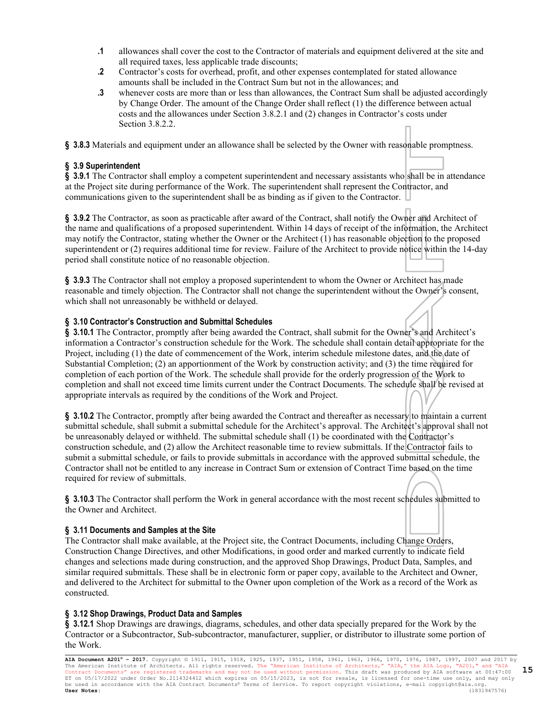- **.1** allowances shall cover the cost to the Contractor of materials and equipment delivered at the site and all required taxes, less applicable trade discounts;
- **.2** Contractor's costs for overhead, profit, and other expenses contemplated for stated allowance amounts shall be included in the Contract Sum but not in the allowances; and
- **.3** whenever costs are more than or less than allowances, the Contract Sum shall be adjusted accordingly by Change Order. The amount of the Change Order shall reflect (1) the difference between actual costs and the allowances under Section 3.8.2.1 and (2) changes in Contractor's costs under Section 3.8.2.2.
- **§ 3.8.3** Materials and equipment under an allowance shall be selected by the Owner with reasonable promptness.

#### **§ 3.9 Superintendent**

**§ 3.9.1** The Contractor shall employ a competent superintendent and necessary assistants who shall be in attendance at the Project site during performance of the Work. The superintendent shall represent the Contractor, and communications given to the superintendent shall be as binding as if given to the Contractor.

**§ 3.9.2** The Contractor, as soon as practicable after award of the Contract, shall notify the Owner and Architect of the name and qualifications of a proposed superintendent. Within 14 days of receipt of the information, the Architect may notify the Contractor, stating whether the Owner or the Architect (1) has reasonable objection to the proposed superintendent or (2) requires additional time for review. Failure of the Architect to provide notice within the 14-day period shall constitute notice of no reasonable objection.

**§ 3.9.3** The Contractor shall not employ a proposed superintendent to whom the Owner or Architect has made reasonable and timely objection. The Contractor shall not change the superintendent without the Owner's consent, which shall not unreasonably be withheld or delayed.

#### **§ 3.10 Contractor's Construction and Submittal Schedules**

**§ 3.10.1** The Contractor, promptly after being awarded the Contract, shall submit for the Owner's and Architect's information a Contractor's construction schedule for the Work. The schedule shall contain detail appropriate for the Project, including (1) the date of commencement of the Work, interim schedule milestone dates, and the date of Substantial Completion; (2) an apportionment of the Work by construction activity; and (3) the time required for completion of each portion of the Work. The schedule shall provide for the orderly progression of the Work to completion and shall not exceed time limits current under the Contract Documents. The schedule shall be revised at appropriate intervals as required by the conditions of the Work and Project.

**§ 3.10.2** The Contractor, promptly after being awarded the Contract and thereafter as necessary to maintain a current submittal schedule, shall submit a submittal schedule for the Architect's approval. The Architect's approval shall not be unreasonably delayed or withheld. The submittal schedule shall (1) be coordinated with the Contractor's construction schedule, and (2) allow the Architect reasonable time to review submittals. If the Contractor fails to submit a submittal schedule, or fails to provide submittals in accordance with the approved submittal schedule, the Contractor shall not be entitled to any increase in Contract Sum or extension of Contract Time based on the time required for review of submittals.

**§ 3.10.3** The Contractor shall perform the Work in general accordance with the most recent schedules submitted to the Owner and Architect.

#### **§ 3.11 Documents and Samples at the Site**

The Contractor shall make available, at the Project site, the Contract Documents, including Change Orders, Construction Change Directives, and other Modifications, in good order and marked currently to indicate field changes and selections made during construction, and the approved Shop Drawings, Product Data, Samples, and similar required submittals. These shall be in electronic form or paper copy, available to the Architect and Owner, and delivered to the Architect for submittal to the Owner upon completion of the Work as a record of the Work as constructed.

#### **§ 3.12 Shop Drawings, Product Data and Samples**

**§ 3.12.1** Shop Drawings are drawings, diagrams, schedules, and other data specially prepared for the Work by the Contractor or a Subcontractor, Sub-subcontractor, manufacturer, supplier, or distributor to illustrate some portion of the Work.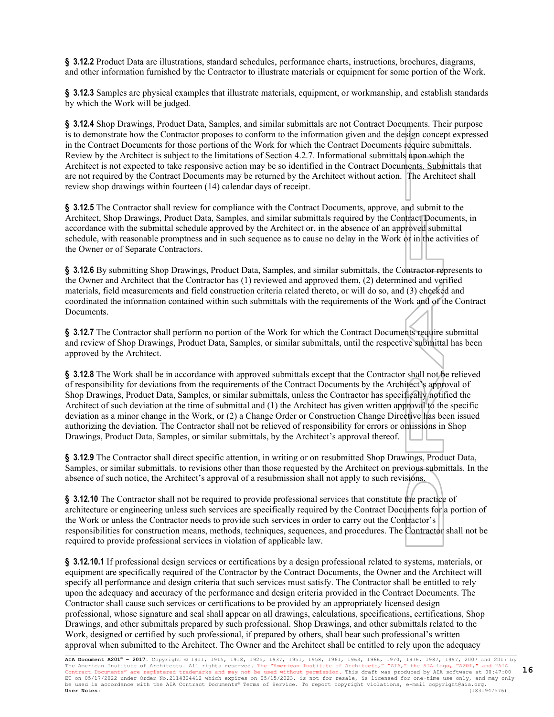**§ 3.12.2** Product Data are illustrations, standard schedules, performance charts, instructions, brochures, diagrams, and other information furnished by the Contractor to illustrate materials or equipment for some portion of the Work.

**§ 3.12.3** Samples are physical examples that illustrate materials, equipment, or workmanship, and establish standards by which the Work will be judged.

**§ 3.12.4** Shop Drawings, Product Data, Samples, and similar submittals are not Contract Documents. Their purpose is to demonstrate how the Contractor proposes to conform to the information given and the design concept expressed in the Contract Documents for those portions of the Work for which the Contract Documents require submittals. Review by the Architect is subject to the limitations of Section 4.2.7. Informational submittals upon which the Architect is not expected to take responsive action may be so identified in the Contract Documents. Submittals that are not required by the Contract Documents may be returned by the Architect without action. The Architect shall review shop drawings within fourteen (14) calendar days of receipt.

**§ 3.12.5** The Contractor shall review for compliance with the Contract Documents, approve, and submit to the Architect, Shop Drawings, Product Data, Samples, and similar submittals required by the Contract Documents, in accordance with the submittal schedule approved by the Architect or, in the absence of an approved submittal schedule, with reasonable promptness and in such sequence as to cause no delay in the Work or in the activities of the Owner or of Separate Contractors.

**§ 3.12.6** By submitting Shop Drawings, Product Data, Samples, and similar submittals, the Contractor represents to the Owner and Architect that the Contractor has (1) reviewed and approved them, (2) determined and verified materials, field measurements and field construction criteria related thereto, or will do so, and (3) checked and coordinated the information contained within such submittals with the requirements of the Work and of the Contract **Documents** 

**§ 3.12.7** The Contractor shall perform no portion of the Work for which the Contract Documents require submittal and review of Shop Drawings, Product Data, Samples, or similar submittals, until the respective submittal has been approved by the Architect.

**§ 3.12.8** The Work shall be in accordance with approved submittals except that the Contractor shall not be relieved of responsibility for deviations from the requirements of the Contract Documents by the Architect's approval of Shop Drawings, Product Data, Samples, or similar submittals, unless the Contractor has specifically notified the Architect of such deviation at the time of submittal and (1) the Architect has given written approval to the specific deviation as a minor change in the Work, or (2) a Change Order or Construction Change Directive has been issued authorizing the deviation. The Contractor shall not be relieved of responsibility for errors or omissions in Shop Drawings, Product Data, Samples, or similar submittals, by the Architect's approval thereof.

**§ 3.12.9** The Contractor shall direct specific attention, in writing or on resubmitted Shop Drawings, Product Data, Samples, or similar submittals, to revisions other than those requested by the Architect on previous submittals. In the absence of such notice, the Architect's approval of a resubmission shall not apply to such revisions.

**§ 3.12.10** The Contractor shall not be required to provide professional services that constitute the practice of architecture or engineering unless such services are specifically required by the Contract Documents for a portion of the Work or unless the Contractor needs to provide such services in order to carry out the Contractor's responsibilities for construction means, methods, techniques, sequences, and procedures. The Contractor shall not be required to provide professional services in violation of applicable law.

**§ 3.12.10.1** If professional design services or certifications by a design professional related to systems, materials, or equipment are specifically required of the Contractor by the Contract Documents, the Owner and the Architect will specify all performance and design criteria that such services must satisfy. The Contractor shall be entitled to rely upon the adequacy and accuracy of the performance and design criteria provided in the Contract Documents. The Contractor shall cause such services or certifications to be provided by an appropriately licensed design professional, whose signature and seal shall appear on all drawings, calculations, specifications, certifications, Shop Drawings, and other submittals prepared by such professional. Shop Drawings, and other submittals related to the Work, designed or certified by such professional, if prepared by others, shall bear such professional's written approval when submitted to the Architect. The Owner and the Architect shall be entitled to rely upon the adequacy

**AIA Document A201® – 2017.** Copyright © 1911, 1915, 1918, 1925, 1937, 1951, 1958, 1961, 1963, 1966, 1970, 1976, 1987, 1997, 2007 and 2017 by The American Institute of Architects. All rights reserved. The "American Institute of Architects," "AIA," the AIA Logo, "A201," and "AIA<br>Contract Documents" are registered trademarks and may not be used without permission. ET on 05/17/2022 under Order No.2114324412 which expires on 05/15/2023, is not for resale, is licensed for one-time use only, and may only<br>be used in accordance with the AIA Contract Documents® Terms of Service. To report **User Notes:** (1831947576) **16**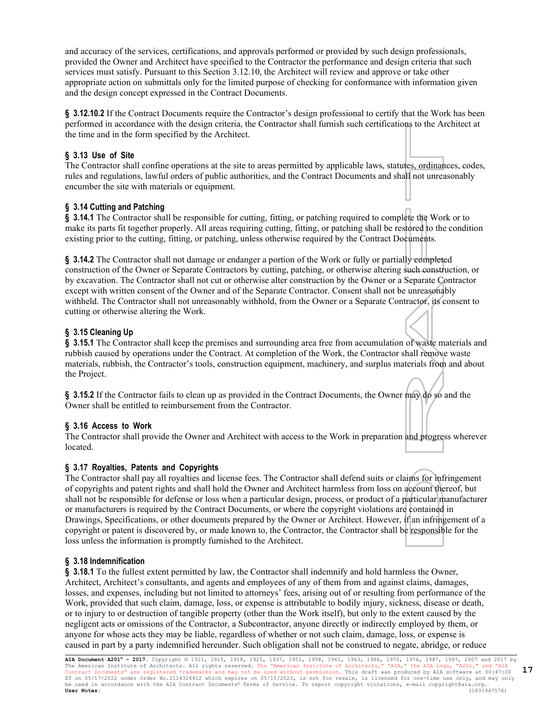and accuracy of the services, certifications, and approvals performed or provided by such design professionals, provided the Owner and Architect have specified to the Contractor the performance and design criteria that such services must satisfy. Pursuant to this Section 3.12.10, the Architect will review and approve or take other appropriate action on submittals only for the limited purpose of checking for conformance with information given and the design concept expressed in the Contract Documents.

**§ 3.12.10.2** If the Contract Documents require the Contractor's design professional to certify that the Work has been performed in accordance with the design criteria, the Contractor shall furnish such certifications to the Architect at the time and in the form specified by the Architect.

#### **§ 3.13 Use of Site**

The Contractor shall confine operations at the site to areas permitted by applicable laws, statutes, ordinances, codes, rules and regulations, lawful orders of public authorities, and the Contract Documents and shall not unreasonably encumber the site with materials or equipment.

#### **§ 3.14 Cutting and Patching**

**§ 3.14.1** The Contractor shall be responsible for cutting, fitting, or patching required to complete the Work or to make its parts fit together properly. All areas requiring cutting, fitting, or patching shall be restored to the condition existing prior to the cutting, fitting, or patching, unless otherwise required by the Contract Documents.

**§ 3.14.2** The Contractor shall not damage or endanger a portion of the Work or fully or partially completed construction of the Owner or Separate Contractors by cutting, patching, or otherwise altering such construction, or by excavation. The Contractor shall not cut or otherwise alter construction by the Owner or a Separate Contractor except with written consent of the Owner and of the Separate Contractor. Consent shall not be unreasonably withheld. The Contractor shall not unreasonably withhold, from the Owner or a Separate Contractor, its consent to cutting or otherwise altering the Work.

#### **§ 3.15 Cleaning Up**

**§ 3.15.1** The Contractor shall keep the premises and surrounding area free from accumulation of waste materials and rubbish caused by operations under the Contract. At completion of the Work, the Contractor shall remove waste materials, rubbish, the Contractor's tools, construction equipment, machinery, and surplus materials from and about the Project.

**§ 3.15.2** If the Contractor fails to clean up as provided in the Contract Documents, the Owner may do so and the Owner shall be entitled to reimbursement from the Contractor.

#### **§ 3.16 Access to Work**

The Contractor shall provide the Owner and Architect with access to the Work in preparation and progress wherever located.

#### **§ 3.17 Royalties, Patents and Copyrights**

The Contractor shall pay all royalties and license fees. The Contractor shall defend suits or claims for infringement of copyrights and patent rights and shall hold the Owner and Architect harmless from loss on account thereof, but shall not be responsible for defense or loss when a particular design, process, or product of a particular manufacturer or manufacturers is required by the Contract Documents, or where the copyright violations are contained in Drawings, Specifications, or other documents prepared by the Owner or Architect. However, if an infringement of a copyright or patent is discovered by, or made known to, the Contractor, the Contractor shall be responsible for the loss unless the information is promptly furnished to the Architect.

#### **§ 3.18 Indemnification**

**§ 3.18.1** To the fullest extent permitted by law, the Contractor shall indemnify and hold harmless the Owner, Architect, Architect's consultants, and agents and employees of any of them from and against claims, damages, losses, and expenses, including but not limited to attorneys' fees, arising out of or resulting from performance of the Work, provided that such claim, damage, loss, or expense is attributable to bodily injury, sickness, disease or death, or to injury to or destruction of tangible property (other than the Work itself), but only to the extent caused by the negligent acts or omissions of the Contractor, a Subcontractor, anyone directly or indirectly employed by them, or anyone for whose acts they may be liable, regardless of whether or not such claim, damage, loss, or expense is caused in part by a party indemnified hereunder. Such obligation shall not be construed to negate, abridge, or reduce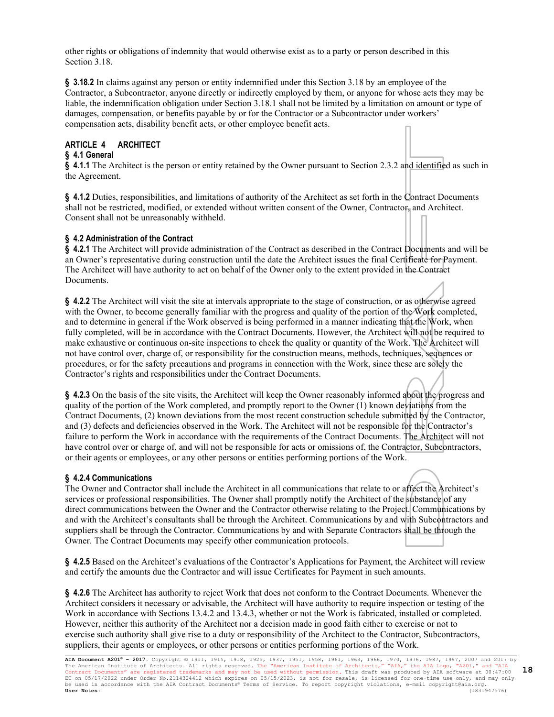other rights or obligations of indemnity that would otherwise exist as to a party or person described in this Section 3.18.

**§ 3.18.2** In claims against any person or entity indemnified under this Section 3.18 by an employee of the Contractor, a Subcontractor, anyone directly or indirectly employed by them, or anyone for whose acts they may be liable, the indemnification obligation under Section 3.18.1 shall not be limited by a limitation on amount or type of damages, compensation, or benefits payable by or for the Contractor or a Subcontractor under workers' compensation acts, disability benefit acts, or other employee benefit acts.

#### **ARTICLE 4 ARCHITECT**

#### **§ 4.1 General**

**§ 4.1.1** The Architect is the person or entity retained by the Owner pursuant to Section 2.3.2 and identified as such in the Agreement.

**§ 4.1.2** Duties, responsibilities, and limitations of authority of the Architect as set forth in the Contract Documents shall not be restricted, modified, or extended without written consent of the Owner, Contractor, and Architect. Consent shall not be unreasonably withheld.

#### **§ 4.2 Administration of the Contract**

**§ 4.2.1** The Architect will provide administration of the Contract as described in the Contract Documents and will be an Owner's representative during construction until the date the Architect issues the final Certificate for Payment. The Architect will have authority to act on behalf of the Owner only to the extent provided in the Contract Documents.

**§ 4.2.2** The Architect will visit the site at intervals appropriate to the stage of construction, or as otherwise agreed with the Owner, to become generally familiar with the progress and quality of the portion of the Work completed, and to determine in general if the Work observed is being performed in a manner indicating that the Work, when fully completed, will be in accordance with the Contract Documents. However, the Architect will not be required to make exhaustive or continuous on-site inspections to check the quality or quantity of the Work. The Architect will not have control over, charge of, or responsibility for the construction means, methods, techniques, sequences or procedures, or for the safety precautions and programs in connection with the Work, since these are solely the Contractor's rights and responsibilities under the Contract Documents.

**§ 4.2.3** On the basis of the site visits, the Architect will keep the Owner reasonably informed about the progress and quality of the portion of the Work completed, and promptly report to the Owner (1) known deviations from the Contract Documents, (2) known deviations from the most recent construction schedule submitted by the Contractor, and (3) defects and deficiencies observed in the Work. The Architect will not be responsible for the Contractor's failure to perform the Work in accordance with the requirements of the Contract Documents. The Architect will not have control over or charge of, and will not be responsible for acts or omissions of, the Contractor, Subcontractors, or their agents or employees, or any other persons or entities performing portions of the Work.

#### **§ 4.2.4 Communications**

The Owner and Contractor shall include the Architect in all communications that relate to or affect the Architect's services or professional responsibilities. The Owner shall promptly notify the Architect of the substance of any direct communications between the Owner and the Contractor otherwise relating to the Project. Communications by and with the Architect's consultants shall be through the Architect. Communications by and with Subcontractors and suppliers shall be through the Contractor. Communications by and with Separate Contractors shall be through the Owner. The Contract Documents may specify other communication protocols.

**§ 4.2.5** Based on the Architect's evaluations of the Contractor's Applications for Payment, the Architect will review and certify the amounts due the Contractor and will issue Certificates for Payment in such amounts.

**§ 4.2.6** The Architect has authority to reject Work that does not conform to the Contract Documents. Whenever the Architect considers it necessary or advisable, the Architect will have authority to require inspection or testing of the Work in accordance with Sections 13.4.2 and 13.4.3, whether or not the Work is fabricated, installed or completed. However, neither this authority of the Architect nor a decision made in good faith either to exercise or not to exercise such authority shall give rise to a duty or responsibility of the Architect to the Contractor, Subcontractors, suppliers, their agents or employees, or other persons or entities performing portions of the Work.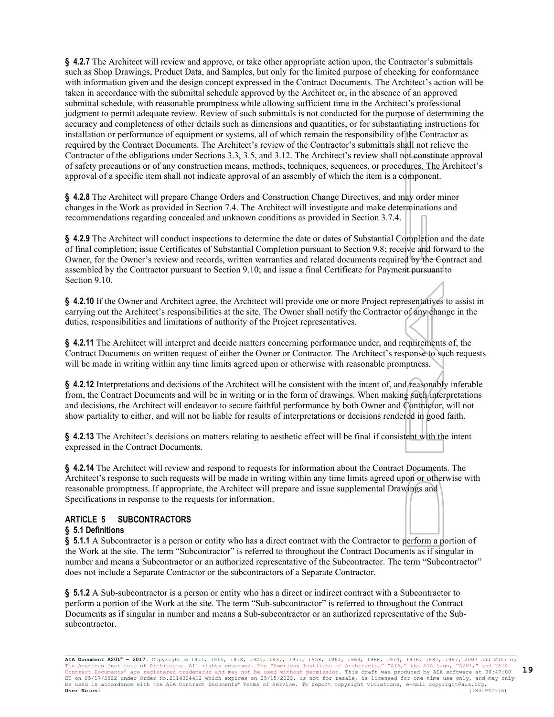**§ 4.2.7** The Architect will review and approve, or take other appropriate action upon, the Contractor's submittals such as Shop Drawings, Product Data, and Samples, but only for the limited purpose of checking for conformance with information given and the design concept expressed in the Contract Documents. The Architect's action will be taken in accordance with the submittal schedule approved by the Architect or, in the absence of an approved submittal schedule, with reasonable promptness while allowing sufficient time in the Architect's professional judgment to permit adequate review. Review of such submittals is not conducted for the purpose of determining the accuracy and completeness of other details such as dimensions and quantities, or for substantiating instructions for installation or performance of equipment or systems, all of which remain the responsibility of the Contractor as required by the Contract Documents. The Architect's review of the Contractor's submittals shall not relieve the Contractor of the obligations under Sections 3.3, 3.5, and 3.12. The Architect's review shall not constitute approval of safety precautions or of any construction means, methods, techniques, sequences, or procedures. The Architect's approval of a specific item shall not indicate approval of an assembly of which the item is a component.

**§ 4.2.8** The Architect will prepare Change Orders and Construction Change Directives, and may order minor changes in the Work as provided in Section 7.4. The Architect will investigate and make determinations and recommendations regarding concealed and unknown conditions as provided in Section 3.7.4.

**§ 4.2.9** The Architect will conduct inspections to determine the date or dates of Substantial Completion and the date of final completion; issue Certificates of Substantial Completion pursuant to Section 9.8; receive and forward to the Owner, for the Owner's review and records, written warranties and related documents required by the Contract and assembled by the Contractor pursuant to Section 9.10; and issue a final Certificate for Payment pursuant to Section 9.10.

**§ 4.2.10** If the Owner and Architect agree, the Architect will provide one or more Project representatives to assist in carrying out the Architect's responsibilities at the site. The Owner shall notify the Contractor of any change in the duties, responsibilities and limitations of authority of the Project representatives.

**§ 4.2.11** The Architect will interpret and decide matters concerning performance under, and requirements of, the Contract Documents on written request of either the Owner or Contractor. The Architect's response to such requests will be made in writing within any time limits agreed upon or otherwise with reasonable promptness.

**§ 4.2.12** Interpretations and decisions of the Architect will be consistent with the intent of, and reasonably inferable from, the Contract Documents and will be in writing or in the form of drawings. When making such interpretations and decisions, the Architect will endeavor to secure faithful performance by both Owner and Contractor, will not show partiality to either, and will not be liable for results of interpretations or decisions rendered in good faith.

**§ 4.2.13** The Architect's decisions on matters relating to aesthetic effect will be final if consistent with the intent expressed in the Contract Documents.

**§ 4.2.14** The Architect will review and respond to requests for information about the Contract Documents. The Architect's response to such requests will be made in writing within any time limits agreed upon or otherwise with reasonable promptness. If appropriate, the Architect will prepare and issue supplemental Drawings and Specifications in response to the requests for information.

#### **ARTICLE 5 SUBCONTRACTORS**

#### **§ 5.1 Definitions**

**§ 5.1.1** A Subcontractor is a person or entity who has a direct contract with the Contractor to perform a portion of the Work at the site. The term "Subcontractor" is referred to throughout the Contract Documents as if singular in number and means a Subcontractor or an authorized representative of the Subcontractor. The term "Subcontractor" does not include a Separate Contractor or the subcontractors of a Separate Contractor.

**§ 5.1.2** A Sub-subcontractor is a person or entity who has a direct or indirect contract with a Subcontractor to perform a portion of the Work at the site. The term "Sub-subcontractor" is referred to throughout the Contract Documents as if singular in number and means a Sub-subcontractor or an authorized representative of the Subsubcontractor.

**AIA Document A201® – 2017.** Copyright © 1911, 1915, 1918, 1925, 1937, 1951, 1958, 1961, 1963, 1966, 1970, 1976, 1987, 1997, 2007 and 2017 by The American Institute of Architects. All rights reserved. The "American Institute of Architects," "AIA," the AIA Logo, "A201," and "AIA<br>Contract Documents" are registered trademarks and may not be used without permission. ET on 05/17/2022 under Order No.2114324412 which expires on 05/15/2023, is not for resale, is licensed for one-time use only, and may only<br>be used in accordance with the AIA Contract Documents® Terms of Service. To report **User Notes:** (1831947576) **19**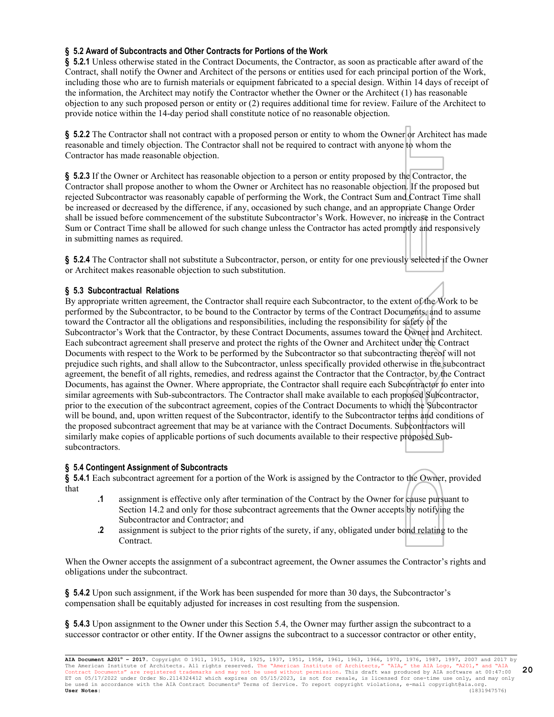#### **§ 5.2 Award of Subcontracts and Other Contracts for Portions of the Work**

**§ 5.2.1** Unless otherwise stated in the Contract Documents, the Contractor, as soon as practicable after award of the Contract, shall notify the Owner and Architect of the persons or entities used for each principal portion of the Work, including those who are to furnish materials or equipment fabricated to a special design. Within 14 days of receipt of the information, the Architect may notify the Contractor whether the Owner or the Architect (1) has reasonable objection to any such proposed person or entity or (2) requires additional time for review. Failure of the Architect to provide notice within the 14-day period shall constitute notice of no reasonable objection.

**§ 5.2.2** The Contractor shall not contract with a proposed person or entity to whom the Owner or Architect has made reasonable and timely objection. The Contractor shall not be required to contract with anyone to whom the Contractor has made reasonable objection.

**§ 5.2.3** If the Owner or Architect has reasonable objection to a person or entity proposed by the Contractor, the Contractor shall propose another to whom the Owner or Architect has no reasonable objection. If the proposed but rejected Subcontractor was reasonably capable of performing the Work, the Contract Sum and Contract Time shall be increased or decreased by the difference, if any, occasioned by such change, and an appropriate Change Order shall be issued before commencement of the substitute Subcontractor's Work. However, no increase in the Contract Sum or Contract Time shall be allowed for such change unless the Contractor has acted promptly and responsively in submitting names as required.

**§ 5.2.4** The Contractor shall not substitute a Subcontractor, person, or entity for one previously selected if the Owner or Architect makes reasonable objection to such substitution.

#### **§ 5.3 Subcontractual Relations**

By appropriate written agreement, the Contractor shall require each Subcontractor, to the extent of the Work to be performed by the Subcontractor, to be bound to the Contractor by terms of the Contract Documents, and to assume toward the Contractor all the obligations and responsibilities, including the responsibility for safety of the Subcontractor's Work that the Contractor, by these Contract Documents, assumes toward the Owner and Architect. Each subcontract agreement shall preserve and protect the rights of the Owner and Architect under the Contract Documents with respect to the Work to be performed by the Subcontractor so that subcontracting thereof will not prejudice such rights, and shall allow to the Subcontractor, unless specifically provided otherwise in the subcontract agreement, the benefit of all rights, remedies, and redress against the Contractor that the Contractor, by the Contract Documents, has against the Owner. Where appropriate, the Contractor shall require each Subcontractor to enter into similar agreements with Sub-subcontractors. The Contractor shall make available to each proposed Subcontractor, prior to the execution of the subcontract agreement, copies of the Contract Documents to which the Subcontractor will be bound, and, upon written request of the Subcontractor, identify to the Subcontractor terms and conditions of the proposed subcontract agreement that may be at variance with the Contract Documents. Subcontractors will similarly make copies of applicable portions of such documents available to their respective proposed Subsubcontractors.

#### **§ 5.4 Contingent Assignment of Subcontracts**

**§ 5.4.1** Each subcontract agreement for a portion of the Work is assigned by the Contractor to the Owner, provided that

- **.1** assignment is effective only after termination of the Contract by the Owner for cause pursuant to Section 14.2 and only for those subcontract agreements that the Owner accepts by notifying the Subcontractor and Contractor; and
- **.2** assignment is subject to the prior rights of the surety, if any, obligated under bond relating to the Contract.

When the Owner accepts the assignment of a subcontract agreement, the Owner assumes the Contractor's rights and obligations under the subcontract.

**§ 5.4.2** Upon such assignment, if the Work has been suspended for more than 30 days, the Subcontractor's compensation shall be equitably adjusted for increases in cost resulting from the suspension.

**§ 5.4.3** Upon assignment to the Owner under this Section 5.4, the Owner may further assign the subcontract to a successor contractor or other entity. If the Owner assigns the subcontract to a successor contractor or other entity,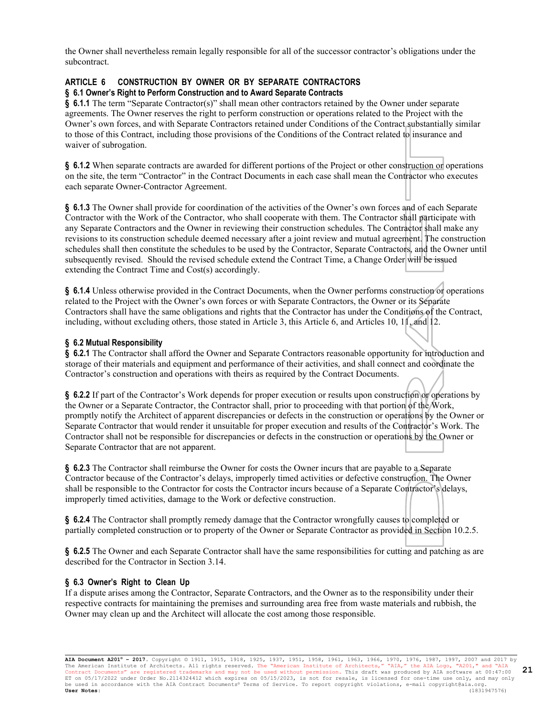the Owner shall nevertheless remain legally responsible for all of the successor contractor's obligations under the subcontract.

#### **ARTICLE 6 CONSTRUCTION BY OWNER OR BY SEPARATE CONTRACTORS**

#### **§ 6.1 Owner's Right to Perform Construction and to Award Separate Contracts**

**§ 6.1.1** The term "Separate Contractor(s)" shall mean other contractors retained by the Owner under separate agreements. The Owner reserves the right to perform construction or operations related to the Project with the Owner's own forces, and with Separate Contractors retained under Conditions of the Contract substantially similar to those of this Contract, including those provisions of the Conditions of the Contract related to insurance and waiver of subrogation.

**§ 6.1.2** When separate contracts are awarded for different portions of the Project or other construction or operations on the site, the term "Contractor" in the Contract Documents in each case shall mean the Contractor who executes each separate Owner-Contractor Agreement.

**§ 6.1.3** The Owner shall provide for coordination of the activities of the Owner's own forces and of each Separate Contractor with the Work of the Contractor, who shall cooperate with them. The Contractor shall participate with any Separate Contractors and the Owner in reviewing their construction schedules. The Contractor shall make any revisions to its construction schedule deemed necessary after a joint review and mutual agreement. The construction schedules shall then constitute the schedules to be used by the Contractor, Separate Contractors, and the Owner until subsequently revised. Should the revised schedule extend the Contract Time, a Change Order will be issued extending the Contract Time and Cost(s) accordingly.

**§ 6.1.4** Unless otherwise provided in the Contract Documents, when the Owner performs construction or operations related to the Project with the Owner's own forces or with Separate Contractors, the Owner or its Separate Contractors shall have the same obligations and rights that the Contractor has under the Conditions of the Contract, including, without excluding others, those stated in Article 3, this Article 6, and Articles 10, 11, and 12.

#### **§ 6.2 Mutual Responsibility**

**§ 6.2.1** The Contractor shall afford the Owner and Separate Contractors reasonable opportunity for introduction and storage of their materials and equipment and performance of their activities, and shall connect and coordinate the Contractor's construction and operations with theirs as required by the Contract Documents.

**§ 6.2.2** If part of the Contractor's Work depends for proper execution or results upon construction or operations by the Owner or a Separate Contractor, the Contractor shall, prior to proceeding with that portion of the Work, promptly notify the Architect of apparent discrepancies or defects in the construction or operations by the Owner or Separate Contractor that would render it unsuitable for proper execution and results of the Contractor's Work. The Contractor shall not be responsible for discrepancies or defects in the construction or operations by the Owner or Separate Contractor that are not apparent.

**§ 6.2.3** The Contractor shall reimburse the Owner for costs the Owner incurs that are payable to a Separate Contractor because of the Contractor's delays, improperly timed activities or defective construction. The Owner shall be responsible to the Contractor for costs the Contractor incurs because of a Separate Contractor's delays, improperly timed activities, damage to the Work or defective construction.

**§ 6.2.4** The Contractor shall promptly remedy damage that the Contractor wrongfully causes to completed or partially completed construction or to property of the Owner or Separate Contractor as provided in Section 10.2.5.

**§ 6.2.5** The Owner and each Separate Contractor shall have the same responsibilities for cutting and patching as are described for the Contractor in Section 3.14.

#### **§ 6.3 Owner's Right to Clean Up**

If a dispute arises among the Contractor, Separate Contractors, and the Owner as to the responsibility under their respective contracts for maintaining the premises and surrounding area free from waste materials and rubbish, the Owner may clean up and the Architect will allocate the cost among those responsible.

**AIA Document A201® – 2017.** Copyright © 1911, 1915, 1918, 1925, 1937, 1951, 1958, 1961, 1963, 1966, 1970, 1976, 1987, 1997, 2007 and 2017 by The American Institute of Architects. All rights reserved. The "American Institute of Architects," "AIA," the AIA Logo, "A201," and "AIA<br>Contract Documents" are registered trademarks and may not be used without permission. ET on 05/17/2022 under Order No.2114324412 which expires on 05/15/2023, is not for resale, is licensed for one-time use only, and may only<br>be used in accordance with the AIA Contract Documents® Terms of Service. To report **User Notes:** (1831947576) **21**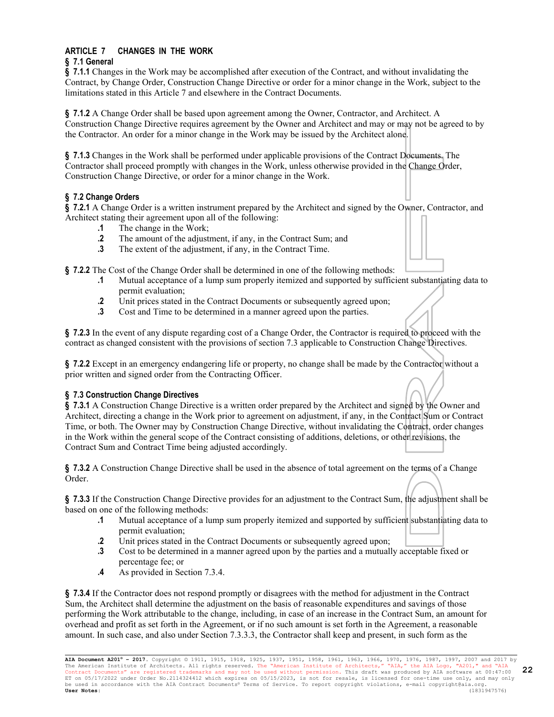## **ARTICLE 7 CHANGES IN THE WORK**

#### **§ 7.1 General**

**§ 7.1.1** Changes in the Work may be accomplished after execution of the Contract, and without invalidating the Contract, by Change Order, Construction Change Directive or order for a minor change in the Work, subject to the limitations stated in this Article 7 and elsewhere in the Contract Documents.

**§ 7.1.2** A Change Order shall be based upon agreement among the Owner, Contractor, and Architect. A Construction Change Directive requires agreement by the Owner and Architect and may or may not be agreed to by the Contractor. An order for a minor change in the Work may be issued by the Architect alone.

**§ 7.1.3** Changes in the Work shall be performed under applicable provisions of the Contract Documents. The Contractor shall proceed promptly with changes in the Work, unless otherwise provided in the Change Order, Construction Change Directive, or order for a minor change in the Work.

### **§ 7.2 Change Orders**

**§ 7.2.1** A Change Order is a written instrument prepared by the Architect and signed by the Owner, Contractor, and Architect stating their agreement upon all of the following:

- **.1** The change in the Work;<br>**2** The amount of the adjust:
- The amount of the adjustment, if any, in the Contract Sum; and
- **.3** The extent of the adjustment, if any, in the Contract Time.

**§ 7.2.2** The Cost of the Change Order shall be determined in one of the following methods:

- **.1** Mutual acceptance of a lump sum properly itemized and supported by sufficient substantiating data to permit evaluation;
- **.2** Unit prices stated in the Contract Documents or subsequently agreed upon;
- **.3** Cost and Time to be determined in a manner agreed upon the parties.

**§ 7.2.3** In the event of any dispute regarding cost of a Change Order, the Contractor is required to proceed with the contract as changed consistent with the provisions of section 7.3 applicable to Construction Change Directives.

**§ 7.2.2** Except in an emergency endangering life or property, no change shall be made by the Contractor without a prior written and signed order from the Contracting Officer.

#### **§ 7.3 Construction Change Directives**

**§ 7.3.1** A Construction Change Directive is a written order prepared by the Architect and signed by the Owner and Architect, directing a change in the Work prior to agreement on adjustment, if any, in the Contract Sum or Contract Time, or both. The Owner may by Construction Change Directive, without invalidating the Contract, order changes in the Work within the general scope of the Contract consisting of additions, deletions, or other revisions, the Contract Sum and Contract Time being adjusted accordingly.

**§ 7.3.2** A Construction Change Directive shall be used in the absence of total agreement on the terms of a Change Order.

**§ 7.3.3** If the Construction Change Directive provides for an adjustment to the Contract Sum, the adjustment shall be based on one of the following methods:

- **.1** Mutual acceptance of a lump sum properly itemized and supported by sufficient substantiating data to permit evaluation;
- **.2** Unit prices stated in the Contract Documents or subsequently agreed upon;
- **.3** Cost to be determined in a manner agreed upon by the parties and a mutually acceptable fixed or percentage fee; or
- **.4** As provided in Section 7.3.4.

**§ 7.3.4** If the Contractor does not respond promptly or disagrees with the method for adjustment in the Contract Sum, the Architect shall determine the adjustment on the basis of reasonable expenditures and savings of those performing the Work attributable to the change, including, in case of an increase in the Contract Sum, an amount for overhead and profit as set forth in the Agreement, or if no such amount is set forth in the Agreement, a reasonable amount. In such case, and also under Section 7.3.3.3, the Contractor shall keep and present, in such form as the

**AIA Document A201® – 2017.** Copyright © 1911, 1915, 1918, 1925, 1937, 1951, 1958, 1961, 1963, 1966, 1970, 1976, 1987, 1997, 2007 and 2017 by The American Institute of Architects. All rights reserved. The "American Institute of Architects," "AIA," the AIA Logo, "A201," and "AIA<br>Contract Documents" are registered trademarks and may not be used without permission. ET on 05/17/2022 under Order No.2114324412 which expires on 05/15/2023, is not for resale, is licensed for one-time use only, and may only<br>be used in accordance with the AIA Contract Documents® Terms of Service. To report **User Notes:** (1831947576) **22**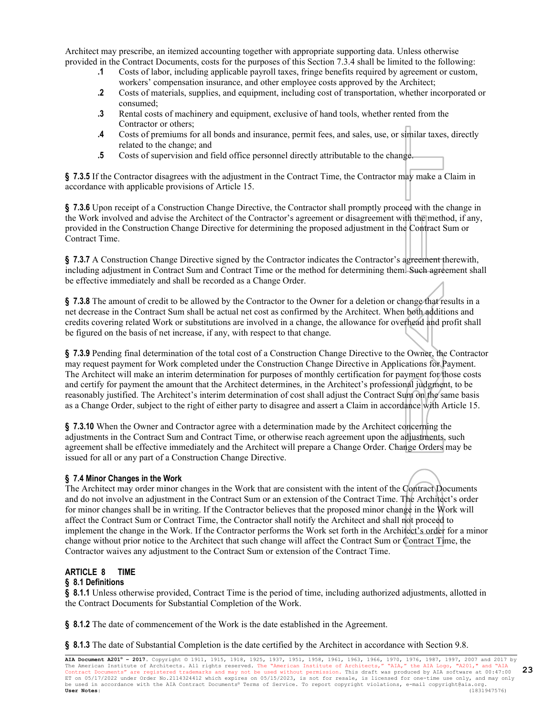Architect may prescribe, an itemized accounting together with appropriate supporting data. Unless otherwise provided in the Contract Documents, costs for the purposes of this Section 7.3.4 shall be limited to the following:

- **.1** Costs of labor, including applicable payroll taxes, fringe benefits required by agreement or custom, workers' compensation insurance, and other employee costs approved by the Architect;
- **.2** Costs of materials, supplies, and equipment, including cost of transportation, whether incorporated or consumed;
- **.3** Rental costs of machinery and equipment, exclusive of hand tools, whether rented from the Contractor or others;
- **.4** Costs of premiums for all bonds and insurance, permit fees, and sales, use, or similar taxes, directly related to the change; and
- **.5** Costs of supervision and field office personnel directly attributable to the change.

**§ 7.3.5** If the Contractor disagrees with the adjustment in the Contract Time, the Contractor may make a Claim in accordance with applicable provisions of Article 15.

**§ 7.3.6** Upon receipt of a Construction Change Directive, the Contractor shall promptly proceed with the change in the Work involved and advise the Architect of the Contractor's agreement or disagreement with the method, if any, provided in the Construction Change Directive for determining the proposed adjustment in the Contract Sum or Contract Time.

**§ 7.3.7** A Construction Change Directive signed by the Contractor indicates the Contractor's agreement therewith, including adjustment in Contract Sum and Contract Time or the method for determining them. Such agreement shall be effective immediately and shall be recorded as a Change Order.

**§ 7.3.8** The amount of credit to be allowed by the Contractor to the Owner for a deletion or change that results in a net decrease in the Contract Sum shall be actual net cost as confirmed by the Architect. When both additions and credits covering related Work or substitutions are involved in a change, the allowance for overhead and profit shall be figured on the basis of net increase, if any, with respect to that change.

**§ 7.3.9** Pending final determination of the total cost of a Construction Change Directive to the Owner, the Contractor may request payment for Work completed under the Construction Change Directive in Applications for Payment. The Architect will make an interim determination for purposes of monthly certification for payment for those costs and certify for payment the amount that the Architect determines, in the Architect's professional judgment, to be reasonably justified. The Architect's interim determination of cost shall adjust the Contract Sum on the same basis as a Change Order, subject to the right of either party to disagree and assert a Claim in accordance with Article 15.

**§ 7.3.10** When the Owner and Contractor agree with a determination made by the Architect concerning the adjustments in the Contract Sum and Contract Time, or otherwise reach agreement upon the adjustments, such agreement shall be effective immediately and the Architect will prepare a Change Order. Change Orders may be issued for all or any part of a Construction Change Directive.

#### **§ 7.4 Minor Changes in the Work**

The Architect may order minor changes in the Work that are consistent with the intent of the Contract Documents and do not involve an adjustment in the Contract Sum or an extension of the Contract Time. The Architect's order for minor changes shall be in writing. If the Contractor believes that the proposed minor change in the Work will affect the Contract Sum or Contract Time, the Contractor shall notify the Architect and shall not proceed to implement the change in the Work. If the Contractor performs the Work set forth in the Architect's order for a minor change without prior notice to the Architect that such change will affect the Contract Sum or Contract Time, the Contractor waives any adjustment to the Contract Sum or extension of the Contract Time.

#### **ARTICLE 8 TIME**

#### **§ 8.1 Definitions**

**§ 8.1.1** Unless otherwise provided, Contract Time is the period of time, including authorized adjustments, allotted in the Contract Documents for Substantial Completion of the Work.

**§ 8.1.2** The date of commencement of the Work is the date established in the Agreement.

**§ 8.1.3** The date of Substantial Completion is the date certified by the Architect in accordance with Section 9.8.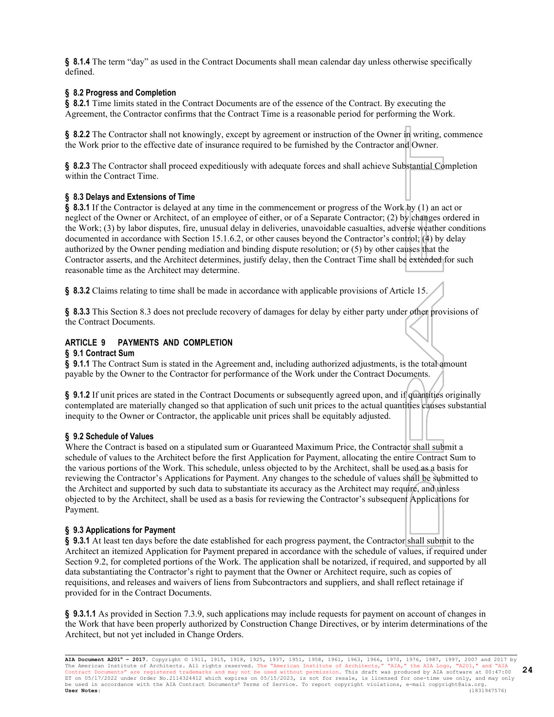**§ 8.1.4** The term "day" as used in the Contract Documents shall mean calendar day unless otherwise specifically defined.

#### **§ 8.2 Progress and Completion**

**§ 8.2.1** Time limits stated in the Contract Documents are of the essence of the Contract. By executing the Agreement, the Contractor confirms that the Contract Time is a reasonable period for performing the Work.

**§ 8.2.2** The Contractor shall not knowingly, except by agreement or instruction of the Owner in writing, commence the Work prior to the effective date of insurance required to be furnished by the Contractor and Owner.

**§ 8.2.3** The Contractor shall proceed expeditiously with adequate forces and shall achieve Substantial Completion within the Contract Time.

#### **§ 8.3 Delays and Extensions of Time**

**§ 8.3.1** If the Contractor is delayed at any time in the commencement or progress of the Work by (1) an act or neglect of the Owner or Architect, of an employee of either, or of a Separate Contractor; (2) by changes ordered in the Work; (3) by labor disputes, fire, unusual delay in deliveries, unavoidable casualties, adverse weather conditions documented in accordance with Section 15.1.6.2, or other causes beyond the Contractor's control; (4) by delay authorized by the Owner pending mediation and binding dispute resolution; or (5) by other causes that the Contractor asserts, and the Architect determines, justify delay, then the Contract Time shall be extended for such reasonable time as the Architect may determine.

**§ 8.3.2** Claims relating to time shall be made in accordance with applicable provisions of Article 15.

**§ 8.3.3** This Section 8.3 does not preclude recovery of damages for delay by either party under other provisions of the Contract Documents.

#### **ARTICLE 9 PAYMENTS AND COMPLETION**

#### **§ 9.1 Contract Sum**

**§ 9.1.1** The Contract Sum is stated in the Agreement and, including authorized adjustments, is the total amount payable by the Owner to the Contractor for performance of the Work under the Contract Documents.

**§ 9.1.2** If unit prices are stated in the Contract Documents or subsequently agreed upon, and if quantities originally contemplated are materially changed so that application of such unit prices to the actual quantities causes substantial inequity to the Owner or Contractor, the applicable unit prices shall be equitably adjusted.

#### **§ 9.2 Schedule of Values**

Where the Contract is based on a stipulated sum or Guaranteed Maximum Price, the Contractor shall submit a schedule of values to the Architect before the first Application for Payment, allocating the entire Contract Sum to the various portions of the Work. This schedule, unless objected to by the Architect, shall be used as a basis for reviewing the Contractor's Applications for Payment. Any changes to the schedule of values shall be submitted to the Architect and supported by such data to substantiate its accuracy as the Architect may require, and unless objected to by the Architect, shall be used as a basis for reviewing the Contractor's subsequent Applications for Payment.

#### **§ 9.3 Applications for Payment**

**§ 9.3.1** At least ten days before the date established for each progress payment, the Contractor shall submit to the Architect an itemized Application for Payment prepared in accordance with the schedule of values, if required under Section 9.2, for completed portions of the Work. The application shall be notarized, if required, and supported by all data substantiating the Contractor's right to payment that the Owner or Architect require, such as copies of requisitions, and releases and waivers of liens from Subcontractors and suppliers, and shall reflect retainage if provided for in the Contract Documents.

**§ 9.3.1.1** As provided in Section 7.3.9, such applications may include requests for payment on account of changes in the Work that have been properly authorized by Construction Change Directives, or by interim determinations of the Architect, but not yet included in Change Orders.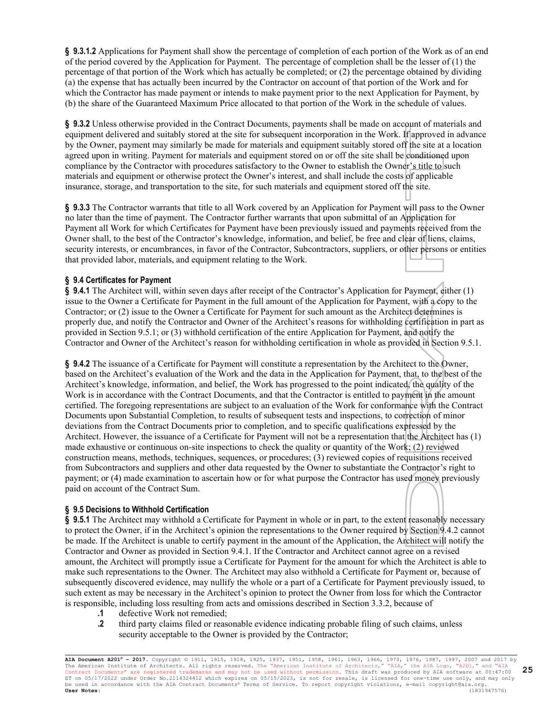**§ 9.3.1.2** Applications for Payment shall show the percentage of completion of each portion of the Work as of an end of the period covered by the Application for Payment. The percentage of completion shall be the lesser of (1) the percentage of that portion of the Work which has actually be completed; or (2) the percentage obtained by dividing (a) the expense that has actually been incurred by the Contractor on account of that portion of the Work and for which the Contractor has made payment or intends to make payment prior to the next Application for Payment, by (b) the share of the Guaranteed Maximum Price allocated to that portion of the Work in the schedule of values.

**§ 9.3.2** Unless otherwise provided in the Contract Documents, payments shall be made on account of materials and equipment delivered and suitably stored at the site for subsequent incorporation in the Work. If approved in advance by the Owner, payment may similarly be made for materials and equipment suitably stored off the site at a location agreed upon in writing. Payment for materials and equipment stored on or off the site shall be conditioned upon compliance by the Contractor with procedures satisfactory to the Owner to establish the Owner's title to such materials and equipment or otherwise protect the Owner's interest, and shall include the costs of applicable insurance, storage, and transportation to the site, for such materials and equipment stored off the site.

**§ 9.3.3** The Contractor warrants that title to all Work covered by an Application for Payment will pass to the Owner no later than the time of payment. The Contractor further warrants that upon submittal of an Application for Payment all Work for which Certificates for Payment have been previously issued and payments received from the Owner shall, to the best of the Contractor's knowledge, information, and belief, be free and clear of liens, claims, security interests, or encumbrances, in favor of the Contractor, Subcontractors, suppliers, or other persons or entities that provided labor, materials, and equipment relating to the Work.

#### **§ 9.4 Certificates for Payment**

**§ 9.4.1** The Architect will, within seven days after receipt of the Contractor's Application for Payment, either (1) issue to the Owner a Certificate for Payment in the full amount of the Application for Payment, with a copy to the Contractor; or (2) issue to the Owner a Certificate for Payment for such amount as the Architect determines is properly due, and notify the Contractor and Owner of the Architect's reasons for withholding certification in part as provided in Section 9.5.1; or (3) withhold certification of the entire Application for Payment, and notify the Contractor and Owner of the Architect's reason for withholding certification in whole as provided in Section 9.5.1.

**§ 9.4.2** The issuance of a Certificate for Payment will constitute a representation by the Architect to the Owner, based on the Architect's evaluation of the Work and the data in the Application for Payment, that, to the best of the Architect's knowledge, information, and belief, the Work has progressed to the point indicated, the quality of the Work is in accordance with the Contract Documents, and that the Contractor is entitled to payment in the amount certified. The foregoing representations are subject to an evaluation of the Work for conformance with the Contract Documents upon Substantial Completion, to results of subsequent tests and inspections, to correction of minor deviations from the Contract Documents prior to completion, and to specific qualifications expressed by the Architect. However, the issuance of a Certificate for Payment will not be a representation that the Architect has (1) made exhaustive or continuous on-site inspections to check the quality or quantity of the Work; (2) reviewed construction means, methods, techniques, sequences, or procedures; (3) reviewed copies of requisitions received from Subcontractors and suppliers and other data requested by the Owner to substantiate the Contractor's right to payment; or (4) made examination to ascertain how or for what purpose the Contractor has used money previously paid on account of the Contract Sum.

#### **§ 9.5 Decisions to Withhold Certification**

**§ 9.5.1** The Architect may withhold a Certificate for Payment in whole or in part, to the extent reasonably necessary to protect the Owner, if in the Architect's opinion the representations to the Owner required by Section 9.4.2 cannot be made. If the Architect is unable to certify payment in the amount of the Application, the Architect will notify the Contractor and Owner as provided in Section 9.4.1. If the Contractor and Architect cannot agree on a revised amount, the Architect will promptly issue a Certificate for Payment for the amount for which the Architect is able to make such representations to the Owner. The Architect may also withhold a Certificate for Payment or, because of subsequently discovered evidence, may nullify the whole or a part of a Certificate for Payment previously issued, to such extent as may be necessary in the Architect's opinion to protect the Owner from loss for which the Contractor is responsible, including loss resulting from acts and omissions described in Section 3.3.2, because of

- **.1** defective Work not remedied;
- **.2** third party claims filed or reasonable evidence indicating probable filing of such claims, unless security acceptable to the Owner is provided by the Contractor;

**AIA Document A201® – 2017.** Copyright © 1911, 1915, 1918, 1925, 1937, 1951, 1958, 1961, 1963, 1966, 1970, 1976, 1987, 1997, 2007 and 2017 by The American Institute of Architects. All rights reserved. The "American Institute of Architects," "AIA," the AIA Logo, "A201," and "AIA<br>Contract Documents" are registered trademarks and may not be used without permission. ET on 05/17/2022 under Order No.2114324412 which expires on 05/15/2023, is not for resale, is licensed for one-time use only, and may only<br>be used in accordance with the AIA Contract Documents® Terms of Service. To report **User Notes:** (1831947576) **25**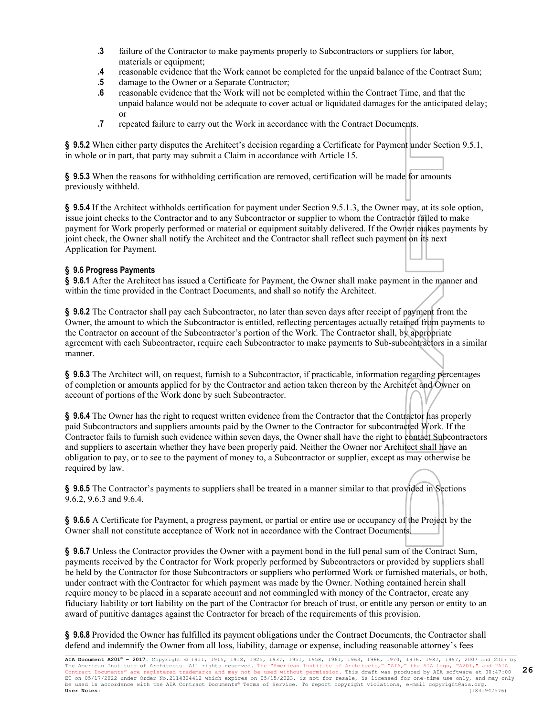- **.3** failure of the Contractor to make payments properly to Subcontractors or suppliers for labor, materials or equipment;
- **.4** reasonable evidence that the Work cannot be completed for the unpaid balance of the Contract Sum;
- **.5** damage to the Owner or a Separate Contractor;
- **.6** reasonable evidence that the Work will not be completed within the Contract Time, and that the unpaid balance would not be adequate to cover actual or liquidated damages for the anticipated delay; or
- **.7** repeated failure to carry out the Work in accordance with the Contract Documents.

**§ 9.5.2** When either party disputes the Architect's decision regarding a Certificate for Payment under Section 9.5.1, in whole or in part, that party may submit a Claim in accordance with Article 15.

**§ 9.5.3** When the reasons for withholding certification are removed, certification will be made for amounts previously withheld.

**§ 9.5.4** If the Architect withholds certification for payment under Section 9.5.1.3, the Owner may, at its sole option, issue joint checks to the Contractor and to any Subcontractor or supplier to whom the Contractor failed to make payment for Work properly performed or material or equipment suitably delivered. If the Owner makes payments by joint check, the Owner shall notify the Architect and the Contractor shall reflect such payment on its next Application for Payment.

#### **§ 9.6 Progress Payments**

**§ 9.6.1** After the Architect has issued a Certificate for Payment, the Owner shall make payment in the manner and within the time provided in the Contract Documents, and shall so notify the Architect.

**§ 9.6.2** The Contractor shall pay each Subcontractor, no later than seven days after receipt of payment from the Owner, the amount to which the Subcontractor is entitled, reflecting percentages actually retained from payments to the Contractor on account of the Subcontractor's portion of the Work. The Contractor shall, by appropriate agreement with each Subcontractor, require each Subcontractor to make payments to Sub-subcontractors in a similar manner.

**§ 9.6.3** The Architect will, on request, furnish to a Subcontractor, if practicable, information regarding percentages of completion or amounts applied for by the Contractor and action taken thereon by the Architect and Owner on account of portions of the Work done by such Subcontractor.

**§ 9.6.4** The Owner has the right to request written evidence from the Contractor that the Contractor has properly paid Subcontractors and suppliers amounts paid by the Owner to the Contractor for subcontracted Work. If the Contractor fails to furnish such evidence within seven days, the Owner shall have the right to contact Subcontractors and suppliers to ascertain whether they have been properly paid. Neither the Owner nor Architect shall have an obligation to pay, or to see to the payment of money to, a Subcontractor or supplier, except as may otherwise be required by law.

**§ 9.6.5** The Contractor's payments to suppliers shall be treated in a manner similar to that provided in Sections 9.6.2, 9.6.3 and 9.6.4.

**§ 9.6.6** A Certificate for Payment, a progress payment, or partial or entire use or occupancy of the Project by the Owner shall not constitute acceptance of Work not in accordance with the Contract Documents.

**§ 9.6.7** Unless the Contractor provides the Owner with a payment bond in the full penal sum of the Contract Sum, payments received by the Contractor for Work properly performed by Subcontractors or provided by suppliers shall be held by the Contractor for those Subcontractors or suppliers who performed Work or furnished materials, or both, under contract with the Contractor for which payment was made by the Owner. Nothing contained herein shall require money to be placed in a separate account and not commingled with money of the Contractor, create any fiduciary liability or tort liability on the part of the Contractor for breach of trust, or entitle any person or entity to an award of punitive damages against the Contractor for breach of the requirements of this provision.

**§ 9.6.8** Provided the Owner has fulfilled its payment obligations under the Contract Documents, the Contractor shall defend and indemnify the Owner from all loss, liability, damage or expense, including reasonable attorney's fees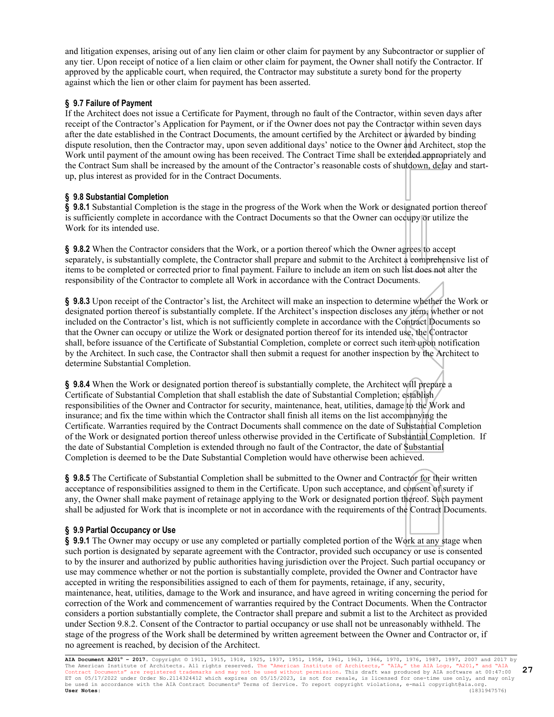and litigation expenses, arising out of any lien claim or other claim for payment by any Subcontractor or supplier of any tier. Upon receipt of notice of a lien claim or other claim for payment, the Owner shall notify the Contractor. If approved by the applicable court, when required, the Contractor may substitute a surety bond for the property against which the lien or other claim for payment has been asserted.

#### **§ 9.7 Failure of Payment**

If the Architect does not issue a Certificate for Payment, through no fault of the Contractor, within seven days after receipt of the Contractor's Application for Payment, or if the Owner does not pay the Contractor within seven days after the date established in the Contract Documents, the amount certified by the Architect or awarded by binding dispute resolution, then the Contractor may, upon seven additional days' notice to the Owner and Architect, stop the Work until payment of the amount owing has been received. The Contract Time shall be extended appropriately and the Contract Sum shall be increased by the amount of the Contractor's reasonable costs of shutdown, delay and startup, plus interest as provided for in the Contract Documents.

#### **§ 9.8 Substantial Completion**

**§ 9.8.1** Substantial Completion is the stage in the progress of the Work when the Work or designated portion thereof is sufficiently complete in accordance with the Contract Documents so that the Owner can occupy or utilize the Work for its intended use.

**§ 9.8.2** When the Contractor considers that the Work, or a portion thereof which the Owner agrees to accept separately, is substantially complete, the Contractor shall prepare and submit to the Architect a comprehensive list of items to be completed or corrected prior to final payment. Failure to include an item on such list does not alter the responsibility of the Contractor to complete all Work in accordance with the Contract Documents.

**§ 9.8.3** Upon receipt of the Contractor's list, the Architect will make an inspection to determine whether the Work or designated portion thereof is substantially complete. If the Architect's inspection discloses any item, whether or not included on the Contractor's list, which is not sufficiently complete in accordance with the Contract Documents so that the Owner can occupy or utilize the Work or designated portion thereof for its intended use, the Contractor shall, before issuance of the Certificate of Substantial Completion, complete or correct such item upon notification by the Architect. In such case, the Contractor shall then submit a request for another inspection by the Architect to determine Substantial Completion.

**§ 9.8.4** When the Work or designated portion thereof is substantially complete, the Architect will prepare a Certificate of Substantial Completion that shall establish the date of Substantial Completion; establish responsibilities of the Owner and Contractor for security, maintenance, heat, utilities, damage to the Work and insurance; and fix the time within which the Contractor shall finish all items on the list accompanying the Certificate. Warranties required by the Contract Documents shall commence on the date of Substantial Completion of the Work or designated portion thereof unless otherwise provided in the Certificate of Substantial Completion. If the date of Substantial Completion is extended through no fault of the Contractor, the date of Substantial Completion is deemed to be the Date Substantial Completion would have otherwise been achieved.

**§ 9.8.5** The Certificate of Substantial Completion shall be submitted to the Owner and Contractor for their written acceptance of responsibilities assigned to them in the Certificate. Upon such acceptance, and consent of surety if any, the Owner shall make payment of retainage applying to the Work or designated portion thereof. Such payment shall be adjusted for Work that is incomplete or not in accordance with the requirements of the Contract Documents.

#### **§ 9.9 Partial Occupancy or Use**

**§ 9.9.1** The Owner may occupy or use any completed or partially completed portion of the Work at any stage when such portion is designated by separate agreement with the Contractor, provided such occupancy or use is consented to by the insurer and authorized by public authorities having jurisdiction over the Project. Such partial occupancy or use may commence whether or not the portion is substantially complete, provided the Owner and Contractor have accepted in writing the responsibilities assigned to each of them for payments, retainage, if any, security, maintenance, heat, utilities, damage to the Work and insurance, and have agreed in writing concerning the period for correction of the Work and commencement of warranties required by the Contract Documents. When the Contractor considers a portion substantially complete, the Contractor shall prepare and submit a list to the Architect as provided under Section 9.8.2. Consent of the Contractor to partial occupancy or use shall not be unreasonably withheld. The stage of the progress of the Work shall be determined by written agreement between the Owner and Contractor or, if no agreement is reached, by decision of the Architect.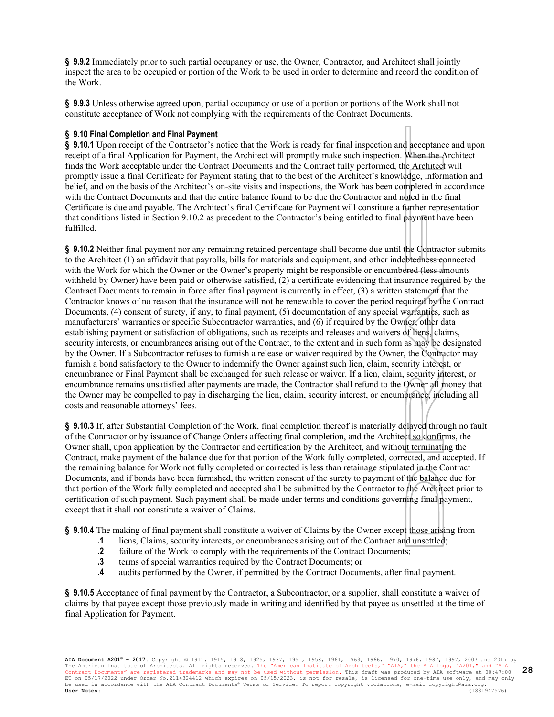**§ 9.9.2** Immediately prior to such partial occupancy or use, the Owner, Contractor, and Architect shall jointly inspect the area to be occupied or portion of the Work to be used in order to determine and record the condition of the Work.

**§ 9.9.3** Unless otherwise agreed upon, partial occupancy or use of a portion or portions of the Work shall not constitute acceptance of Work not complying with the requirements of the Contract Documents.

#### **§ 9.10 Final Completion and Final Payment**

**§ 9.10.1** Upon receipt of the Contractor's notice that the Work is ready for final inspection and acceptance and upon receipt of a final Application for Payment, the Architect will promptly make such inspection. When the Architect finds the Work acceptable under the Contract Documents and the Contract fully performed, the Architect will promptly issue a final Certificate for Payment stating that to the best of the Architect's knowledge, information and belief, and on the basis of the Architect's on-site visits and inspections, the Work has been completed in accordance with the Contract Documents and that the entire balance found to be due the Contractor and noted in the final Certificate is due and payable. The Architect's final Certificate for Payment will constitute a further representation that conditions listed in Section 9.10.2 as precedent to the Contractor's being entitled to final payment have been fulfilled.

**§ 9.10.2** Neither final payment nor any remaining retained percentage shall become due until the Contractor submits to the Architect (1) an affidavit that payrolls, bills for materials and equipment, and other indebtedness connected with the Work for which the Owner or the Owner's property might be responsible or encumbered (less amounts withheld by Owner) have been paid or otherwise satisfied, (2) a certificate evidencing that insurance required by the Contract Documents to remain in force after final payment is currently in effect, (3) a written statement that the Contractor knows of no reason that the insurance will not be renewable to cover the period required by the Contract Documents, (4) consent of surety, if any, to final payment, (5) documentation of any special warranties, such as manufacturers' warranties or specific Subcontractor warranties, and (6) if required by the Owner, other data establishing payment or satisfaction of obligations, such as receipts and releases and waivers of liens, claims, security interests, or encumbrances arising out of the Contract, to the extent and in such form as may be designated by the Owner. If a Subcontractor refuses to furnish a release or waiver required by the Owner, the Contractor may furnish a bond satisfactory to the Owner to indemnify the Owner against such lien, claim, security interest, or encumbrance or Final Payment shall be exchanged for such release or waiver. If a lien, claim, security interest, or encumbrance remains unsatisfied after payments are made, the Contractor shall refund to the Owner all money that the Owner may be compelled to pay in discharging the lien, claim, security interest, or encumbrance, including all costs and reasonable attorneys' fees.

**§ 9.10.3** If, after Substantial Completion of the Work, final completion thereof is materially delayed through no fault of the Contractor or by issuance of Change Orders affecting final completion, and the Architect so confirms, the Owner shall, upon application by the Contractor and certification by the Architect, and without terminating the Contract, make payment of the balance due for that portion of the Work fully completed, corrected, and accepted. If the remaining balance for Work not fully completed or corrected is less than retainage stipulated in the Contract Documents, and if bonds have been furnished, the written consent of the surety to payment of the balance due for that portion of the Work fully completed and accepted shall be submitted by the Contractor to the Architect prior to certification of such payment. Such payment shall be made under terms and conditions governing final payment, except that it shall not constitute a waiver of Claims.

**§ 9.10.4** The making of final payment shall constitute a waiver of Claims by the Owner except those arising from

- **.1** liens, Claims, security interests, or encumbrances arising out of the Contract and unsettled;
- **.2** failure of the Work to comply with the requirements of the Contract Documents;
- **.3** terms of special warranties required by the Contract Documents; or
- **.4** audits performed by the Owner, if permitted by the Contract Documents, after final payment.

**§ 9.10.5** Acceptance of final payment by the Contractor, a Subcontractor, or a supplier, shall constitute a waiver of claims by that payee except those previously made in writing and identified by that payee as unsettled at the time of final Application for Payment.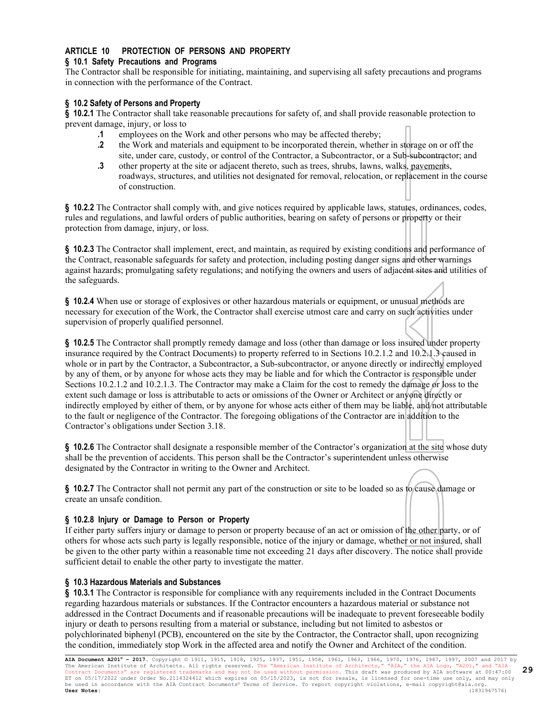## **ARTICLE 10 PROTECTION OF PERSONS AND PROPERTY**

#### **§ 10.1 Safety Precautions and Programs**

The Contractor shall be responsible for initiating, maintaining, and supervising all safety precautions and programs in connection with the performance of the Contract.

#### **§ 10.2 Safety of Persons and Property**

**§ 10.2.1** The Contractor shall take reasonable precautions for safety of, and shall provide reasonable protection to prevent damage, injury, or loss to

- **.1** employees on the Work and other persons who may be affected thereby;
- **.2** the Work and materials and equipment to be incorporated therein, whether in storage on or off the site, under care, custody, or control of the Contractor, a Subcontractor, or a Sub-subcontractor; and
- **.3** other property at the site or adjacent thereto, such as trees, shrubs, lawns, walks, pavements, roadways, structures, and utilities not designated for removal, relocation, or replacement in the course of construction.

**§ 10.2.2** The Contractor shall comply with, and give notices required by applicable laws, statutes, ordinances, codes, rules and regulations, and lawful orders of public authorities, bearing on safety of persons or property or their protection from damage, injury, or loss.

**§ 10.2.3** The Contractor shall implement, erect, and maintain, as required by existing conditions and performance of the Contract, reasonable safeguards for safety and protection, including posting danger signs and other warnings against hazards; promulgating safety regulations; and notifying the owners and users of adjacent sites and utilities of the safeguards.

**§ 10.2.4** When use or storage of explosives or other hazardous materials or equipment, or unusual methods are necessary for execution of the Work, the Contractor shall exercise utmost care and carry on such activities under supervision of properly qualified personnel.

**§ 10.2.5** The Contractor shall promptly remedy damage and loss (other than damage or loss insured under property insurance required by the Contract Documents) to property referred to in Sections 10.2.1.2 and 10.2.1.3 caused in whole or in part by the Contractor, a Subcontractor, a Sub-subcontractor, or anyone directly or indirectly employed by any of them, or by anyone for whose acts they may be liable and for which the Contractor is responsible under Sections 10.2.1.2 and 10.2.1.3. The Contractor may make a Claim for the cost to remedy the damage or loss to the extent such damage or loss is attributable to acts or omissions of the Owner or Architect or anyone directly or indirectly employed by either of them, or by anyone for whose acts either of them may be liable, and not attributable to the fault or negligence of the Contractor. The foregoing obligations of the Contractor are in addition to the Contractor's obligations under Section 3.18.

**§ 10.2.6** The Contractor shall designate a responsible member of the Contractor's organization at the site whose duty shall be the prevention of accidents. This person shall be the Contractor's superintendent unless otherwise designated by the Contractor in writing to the Owner and Architect.

**§ 10.2.7** The Contractor shall not permit any part of the construction or site to be loaded so as to cause damage or create an unsafe condition.

#### **§ 10.2.8 Injury or Damage to Person or Property**

If either party suffers injury or damage to person or property because of an act or omission of the other party, or of others for whose acts such party is legally responsible, notice of the injury or damage, whether or not insured, shall be given to the other party within a reasonable time not exceeding 21 days after discovery. The notice shall provide sufficient detail to enable the other party to investigate the matter.

#### **§ 10.3 Hazardous Materials and Substances**

**§ 10.3.1** The Contractor is responsible for compliance with any requirements included in the Contract Documents regarding hazardous materials or substances. If the Contractor encounters a hazardous material or substance not addressed in the Contract Documents and if reasonable precautions will be inadequate to prevent foreseeable bodily injury or death to persons resulting from a material or substance, including but not limited to asbestos or polychlorinated biphenyl (PCB), encountered on the site by the Contractor, the Contractor shall, upon recognizing the condition, immediately stop Work in the affected area and notify the Owner and Architect of the condition.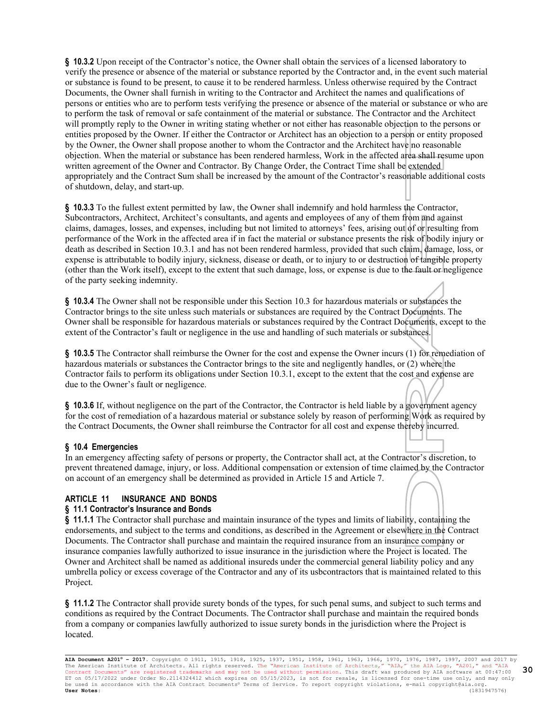**§ 10.3.2** Upon receipt of the Contractor's notice, the Owner shall obtain the services of a licensed laboratory to verify the presence or absence of the material or substance reported by the Contractor and, in the event such material or substance is found to be present, to cause it to be rendered harmless. Unless otherwise required by the Contract Documents, the Owner shall furnish in writing to the Contractor and Architect the names and qualifications of persons or entities who are to perform tests verifying the presence or absence of the material or substance or who are to perform the task of removal or safe containment of the material or substance. The Contractor and the Architect will promptly reply to the Owner in writing stating whether or not either has reasonable objection to the persons or entities proposed by the Owner. If either the Contractor or Architect has an objection to a person or entity proposed by the Owner, the Owner shall propose another to whom the Contractor and the Architect have no reasonable objection. When the material or substance has been rendered harmless, Work in the affected area shall resume upon written agreement of the Owner and Contractor. By Change Order, the Contract Time shall be extended appropriately and the Contract Sum shall be increased by the amount of the Contractor's reasonable additional costs of shutdown, delay, and start-up.

**§ 10.3.3** To the fullest extent permitted by law, the Owner shall indemnify and hold harmless the Contractor, Subcontractors, Architect, Architect's consultants, and agents and employees of any of them from and against claims, damages, losses, and expenses, including but not limited to attorneys' fees, arising out of or resulting from performance of the Work in the affected area if in fact the material or substance presents the risk of bodily injury or death as described in Section 10.3.1 and has not been rendered harmless, provided that such claim, damage, loss, or expense is attributable to bodily injury, sickness, disease or death, or to injury to or destruction of tangible property (other than the Work itself), except to the extent that such damage, loss, or expense is due to the fault or negligence of the party seeking indemnity.

**§ 10.3.4** The Owner shall not be responsible under this Section 10.3 for hazardous materials or substances the Contractor brings to the site unless such materials or substances are required by the Contract Documents. The Owner shall be responsible for hazardous materials or substances required by the Contract Documents, except to the extent of the Contractor's fault or negligence in the use and handling of such materials or substances.

**§ 10.3.5** The Contractor shall reimburse the Owner for the cost and expense the Owner incurs (1) for remediation of hazardous materials or substances the Contractor brings to the site and negligently handles, or (2) where the Contractor fails to perform its obligations under Section 10.3.1, except to the extent that the cost and expense are due to the Owner's fault or negligence.

**§ 10.3.6** If, without negligence on the part of the Contractor, the Contractor is held liable by a government agency for the cost of remediation of a hazardous material or substance solely by reason of performing Work as required by the Contract Documents, the Owner shall reimburse the Contractor for all cost and expense thereby incurred.

#### **§ 10.4 Emergencies**

In an emergency affecting safety of persons or property, the Contractor shall act, at the Contractor's discretion, to prevent threatened damage, injury, or loss. Additional compensation or extension of time claimed by the Contractor on account of an emergency shall be determined as provided in Article 15 and Article 7.

#### **ARTICLE 11 INSURANCE AND BONDS**

#### **§ 11.1 Contractor's Insurance and Bonds**

**§ 11.1.1** The Contractor shall purchase and maintain insurance of the types and limits of liability, containing the endorsements, and subject to the terms and conditions, as described in the Agreement or elsewhere in the Contract Documents. The Contractor shall purchase and maintain the required insurance from an insurance company or insurance companies lawfully authorized to issue insurance in the jurisdiction where the Project is located. The Owner and Architect shall be named as additional insureds under the commercial general liability policy and any umbrella policy or excess coverage of the Contractor and any of its usbcontractors that is maintained related to this Project.

**§ 11.1.2** The Contractor shall provide surety bonds of the types, for such penal sums, and subject to such terms and conditions as required by the Contract Documents. The Contractor shall purchase and maintain the required bonds from a company or companies lawfully authorized to issue surety bonds in the jurisdiction where the Project is located.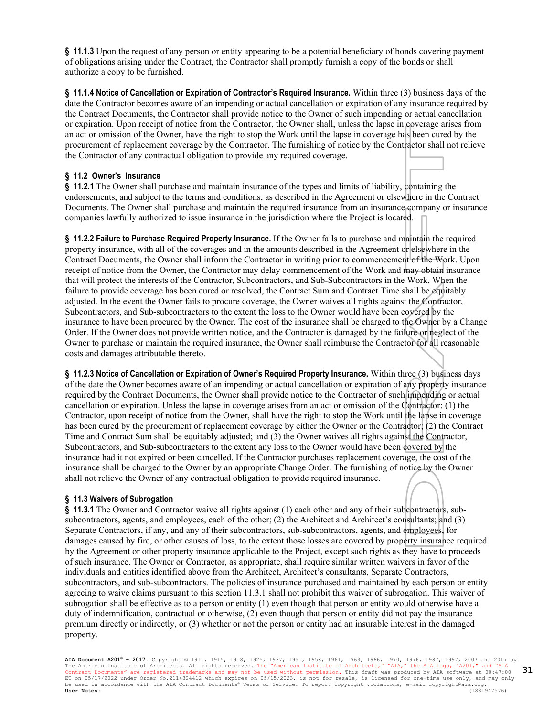**§ 11.1.3** Upon the request of any person or entity appearing to be a potential beneficiary of bonds covering payment of obligations arising under the Contract, the Contractor shall promptly furnish a copy of the bonds or shall authorize a copy to be furnished.

**§ 11.1.4 Notice of Cancellation or Expiration of Contractor's Required Insurance.** Within three (3) business days of the date the Contractor becomes aware of an impending or actual cancellation or expiration of any insurance required by the Contract Documents, the Contractor shall provide notice to the Owner of such impending or actual cancellation or expiration. Upon receipt of notice from the Contractor, the Owner shall, unless the lapse in coverage arises from an act or omission of the Owner, have the right to stop the Work until the lapse in coverage has been cured by the procurement of replacement coverage by the Contractor. The furnishing of notice by the Contractor shall not relieve the Contractor of any contractual obligation to provide any required coverage.

#### **§ 11.2 Owner's Insurance**

**§ 11.2.1** The Owner shall purchase and maintain insurance of the types and limits of liability, containing the endorsements, and subject to the terms and conditions, as described in the Agreement or elsewhere in the Contract Documents. The Owner shall purchase and maintain the required insurance from an insurance company or insurance companies lawfully authorized to issue insurance in the jurisdiction where the Project is located.

**§ 11.2.2 Failure to Purchase Required Property Insurance.** If the Owner fails to purchase and maintain the required property insurance, with all of the coverages and in the amounts described in the Agreement or elsewhere in the Contract Documents, the Owner shall inform the Contractor in writing prior to commencement of the Work. Upon receipt of notice from the Owner, the Contractor may delay commencement of the Work and may obtain insurance that will protect the interests of the Contractor, Subcontractors, and Sub-Subcontractors in the Work. When the failure to provide coverage has been cured or resolved, the Contract Sum and Contract Time shall be equitably adjusted. In the event the Owner fails to procure coverage, the Owner waives all rights against the Contractor, Subcontractors, and Sub-subcontractors to the extent the loss to the Owner would have been covered by the insurance to have been procured by the Owner. The cost of the insurance shall be charged to the Owner by a Change Order. If the Owner does not provide written notice, and the Contractor is damaged by the failure or neglect of the Owner to purchase or maintain the required insurance, the Owner shall reimburse the Contractor for all reasonable costs and damages attributable thereto.

**§ 11.2.3 Notice of Cancellation or Expiration of Owner's Required Property Insurance.** Within three (3) business days of the date the Owner becomes aware of an impending or actual cancellation or expiration of any property insurance required by the Contract Documents, the Owner shall provide notice to the Contractor of such impending or actual cancellation or expiration. Unless the lapse in coverage arises from an act or omission of the Contractor: (1) the Contractor, upon receipt of notice from the Owner, shall have the right to stop the Work until the lapse in coverage has been cured by the procurement of replacement coverage by either the Owner or the Contractor; (2) the Contract Time and Contract Sum shall be equitably adjusted; and (3) the Owner waives all rights against the Contractor, Subcontractors, and Sub-subcontractors to the extent any loss to the Owner would have been covered by the insurance had it not expired or been cancelled. If the Contractor purchases replacement coverage, the cost of the insurance shall be charged to the Owner by an appropriate Change Order. The furnishing of notice by the Owner shall not relieve the Owner of any contractual obligation to provide required insurance.

#### **§ 11.3 Waivers of Subrogation**

**§ 11.3.1** The Owner and Contractor waive all rights against (1) each other and any of their subcontractors, subsubcontractors, agents, and employees, each of the other; (2) the Architect and Architect's consultants; and (3) Separate Contractors, if any, and any of their subcontractors, sub-subcontractors, agents, and employees, for damages caused by fire, or other causes of loss, to the extent those losses are covered by property insurance required by the Agreement or other property insurance applicable to the Project, except such rights as they have to proceeds of such insurance. The Owner or Contractor, as appropriate, shall require similar written waivers in favor of the individuals and entities identified above from the Architect, Architect's consultants, Separate Contractors, subcontractors, and sub-subcontractors. The policies of insurance purchased and maintained by each person or entity agreeing to waive claims pursuant to this section 11.3.1 shall not prohibit this waiver of subrogation. This waiver of subrogation shall be effective as to a person or entity (1) even though that person or entity would otherwise have a duty of indemnification, contractual or otherwise, (2) even though that person or entity did not pay the insurance premium directly or indirectly, or (3) whether or not the person or entity had an insurable interest in the damaged property.

**AIA Document A201® – 2017.** Copyright © 1911, 1915, 1918, 1925, 1937, 1951, 1958, 1961, 1963, 1966, 1970, 1976, 1987, 1997, 2007 and 2017 by The American Institute of Architects. All rights reserved. The "American Institute of Architects," "AIA," the AIA Logo, "A201," and "AIA<br>Contract Documents" are registered trademarks and may not be used without permission. ET on 05/17/2022 under Order No.2114324412 which expires on 05/15/2023, is not for resale, is licensed for one-time use only, and may only be used in accordance with the AIA Contract Documents® Terms of Service. To report copyright violations, e-mail copyright@aia.org.<br>User Notes: **User Notes:** (1831947576) **31**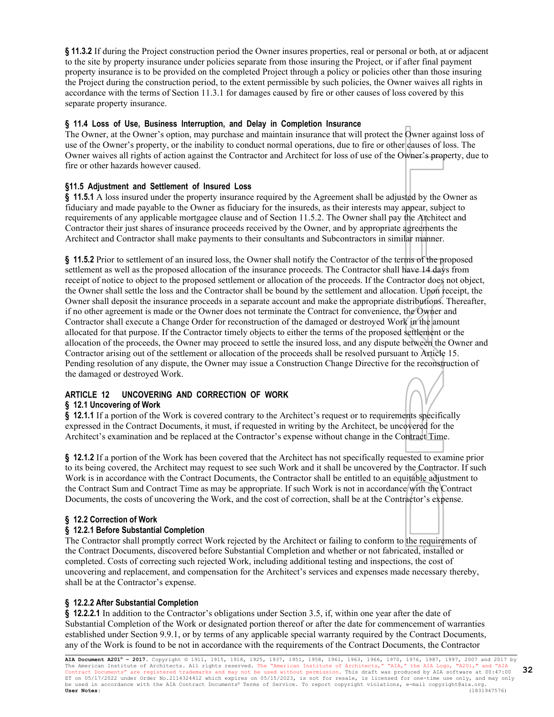**§ 11.3.2** If during the Project construction period the Owner insures properties, real or personal or both, at or adjacent to the site by property insurance under policies separate from those insuring the Project, or if after final payment property insurance is to be provided on the completed Project through a policy or policies other than those insuring the Project during the construction period, to the extent permissible by such policies, the Owner waives all rights in accordance with the terms of Section 11.3.1 for damages caused by fire or other causes of loss covered by this separate property insurance.

#### **§ 11.4 Loss of Use, Business Interruption, and Delay in Completion Insurance**

The Owner, at the Owner's option, may purchase and maintain insurance that will protect the Owner against loss of use of the Owner's property, or the inability to conduct normal operations, due to fire or other causes of loss. The Owner waives all rights of action against the Contractor and Architect for loss of use of the Owner's property, due to fire or other hazards however caused.

#### **§11.5 Adjustment and Settlement of Insured Loss**

**§ 11.5.1** A loss insured under the property insurance required by the Agreement shall be adjusted by the Owner as fiduciary and made payable to the Owner as fiduciary for the insureds, as their interests may appear, subject to requirements of any applicable mortgagee clause and of Section 11.5.2. The Owner shall pay the Architect and Contractor their just shares of insurance proceeds received by the Owner, and by appropriate agreements the Architect and Contractor shall make payments to their consultants and Subcontractors in similar manner.

**§ 11.5.2** Prior to settlement of an insured loss, the Owner shall notify the Contractor of the terms of the proposed settlement as well as the proposed allocation of the insurance proceeds. The Contractor shall have 14 days from receipt of notice to object to the proposed settlement or allocation of the proceeds. If the Contractor does not object, the Owner shall settle the loss and the Contractor shall be bound by the settlement and allocation. Upon receipt, the Owner shall deposit the insurance proceeds in a separate account and make the appropriate distributions. Thereafter, if no other agreement is made or the Owner does not terminate the Contract for convenience, the Owner and Contractor shall execute a Change Order for reconstruction of the damaged or destroyed Work in the amount allocated for that purpose. If the Contractor timely objects to either the terms of the proposed settlement or the allocation of the proceeds, the Owner may proceed to settle the insured loss, and any dispute between the Owner and Contractor arising out of the settlement or allocation of the proceeds shall be resolved pursuant to Article 15. Pending resolution of any dispute, the Owner may issue a Construction Change Directive for the reconstruction of the damaged or destroyed Work.

#### **ARTICLE 12 UNCOVERING AND CORRECTION OF WORK § 12.1 Uncovering of Work**

**§ 12.1.1** If a portion of the Work is covered contrary to the Architect's request or to requirements specifically expressed in the Contract Documents, it must, if requested in writing by the Architect, be uncovered for the Architect's examination and be replaced at the Contractor's expense without change in the Contract Time.

**§ 12.1.2** If a portion of the Work has been covered that the Architect has not specifically requested to examine prior to its being covered, the Architect may request to see such Work and it shall be uncovered by the Contractor. If such Work is in accordance with the Contract Documents, the Contractor shall be entitled to an equitable adjustment to the Contract Sum and Contract Time as may be appropriate. If such Work is not in accordance with the Contract Documents, the costs of uncovering the Work, and the cost of correction, shall be at the Contractor's expense.

#### **§ 12.2 Correction of Work**

#### **§ 12.2.1 Before Substantial Completion**

The Contractor shall promptly correct Work rejected by the Architect or failing to conform to the requirements of the Contract Documents, discovered before Substantial Completion and whether or not fabricated, installed or completed. Costs of correcting such rejected Work, including additional testing and inspections, the cost of uncovering and replacement, and compensation for the Architect's services and expenses made necessary thereby, shall be at the Contractor's expense.

#### **§ 12.2.2 After Substantial Completion**

**§ 12.2.2.1** In addition to the Contractor's obligations under Section 3.5, if, within one year after the date of Substantial Completion of the Work or designated portion thereof or after the date for commencement of warranties established under Section 9.9.1, or by terms of any applicable special warranty required by the Contract Documents, any of the Work is found to be not in accordance with the requirements of the Contract Documents, the Contractor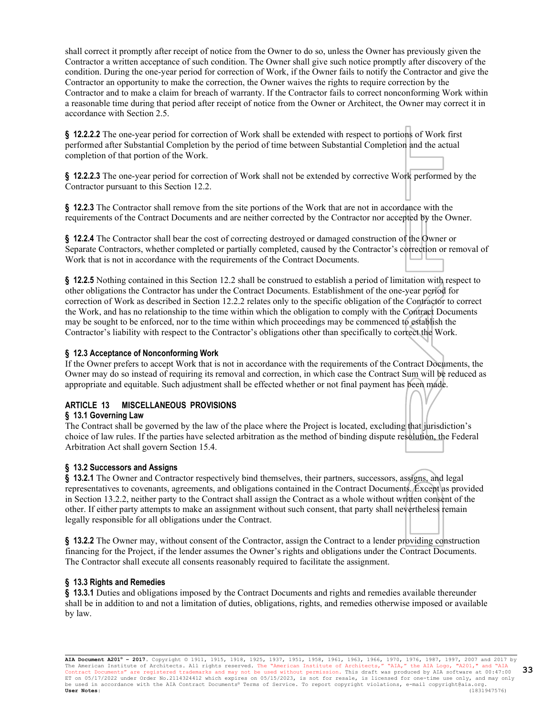shall correct it promptly after receipt of notice from the Owner to do so, unless the Owner has previously given the Contractor a written acceptance of such condition. The Owner shall give such notice promptly after discovery of the condition. During the one-year period for correction of Work, if the Owner fails to notify the Contractor and give the Contractor an opportunity to make the correction, the Owner waives the rights to require correction by the Contractor and to make a claim for breach of warranty. If the Contractor fails to correct nonconforming Work within a reasonable time during that period after receipt of notice from the Owner or Architect, the Owner may correct it in accordance with Section 2.5.

**§ 12.2.2.2** The one-year period for correction of Work shall be extended with respect to portions of Work first performed after Substantial Completion by the period of time between Substantial Completion and the actual completion of that portion of the Work.

**§ 12.2.2.3** The one-year period for correction of Work shall not be extended by corrective Work performed by the Contractor pursuant to this Section 12.2.

**§ 12.2.3** The Contractor shall remove from the site portions of the Work that are not in accordance with the requirements of the Contract Documents and are neither corrected by the Contractor nor accepted by the Owner.

**§ 12.2.4** The Contractor shall bear the cost of correcting destroyed or damaged construction of the Owner or Separate Contractors, whether completed or partially completed, caused by the Contractor's correction or removal of Work that is not in accordance with the requirements of the Contract Documents.

**§ 12.2.5** Nothing contained in this Section 12.2 shall be construed to establish a period of limitation with respect to other obligations the Contractor has under the Contract Documents. Establishment of the one-year period for correction of Work as described in Section 12.2.2 relates only to the specific obligation of the Contractor to correct the Work, and has no relationship to the time within which the obligation to comply with the Contract Documents may be sought to be enforced, nor to the time within which proceedings may be commenced to establish the Contractor's liability with respect to the Contractor's obligations other than specifically to correct the Work.

#### **§ 12.3 Acceptance of Nonconforming Work**

If the Owner prefers to accept Work that is not in accordance with the requirements of the Contract Documents, the Owner may do so instead of requiring its removal and correction, in which case the Contract Sum will be reduced as appropriate and equitable. Such adjustment shall be effected whether or not final payment has been made.

#### **ARTICLE 13 MISCELLANEOUS PROVISIONS**

#### **§ 13.1 Governing Law**

The Contract shall be governed by the law of the place where the Project is located, excluding that jurisdiction's choice of law rules. If the parties have selected arbitration as the method of binding dispute resolution, the Federal Arbitration Act shall govern Section 15.4.

#### **§ 13.2 Successors and Assigns**

**§ 13.2.1** The Owner and Contractor respectively bind themselves, their partners, successors, assigns, and legal representatives to covenants, agreements, and obligations contained in the Contract Documents. Except as provided in Section 13.2.2, neither party to the Contract shall assign the Contract as a whole without written consent of the other. If either party attempts to make an assignment without such consent, that party shall nevertheless remain legally responsible for all obligations under the Contract.

§ **13.2.2** The Owner may, without consent of the Contractor, assign the Contract to a lender providing construction financing for the Project, if the lender assumes the Owner's rights and obligations under the Contract Documents. The Contractor shall execute all consents reasonably required to facilitate the assignment.

#### **§ 13.3 Rights and Remedies**

**§ 13.3.1** Duties and obligations imposed by the Contract Documents and rights and remedies available thereunder shall be in addition to and not a limitation of duties, obligations, rights, and remedies otherwise imposed or available by law.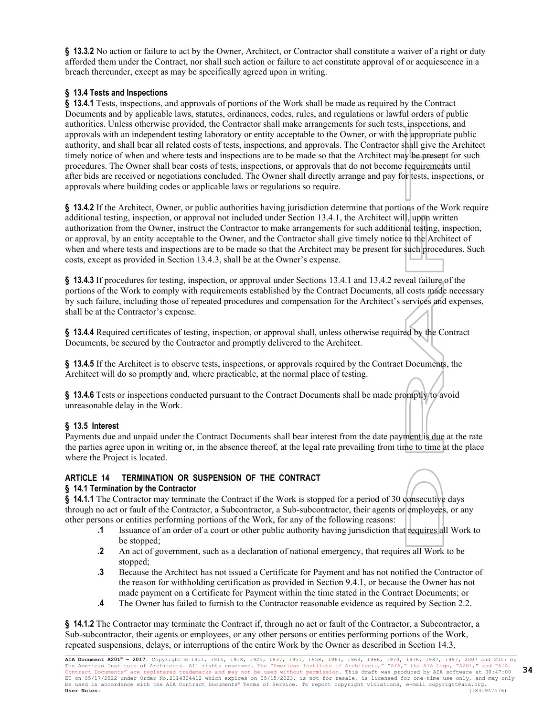**§ 13.3.2** No action or failure to act by the Owner, Architect, or Contractor shall constitute a waiver of a right or duty afforded them under the Contract, nor shall such action or failure to act constitute approval of or acquiescence in a breach thereunder, except as may be specifically agreed upon in writing.

#### **§ 13.4 Tests and Inspections**

**§ 13.4.1** Tests, inspections, and approvals of portions of the Work shall be made as required by the Contract Documents and by applicable laws, statutes, ordinances, codes, rules, and regulations or lawful orders of public authorities. Unless otherwise provided, the Contractor shall make arrangements for such tests, inspections, and approvals with an independent testing laboratory or entity acceptable to the Owner, or with the appropriate public authority, and shall bear all related costs of tests, inspections, and approvals. The Contractor shall give the Architect timely notice of when and where tests and inspections are to be made so that the Architect may be present for such procedures. The Owner shall bear costs of tests, inspections, or approvals that do not become requirements until after bids are received or negotiations concluded. The Owner shall directly arrange and pay for tests, inspections, or approvals where building codes or applicable laws or regulations so require.

**§ 13.4.2** If the Architect, Owner, or public authorities having jurisdiction determine that portions of the Work require additional testing, inspection, or approval not included under Section 13.4.1, the Architect will, upon written authorization from the Owner, instruct the Contractor to make arrangements for such additional testing, inspection, or approval, by an entity acceptable to the Owner, and the Contractor shall give timely notice to the Architect of when and where tests and inspections are to be made so that the Architect may be present for such procedures. Such costs, except as provided in Section 13.4.3, shall be at the Owner's expense.

**§ 13.4.3** If procedures for testing, inspection, or approval under Sections 13.4.1 and 13.4.2 reveal failure of the portions of the Work to comply with requirements established by the Contract Documents, all costs made necessary by such failure, including those of repeated procedures and compensation for the Architect's services and expenses, shall be at the Contractor's expense.

**§ 13.4.4** Required certificates of testing, inspection, or approval shall, unless otherwise required by the Contract Documents, be secured by the Contractor and promptly delivered to the Architect.

**§ 13.4.5** If the Architect is to observe tests, inspections, or approvals required by the Contract Documents, the Architect will do so promptly and, where practicable, at the normal place of testing.

**§ 13.4.6** Tests or inspections conducted pursuant to the Contract Documents shall be made promptly to avoid unreasonable delay in the Work.

#### **§ 13.5 Interest**

Payments due and unpaid under the Contract Documents shall bear interest from the date payment is due at the rate the parties agree upon in writing or, in the absence thereof, at the legal rate prevailing from time to time at the place where the Project is located.

# **ARTICLE 14 TERMINATION OR SUSPENSION OF THE CONTRACT**

### **§ 14.1 Termination by the Contractor**

**§ 14.1.1** The Contractor may terminate the Contract if the Work is stopped for a period of 30 consecutive days through no act or fault of the Contractor, a Subcontractor, a Sub-subcontractor, their agents or employees, or any other persons or entities performing portions of the Work, for any of the following reasons:

- **.1** Issuance of an order of a court or other public authority having jurisdiction that requires all Work to be stopped;
- **.2** An act of government, such as a declaration of national emergency, that requires all Work to be stopped;
- **.3** Because the Architect has not issued a Certificate for Payment and has not notified the Contractor of the reason for withholding certification as provided in Section 9.4.1, or because the Owner has not made payment on a Certificate for Payment within the time stated in the Contract Documents; or
- **.4** The Owner has failed to furnish to the Contractor reasonable evidence as required by Section 2.2.

**§ 14.1.2** The Contractor may terminate the Contract if, through no act or fault of the Contractor, a Subcontractor, a Sub-subcontractor, their agents or employees, or any other persons or entities performing portions of the Work, repeated suspensions, delays, or interruptions of the entire Work by the Owner as described in Section 14.3,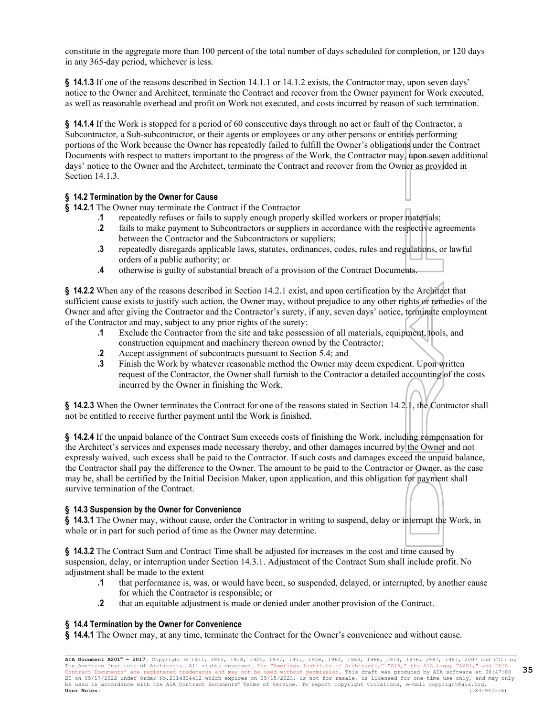constitute in the aggregate more than 100 percent of the total number of days scheduled for completion, or 120 days in any 365-day period, whichever is less.

**§ 14.1.3** If one of the reasons described in Section 14.1.1 or 14.1.2 exists, the Contractor may, upon seven days' notice to the Owner and Architect, terminate the Contract and recover from the Owner payment for Work executed, as well as reasonable overhead and profit on Work not executed, and costs incurred by reason of such termination.

**§ 14.1.4** If the Work is stopped for a period of 60 consecutive days through no act or fault of the Contractor, a Subcontractor, a Sub-subcontractor, or their agents or employees or any other persons or entities performing portions of the Work because the Owner has repeatedly failed to fulfill the Owner's obligations under the Contract Documents with respect to matters important to the progress of the Work, the Contractor may, upon seven additional days' notice to the Owner and the Architect, terminate the Contract and recover from the Owner as provided in Section 14.1.3.

#### **§ 14.2 Termination by the Owner for Cause**

**§ 14.2.1** The Owner may terminate the Contract if the Contractor

- **.1** repeatedly refuses or fails to supply enough properly skilled workers or proper materials;
- **.2** fails to make payment to Subcontractors or suppliers in accordance with the respective agreements between the Contractor and the Subcontractors or suppliers;
- **.3** repeatedly disregards applicable laws, statutes, ordinances, codes, rules and regulations, or lawful orders of a public authority; or
- **.4** otherwise is guilty of substantial breach of a provision of the Contract Documents.

**§ 14.2.2** When any of the reasons described in Section 14.2.1 exist, and upon certification by the Architect that sufficient cause exists to justify such action, the Owner may, without prejudice to any other rights or remedies of the Owner and after giving the Contractor and the Contractor's surety, if any, seven days' notice, terminate employment of the Contractor and may, subject to any prior rights of the surety:

- **.1** Exclude the Contractor from the site and take possession of all materials, equipment, tools, and construction equipment and machinery thereon owned by the Contractor;
- **.2** Accept assignment of subcontracts pursuant to Section 5.4; and
- **.3** Finish the Work by whatever reasonable method the Owner may deem expedient. Upon written request of the Contractor, the Owner shall furnish to the Contractor a detailed accounting of the costs incurred by the Owner in finishing the Work.

**§ 14.2.3** When the Owner terminates the Contract for one of the reasons stated in Section 14.2.1, the Contractor shall not be entitled to receive further payment until the Work is finished.

**§ 14.2.4** If the unpaid balance of the Contract Sum exceeds costs of finishing the Work, including compensation for the Architect's services and expenses made necessary thereby, and other damages incurred by the Owner and not expressly waived, such excess shall be paid to the Contractor. If such costs and damages exceed the unpaid balance, the Contractor shall pay the difference to the Owner. The amount to be paid to the Contractor or Owner, as the case may be, shall be certified by the Initial Decision Maker, upon application, and this obligation for payment shall survive termination of the Contract.

#### **§ 14.3 Suspension by the Owner for Convenience**

**§ 14.3.1** The Owner may, without cause, order the Contractor in writing to suspend, delay or interrupt the Work, in whole or in part for such period of time as the Owner may determine.

**§ 14.3.2** The Contract Sum and Contract Time shall be adjusted for increases in the cost and time caused by suspension, delay, or interruption under Section 14.3.1. Adjustment of the Contract Sum shall include profit. No adjustment shall be made to the extent

- **.1** that performance is, was, or would have been, so suspended, delayed, or interrupted, by another cause for which the Contractor is responsible; or
- **.2** that an equitable adjustment is made or denied under another provision of the Contract.

#### **§ 14.4 Termination by the Owner for Convenience**

**§ 14.4.1** The Owner may, at any time, terminate the Contract for the Owner's convenience and without cause.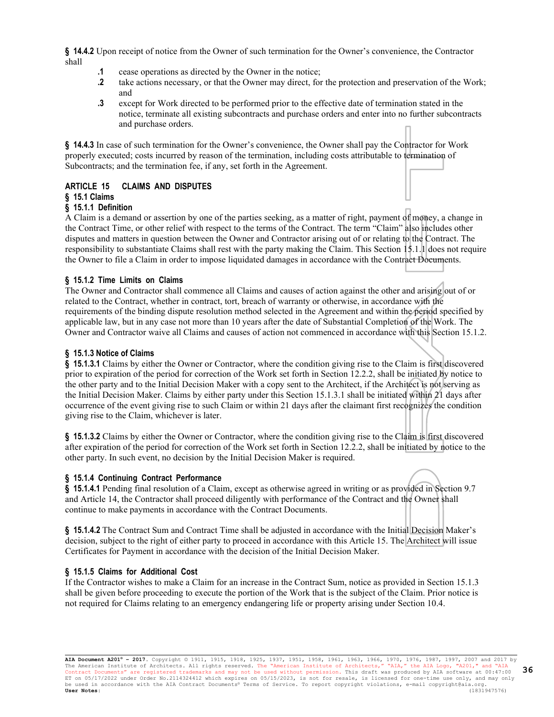**§ 14.4.2** Upon receipt of notice from the Owner of such termination for the Owner's convenience, the Contractor shall

- **.1** cease operations as directed by the Owner in the notice;
- **.2** take actions necessary, or that the Owner may direct, for the protection and preservation of the Work; and
- **.3** except for Work directed to be performed prior to the effective date of termination stated in the notice, terminate all existing subcontracts and purchase orders and enter into no further subcontracts and purchase orders.

**§ 14.4.3** In case of such termination for the Owner's convenience, the Owner shall pay the Contractor for Work properly executed; costs incurred by reason of the termination, including costs attributable to termination of Subcontracts; and the termination fee, if any, set forth in the Agreement.

#### **ARTICLE 15 CLAIMS AND DISPUTES**

#### **§ 15.1 Claims**

#### **§ 15.1.1 Definition**

A Claim is a demand or assertion by one of the parties seeking, as a matter of right, payment of money, a change in the Contract Time, or other relief with respect to the terms of the Contract. The term "Claim" also includes other disputes and matters in question between the Owner and Contractor arising out of or relating to the Contract. The responsibility to substantiate Claims shall rest with the party making the Claim. This Section 15.1.1 does not require the Owner to file a Claim in order to impose liquidated damages in accordance with the Contract Documents.

#### **§ 15.1.2 Time Limits on Claims**

The Owner and Contractor shall commence all Claims and causes of action against the other and arising out of or related to the Contract, whether in contract, tort, breach of warranty or otherwise, in accordance with the requirements of the binding dispute resolution method selected in the Agreement and within the period specified by applicable law, but in any case not more than 10 years after the date of Substantial Completion of the Work. The Owner and Contractor waive all Claims and causes of action not commenced in accordance with this Section 15.1.2.

#### **§ 15.1.3 Notice of Claims**

**§ 15.1.3.1** Claims by either the Owner or Contractor, where the condition giving rise to the Claim is first discovered prior to expiration of the period for correction of the Work set forth in Section 12.2.2, shall be initiated by notice to the other party and to the Initial Decision Maker with a copy sent to the Architect, if the Architect is not serving as the Initial Decision Maker. Claims by either party under this Section 15.1.3.1 shall be initiated within 21 days after occurrence of the event giving rise to such Claim or within 21 days after the claimant first recognizes the condition giving rise to the Claim, whichever is later.

**§ 15.1.3.2** Claims by either the Owner or Contractor, where the condition giving rise to the Claim is first discovered after expiration of the period for correction of the Work set forth in Section 12.2.2, shall be initiated by notice to the other party. In such event, no decision by the Initial Decision Maker is required.

#### **§ 15.1.4 Continuing Contract Performance**

**§ 15.1.4.1** Pending final resolution of a Claim, except as otherwise agreed in writing or as provided in Section 9.7 and Article 14, the Contractor shall proceed diligently with performance of the Contract and the Owner shall continue to make payments in accordance with the Contract Documents.

**§ 15.1.4.2** The Contract Sum and Contract Time shall be adjusted in accordance with the Initial Decision Maker's decision, subject to the right of either party to proceed in accordance with this Article 15. The Architect will issue Certificates for Payment in accordance with the decision of the Initial Decision Maker.

#### **§ 15.1.5 Claims for Additional Cost**

If the Contractor wishes to make a Claim for an increase in the Contract Sum, notice as provided in Section 15.1.3 shall be given before proceeding to execute the portion of the Work that is the subject of the Claim. Prior notice is not required for Claims relating to an emergency endangering life or property arising under Section 10.4.

**AIA Document A201® – 2017.** Copyright © 1911, 1915, 1918, 1925, 1937, 1951, 1958, 1961, 1963, 1966, 1970, 1976, 1987, 1997, 2007 and 2017 by The American Institute of Architects. All rights reserved. The "American Institute of Architects," "AIA," the AIA Logo, "A201," and "AIA<br>Contract Documents" are registered trademarks and may not be used without permission. ET on 05/17/2022 under Order No.2114324412 which expires on 05/15/2023, is not for resale, is licensed for one-time use only, and may only<br>be used in accordance with the AIA Contract Documents® Terms of Service. To report **User Notes:** (1831947576) **36**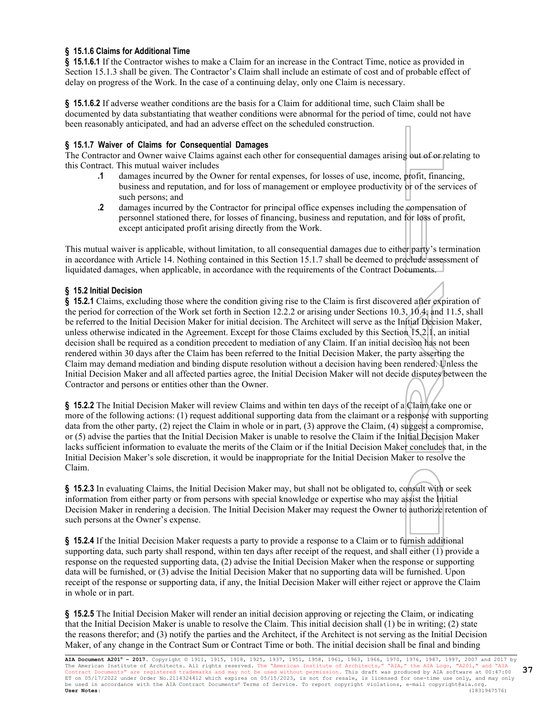#### **§ 15.1.6 Claims for Additional Time**

**§ 15.1.6.1** If the Contractor wishes to make a Claim for an increase in the Contract Time, notice as provided in Section 15.1.3 shall be given. The Contractor's Claim shall include an estimate of cost and of probable effect of delay on progress of the Work. In the case of a continuing delay, only one Claim is necessary.

**§ 15.1.6.2** If adverse weather conditions are the basis for a Claim for additional time, such Claim shall be documented by data substantiating that weather conditions were abnormal for the period of time, could not have been reasonably anticipated, and had an adverse effect on the scheduled construction.

#### **§ 15.1.7 Waiver of Claims for Consequential Damages**

The Contractor and Owner waive Claims against each other for consequential damages arising out of or relating to this Contract. This mutual waiver includes

- **.1** damages incurred by the Owner for rental expenses, for losses of use, income, profit, financing, business and reputation, and for loss of management or employee productivity or of the services of such persons; and
- **.2** damages incurred by the Contractor for principal office expenses including the compensation of personnel stationed there, for losses of financing, business and reputation, and for loss of profit, except anticipated profit arising directly from the Work.

This mutual waiver is applicable, without limitation, to all consequential damages due to either party's termination in accordance with Article 14. Nothing contained in this Section 15.1.7 shall be deemed to preclude assessment of liquidated damages, when applicable, in accordance with the requirements of the Contract Documents.

#### **§ 15.2 Initial Decision**

**§ 15.2.1** Claims, excluding those where the condition giving rise to the Claim is first discovered after expiration of the period for correction of the Work set forth in Section 12.2.2 or arising under Sections 10.3, 10.4, and 11.5, shall be referred to the Initial Decision Maker for initial decision. The Architect will serve as the Initial Decision Maker, unless otherwise indicated in the Agreement. Except for those Claims excluded by this Section 15.2.1, an initial decision shall be required as a condition precedent to mediation of any Claim. If an initial decision has not been rendered within 30 days after the Claim has been referred to the Initial Decision Maker, the party asserting the Claim may demand mediation and binding dispute resolution without a decision having been rendered. Unless the Initial Decision Maker and all affected parties agree, the Initial Decision Maker will not decide disputes between the Contractor and persons or entities other than the Owner.

**§ 15.2.2** The Initial Decision Maker will review Claims and within ten days of the receipt of a Claim take one or more of the following actions: (1) request additional supporting data from the claimant or a response with supporting data from the other party, (2) reject the Claim in whole or in part, (3) approve the Claim, (4) suggest a compromise, or (5) advise the parties that the Initial Decision Maker is unable to resolve the Claim if the Initial Decision Maker lacks sufficient information to evaluate the merits of the Claim or if the Initial Decision Maker concludes that, in the Initial Decision Maker's sole discretion, it would be inappropriate for the Initial Decision Maker to resolve the Claim.

**§ 15.2.3** In evaluating Claims, the Initial Decision Maker may, but shall not be obligated to, consult with or seek information from either party or from persons with special knowledge or expertise who may assist the Initial Decision Maker in rendering a decision. The Initial Decision Maker may request the Owner to authorize retention of such persons at the Owner's expense.

**§ 15.2.4** If the Initial Decision Maker requests a party to provide a response to a Claim or to furnish additional supporting data, such party shall respond, within ten days after receipt of the request, and shall either (1) provide a response on the requested supporting data, (2) advise the Initial Decision Maker when the response or supporting data will be furnished, or (3) advise the Initial Decision Maker that no supporting data will be furnished. Upon receipt of the response or supporting data, if any, the Initial Decision Maker will either reject or approve the Claim in whole or in part.

**§ 15.2.5** The Initial Decision Maker will render an initial decision approving or rejecting the Claim, or indicating that the Initial Decision Maker is unable to resolve the Claim. This initial decision shall (1) be in writing; (2) state the reasons therefor; and (3) notify the parties and the Architect, if the Architect is not serving as the Initial Decision Maker, of any change in the Contract Sum or Contract Time or both. The initial decision shall be final and binding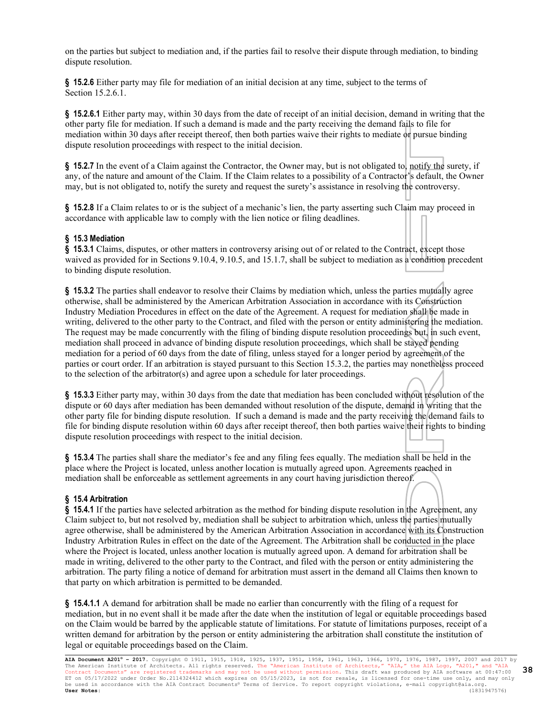on the parties but subject to mediation and, if the parties fail to resolve their dispute through mediation, to binding dispute resolution.

**§ 15.2.6** Either party may file for mediation of an initial decision at any time, subject to the terms of Section 15.2.6.1.

**§ 15.2.6.1** Either party may, within 30 days from the date of receipt of an initial decision, demand in writing that the other party file for mediation. If such a demand is made and the party receiving the demand fails to file for mediation within 30 days after receipt thereof, then both parties waive their rights to mediate or pursue binding dispute resolution proceedings with respect to the initial decision.

**§ 15.2.7** In the event of a Claim against the Contractor, the Owner may, but is not obligated to, notify the surety, if any, of the nature and amount of the Claim. If the Claim relates to a possibility of a Contractor's default, the Owner may, but is not obligated to, notify the surety and request the surety's assistance in resolving the controversy.

**§ 15.2.8** If a Claim relates to or is the subject of a mechanic's lien, the party asserting such Claim may proceed in accordance with applicable law to comply with the lien notice or filing deadlines.

#### **§ 15.3 Mediation**

**§ 15.3.1** Claims, disputes, or other matters in controversy arising out of or related to the Contract, except those waived as provided for in Sections 9.10.4, 9.10.5, and 15.1.7, shall be subject to mediation as a condition precedent to binding dispute resolution.

**§ 15.3.2** The parties shall endeavor to resolve their Claims by mediation which, unless the parties mutually agree otherwise, shall be administered by the American Arbitration Association in accordance with its Construction Industry Mediation Procedures in effect on the date of the Agreement. A request for mediation shall be made in writing, delivered to the other party to the Contract, and filed with the person or entity administering the mediation. The request may be made concurrently with the filing of binding dispute resolution proceedings but, in such event, mediation shall proceed in advance of binding dispute resolution proceedings, which shall be stayed pending mediation for a period of 60 days from the date of filing, unless stayed for a longer period by agreement of the parties or court order. If an arbitration is stayed pursuant to this Section 15.3.2, the parties may nonetheless proceed to the selection of the arbitrator(s) and agree upon a schedule for later proceedings.

**§ 15.3.3** Either party may, within 30 days from the date that mediation has been concluded without resolution of the dispute or 60 days after mediation has been demanded without resolution of the dispute, demand in writing that the other party file for binding dispute resolution. If such a demand is made and the party receiving the demand fails to file for binding dispute resolution within 60 days after receipt thereof, then both parties waive their rights to binding dispute resolution proceedings with respect to the initial decision.

**§ 15.3.4** The parties shall share the mediator's fee and any filing fees equally. The mediation shall be held in the place where the Project is located, unless another location is mutually agreed upon. Agreements reached in mediation shall be enforceable as settlement agreements in any court having jurisdiction thereof.

#### **§ 15.4 Arbitration**

**§ 15.4.1** If the parties have selected arbitration as the method for binding dispute resolution in the Agreement, any Claim subject to, but not resolved by, mediation shall be subject to arbitration which, unless the parties mutually agree otherwise, shall be administered by the American Arbitration Association in accordance with its Construction Industry Arbitration Rules in effect on the date of the Agreement. The Arbitration shall be conducted in the place where the Project is located, unless another location is mutually agreed upon. A demand for arbitration shall be made in writing, delivered to the other party to the Contract, and filed with the person or entity administering the arbitration. The party filing a notice of demand for arbitration must assert in the demand all Claims then known to that party on which arbitration is permitted to be demanded.

**§ 15.4.1.1** A demand for arbitration shall be made no earlier than concurrently with the filing of a request for mediation, but in no event shall it be made after the date when the institution of legal or equitable proceedings based on the Claim would be barred by the applicable statute of limitations. For statute of limitations purposes, receipt of a written demand for arbitration by the person or entity administering the arbitration shall constitute the institution of legal or equitable proceedings based on the Claim.